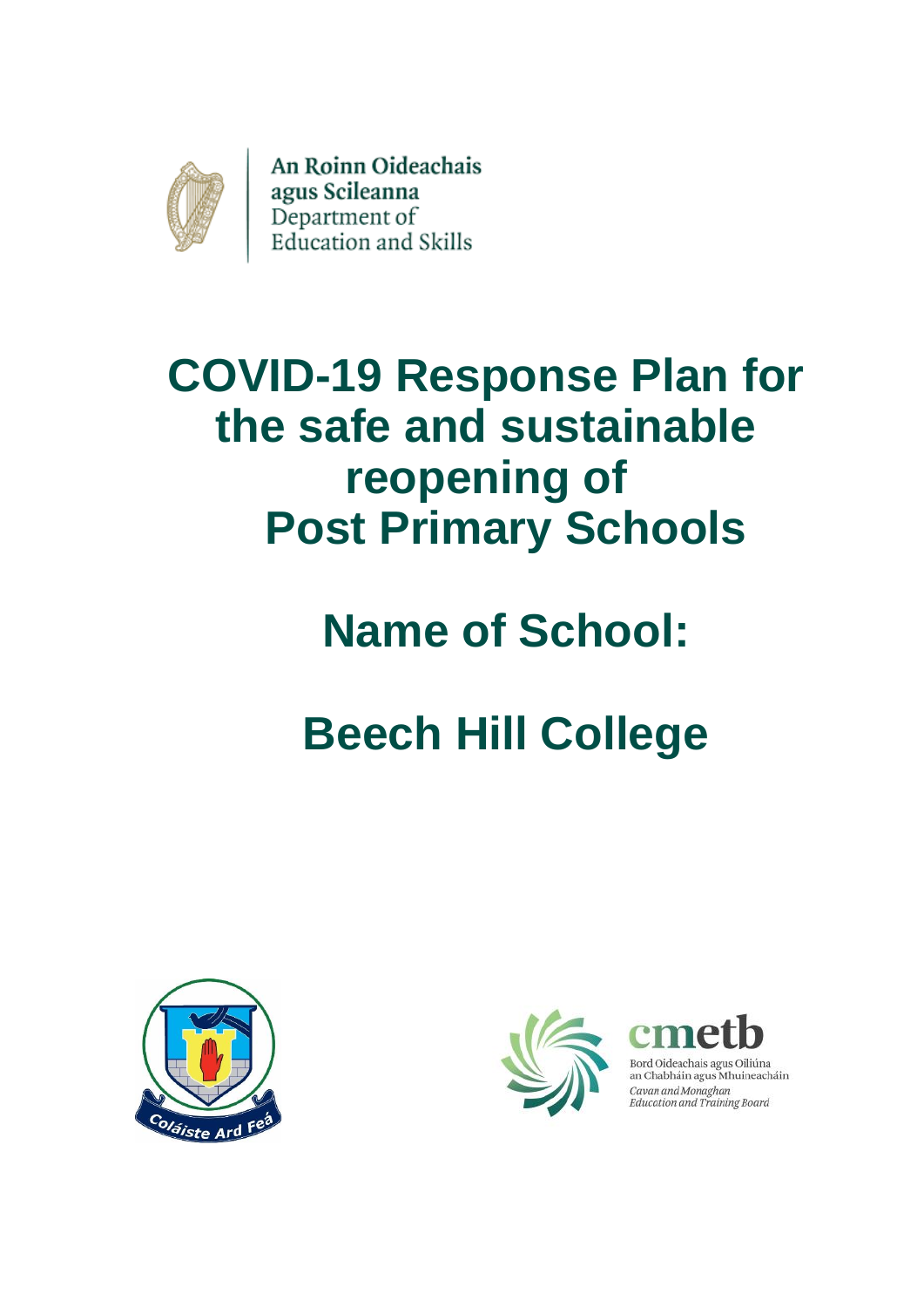

An Roinn Oideachais agus Scileanna<br>Department of<br>Education and Skills

# **COVID-19 Response Plan for the safe and sustainable reopening of Post Primary Schools**

# **Name of School:**

# **Beech Hill College**





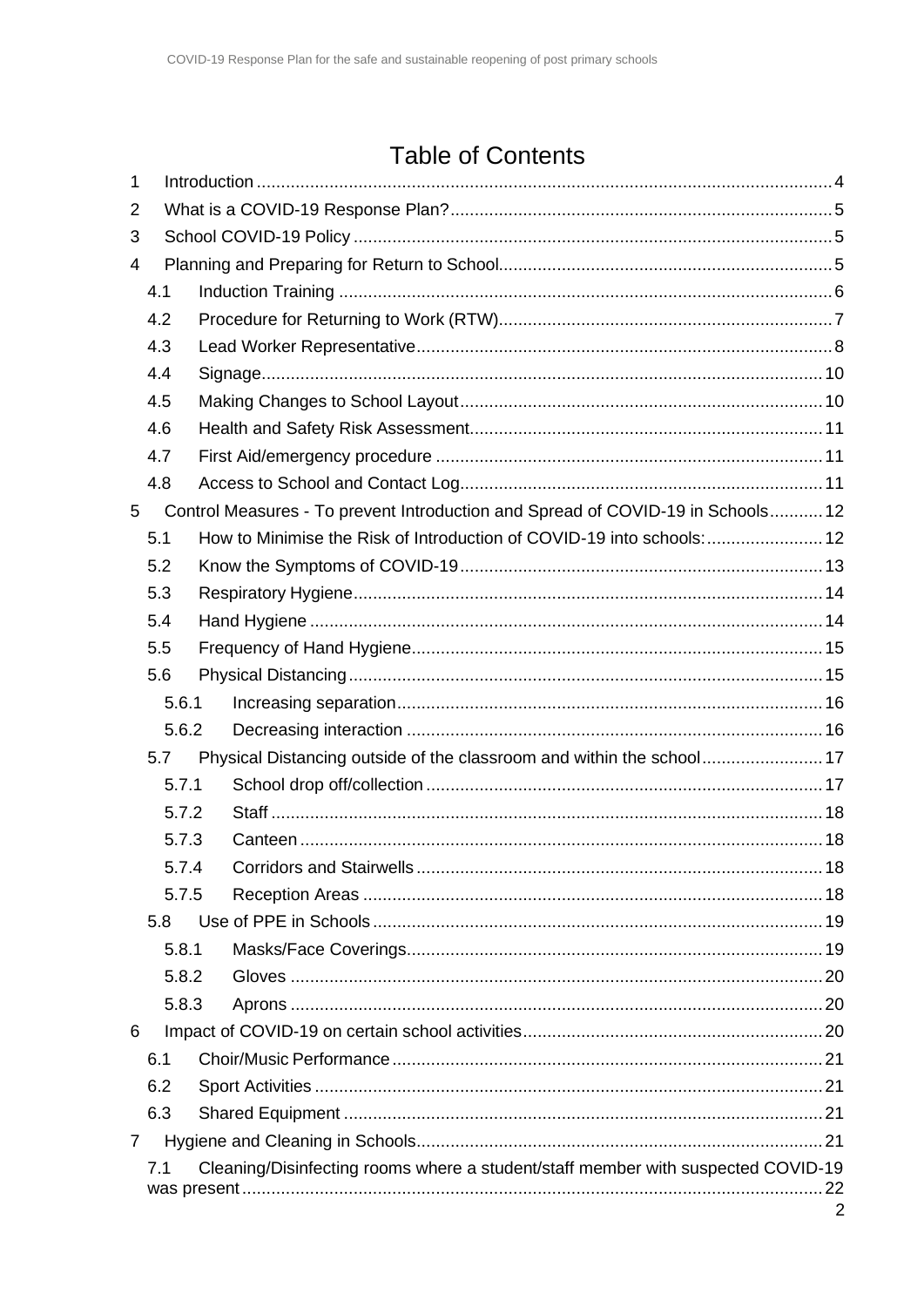# **Table of Contents**

| 1              |       |  |                                                                                  |                |  |  |  |  |  |
|----------------|-------|--|----------------------------------------------------------------------------------|----------------|--|--|--|--|--|
| 2              |       |  |                                                                                  |                |  |  |  |  |  |
| 3              |       |  |                                                                                  |                |  |  |  |  |  |
| 4              |       |  |                                                                                  |                |  |  |  |  |  |
|                | 4.1   |  |                                                                                  |                |  |  |  |  |  |
|                | 4.2   |  |                                                                                  |                |  |  |  |  |  |
|                | 4.3   |  |                                                                                  |                |  |  |  |  |  |
|                | 4.4   |  |                                                                                  |                |  |  |  |  |  |
|                | 4.5   |  |                                                                                  |                |  |  |  |  |  |
|                | 4.6   |  |                                                                                  |                |  |  |  |  |  |
|                | 4.7   |  |                                                                                  |                |  |  |  |  |  |
|                | 4.8   |  |                                                                                  |                |  |  |  |  |  |
| 5              |       |  | Control Measures - To prevent Introduction and Spread of COVID-19 in Schools 12  |                |  |  |  |  |  |
|                | 5.1   |  | How to Minimise the Risk of Introduction of COVID-19 into schools: 12            |                |  |  |  |  |  |
|                | 5.2   |  |                                                                                  |                |  |  |  |  |  |
|                | 5.3   |  |                                                                                  |                |  |  |  |  |  |
|                | 5.4   |  |                                                                                  |                |  |  |  |  |  |
|                | 5.5   |  |                                                                                  |                |  |  |  |  |  |
|                | 5.6   |  |                                                                                  |                |  |  |  |  |  |
|                | 5.6.1 |  |                                                                                  |                |  |  |  |  |  |
|                | 5.6.2 |  |                                                                                  |                |  |  |  |  |  |
|                | 5.7   |  |                                                                                  |                |  |  |  |  |  |
|                | 5.7.1 |  |                                                                                  |                |  |  |  |  |  |
|                | 5.7.2 |  |                                                                                  |                |  |  |  |  |  |
|                | 5.7.3 |  |                                                                                  |                |  |  |  |  |  |
|                | 5.7.4 |  |                                                                                  |                |  |  |  |  |  |
|                | 5.7.5 |  |                                                                                  |                |  |  |  |  |  |
|                | 5.8   |  |                                                                                  |                |  |  |  |  |  |
|                | 5.8.1 |  |                                                                                  |                |  |  |  |  |  |
|                | 5.8.2 |  |                                                                                  |                |  |  |  |  |  |
|                | 5.8.3 |  |                                                                                  |                |  |  |  |  |  |
| 6              |       |  |                                                                                  |                |  |  |  |  |  |
|                | 6.1   |  |                                                                                  |                |  |  |  |  |  |
|                | 6.2   |  |                                                                                  |                |  |  |  |  |  |
|                | 6.3   |  |                                                                                  |                |  |  |  |  |  |
| $\overline{7}$ |       |  |                                                                                  |                |  |  |  |  |  |
|                | 7.1   |  | Cleaning/Disinfecting rooms where a student/staff member with suspected COVID-19 |                |  |  |  |  |  |
|                |       |  |                                                                                  | $\overline{2}$ |  |  |  |  |  |
|                |       |  |                                                                                  |                |  |  |  |  |  |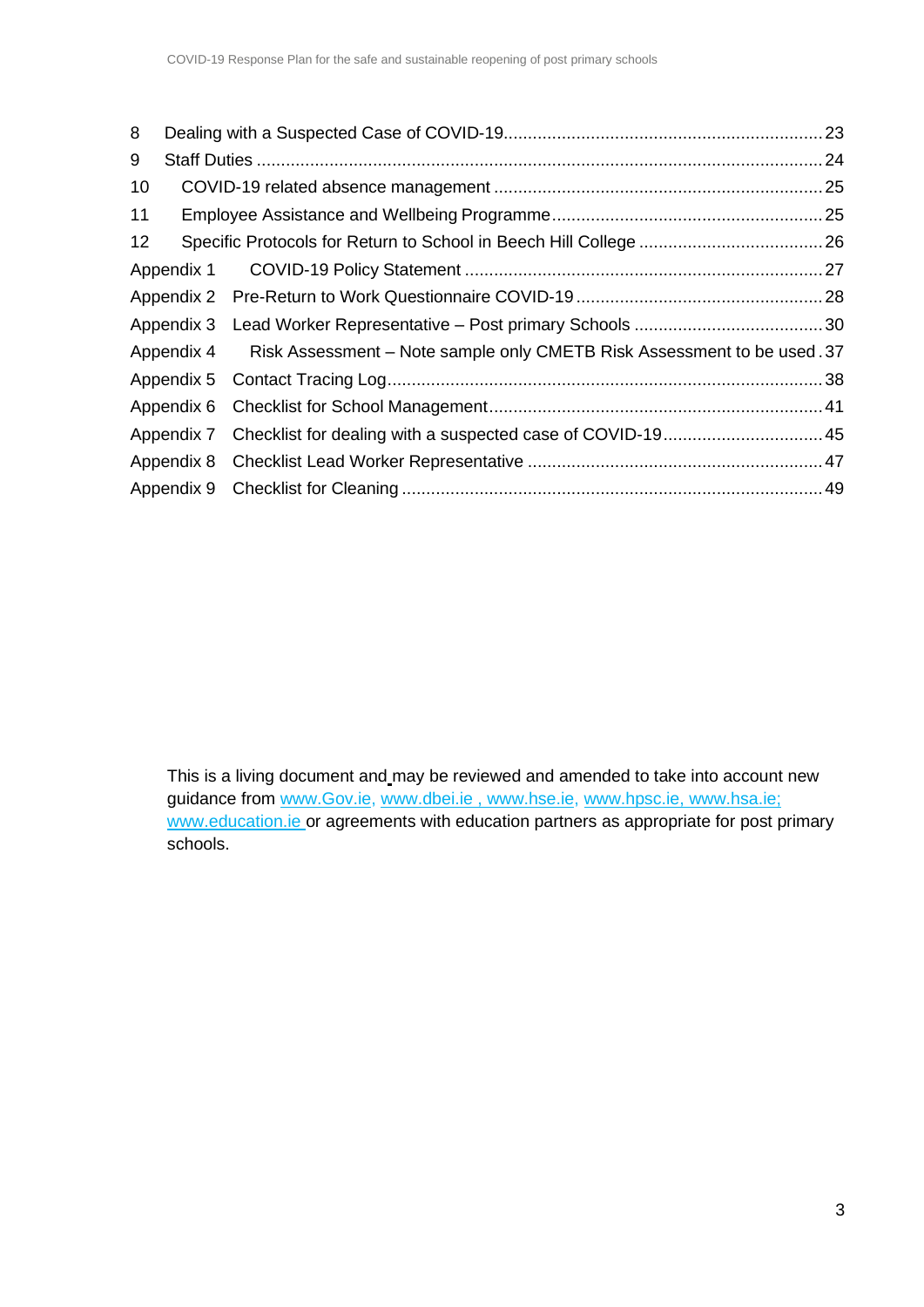| 11 |                                                                         |                                                                                                  |  |  |  |  |  |  |
|----|-------------------------------------------------------------------------|--------------------------------------------------------------------------------------------------|--|--|--|--|--|--|
|    |                                                                         |                                                                                                  |  |  |  |  |  |  |
|    |                                                                         |                                                                                                  |  |  |  |  |  |  |
|    |                                                                         |                                                                                                  |  |  |  |  |  |  |
|    |                                                                         |                                                                                                  |  |  |  |  |  |  |
|    | Risk Assessment – Note sample only CMETB Risk Assessment to be used .37 |                                                                                                  |  |  |  |  |  |  |
|    |                                                                         |                                                                                                  |  |  |  |  |  |  |
|    |                                                                         |                                                                                                  |  |  |  |  |  |  |
|    |                                                                         |                                                                                                  |  |  |  |  |  |  |
|    |                                                                         |                                                                                                  |  |  |  |  |  |  |
|    |                                                                         |                                                                                                  |  |  |  |  |  |  |
|    |                                                                         | Appendix 4<br>Appendix 5<br>Appendix 7 Checklist for dealing with a suspected case of COVID-1945 |  |  |  |  |  |  |

This is a living document and may be reviewed and amended to take into account new guidance from [www.Gov.ie,](http://www.gov.ie/) www.dbei.ie, [www.hse.ie,](http://www.hse.ie/) [www.hpsc.ie,](http://www.hpsc.ie/) [www.hsa.ie;](http://www.hsa.ie/) [www.education.ie o](http://www.education.ie/)r agreements with education partners as appropriate for post primary schools.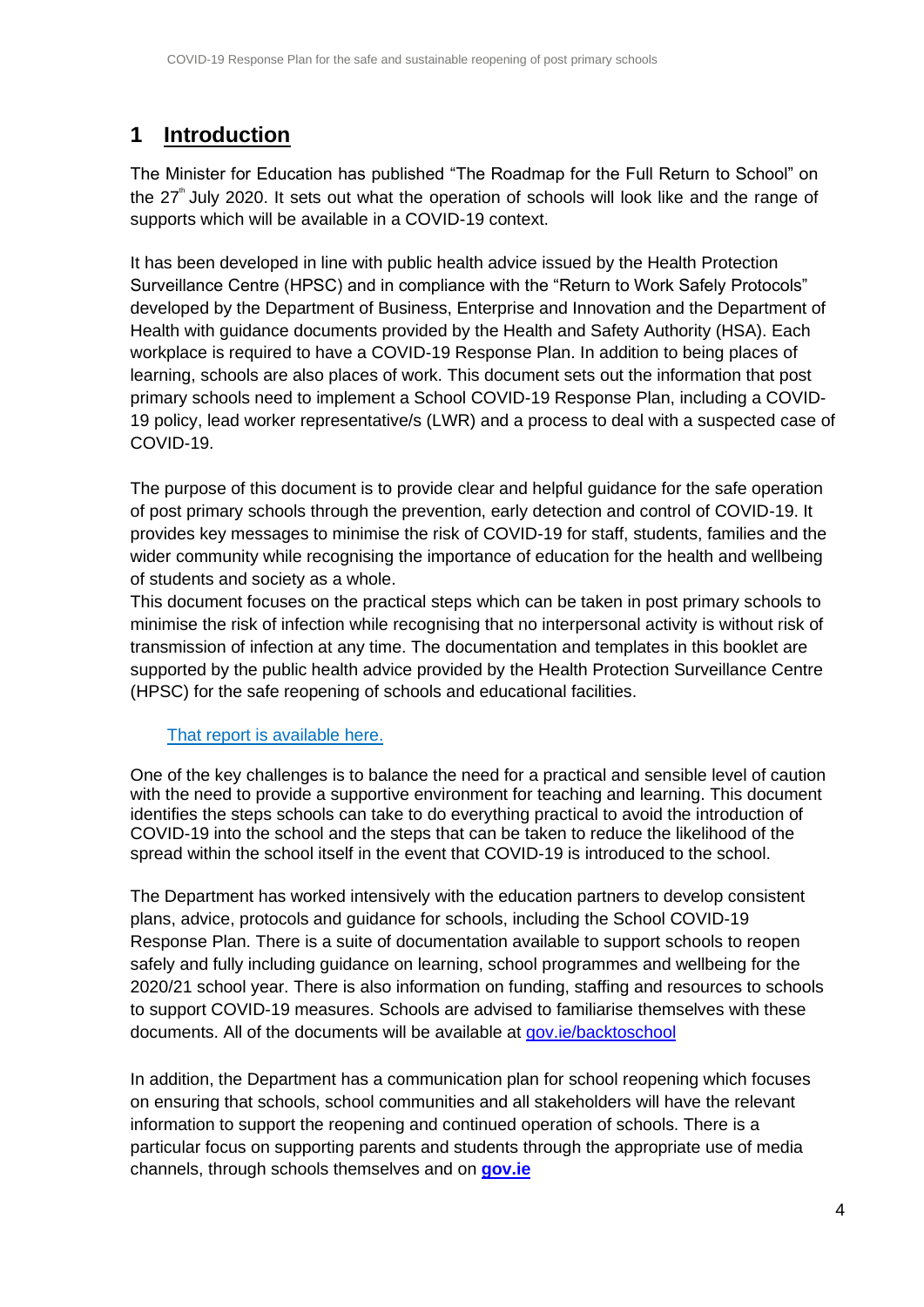# <span id="page-3-0"></span>**1 Introduction**

The Minister for Education has published "The Roadmap for the Full Return to School" on the  $27^{\degree}$  July 2020. It sets out what the operation of schools will look like and the range of supports which will be available in a COVID-19 context.

It has been developed in line with public health advice issued by the Health Protection Surveillance Centre (HPSC) and in compliance with the "Return to Work Safely Protocols" developed by the Department of Business, Enterprise and Innovation and the Department of Health with guidance documents provided by the Health and Safety Authority (HSA). Each workplace is required to have a COVID-19 Response Plan. In addition to being places of learning, schools are also places of work. This document sets out the information that post primary schools need to implement a School COVID-19 Response Plan, including a COVID-19 policy, lead worker representative/s (LWR) and a process to deal with a suspected case of COVID-19.

The purpose of this document is to provide clear and helpful guidance for the safe operation of post primary schools through the prevention, early detection and control of COVID-19. It provides key messages to minimise the risk of COVID-19 for staff, students, families and the wider community while recognising the importance of education for the health and wellbeing of students and society as a whole.

This document focuses on the practical steps which can be taken in post primary schools to minimise the risk of infection while recognising that no interpersonal activity is without risk of transmission of infection at any time. The documentation and templates in this booklet are supported by the public health advice provided by the Health Protection Surveillance Centre (HPSC) for the safe reopening of schools and educational facilities.

#### [That report is available here.](https://assets.gov.ie/78748/8796d60e-790e-4007-add1-de18e509a3c1.pdf)

One of the key challenges is to balance the need for a practical and sensible level of caution with the need to provide a supportive environment for teaching and learning. This document identifies the steps schools can take to do everything practical to avoid the introduction of COVID-19 into the school and the steps that can be taken to reduce the likelihood of the spread within the school itself in the event that COVID-19 is introduced to the school.

The Department has worked intensively with the education partners to develop consistent plans, advice, protocols and guidance for schools, including the School COVID-19 Response Plan. There is a suite of documentation available to support schools to reopen safely and fully including guidance on learning, school programmes and wellbeing for the 2020/21 school year. There is also information on funding, staffing and resources to schools to support COVID-19 measures. Schools are advised to familiarise themselves with these documents. All of the documents will be available at [gov.ie/backtoschool](https://www.gov.ie/en/campaigns/a128d-back-to-school/?referrer=http://www.gov.ie/backtoschool/)

In addition, the Department has a communication plan for school reopening which focuses on ensuring that schools, school communities and all stakeholders will have the relevant information to support the reopening and continued operation of schools. There is a particular focus on supporting parents and students through the appropriate use of media channels, through schools themselves and on **[gov.ie](https://www.gov.ie/en/campaigns/a128d-back-to-school/?referrer=http://www.gov.ie/backtoschool/)**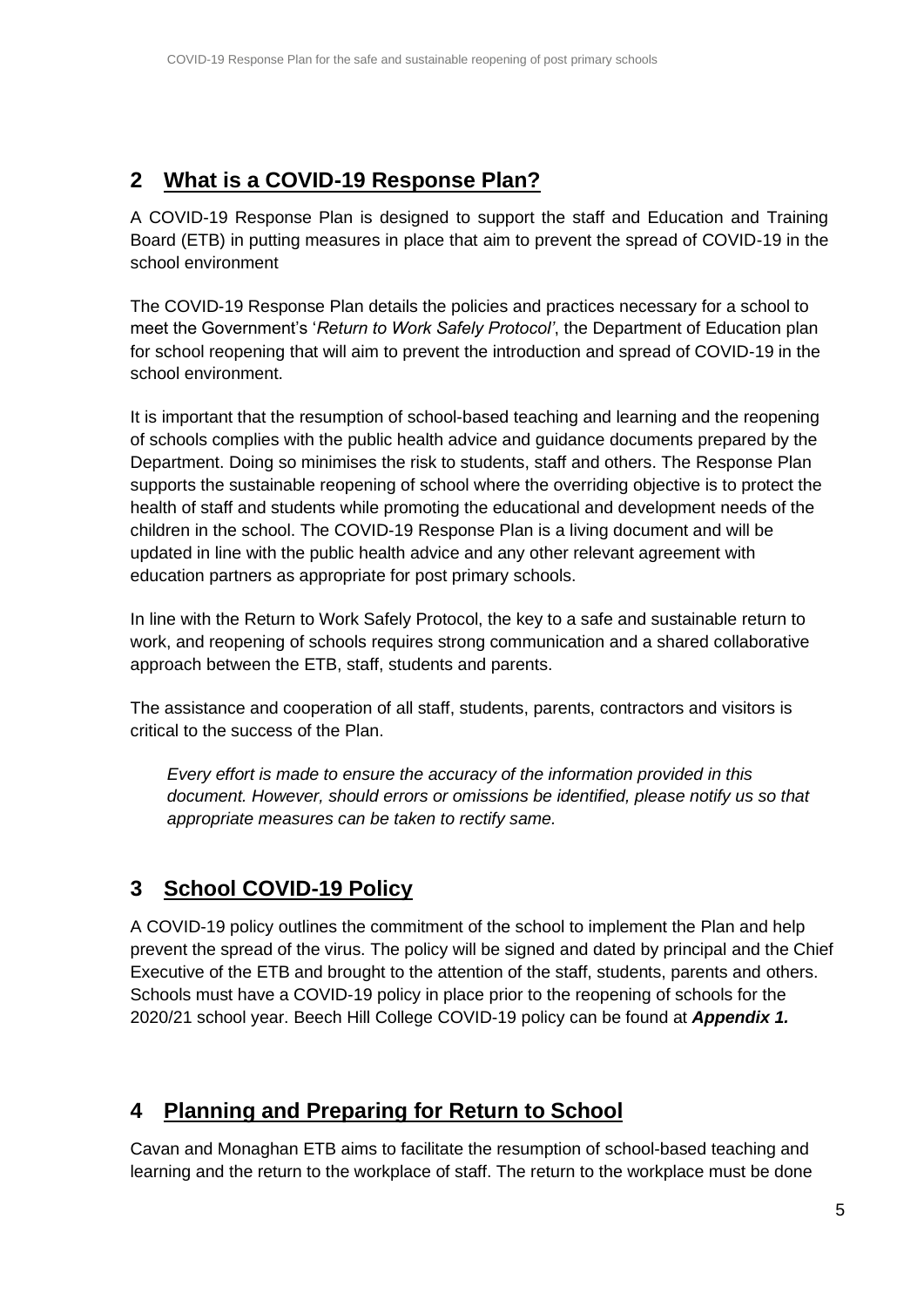# <span id="page-4-0"></span>**2 What is a COVID-19 Response Plan?**

A COVID-19 Response Plan is designed to support the staff and Education and Training Board (ETB) in putting measures in place that aim to prevent the spread of COVID-19 in the school environment

The COVID-19 Response Plan details the policies and practices necessary for a school to meet the Government's '*Return to Work Safely Protocol'*, the Department of Education plan for school reopening that will aim to prevent the introduction and spread of COVID-19 in the school environment.

It is important that the resumption of school-based teaching and learning and the reopening of schools complies with the public health advice and guidance documents prepared by the Department. Doing so minimises the risk to students, staff and others. The Response Plan supports the sustainable reopening of school where the overriding objective is to protect the health of staff and students while promoting the educational and development needs of the children in the school. The COVID-19 Response Plan is a living document and will be updated in line with the public health advice and any other relevant agreement with education partners as appropriate for post primary schools.

In line with the Return to Work Safely Protocol, the key to a safe and sustainable return to work, and reopening of schools requires strong communication and a shared collaborative approach between the ETB, staff, students and parents.

The assistance and cooperation of all staff, students, parents, contractors and visitors is critical to the success of the Plan.

*Every effort is made to ensure the accuracy of the information provided in this document. However, should errors or omissions be identified, please notify us so that appropriate measures can be taken to rectify same.*

# <span id="page-4-1"></span>**3 School COVID-19 Policy**

A COVID-19 policy outlines the commitment of the school to implement the Plan and help prevent the spread of the virus. The policy will be signed and dated by principal and the Chief Executive of the ETB and brought to the attention of the staff, students, parents and others. Schools must have a COVID-19 policy in place prior to the reopening of schools for the 2020/21 school year. Beech Hill College COVID-19 policy can be found at *Appendix 1.*

# <span id="page-4-2"></span>**4 Planning and Preparing for Return to School**

Cavan and Monaghan ETB aims to facilitate the resumption of school-based teaching and learning and the return to the workplace of staff. The return to the workplace must be done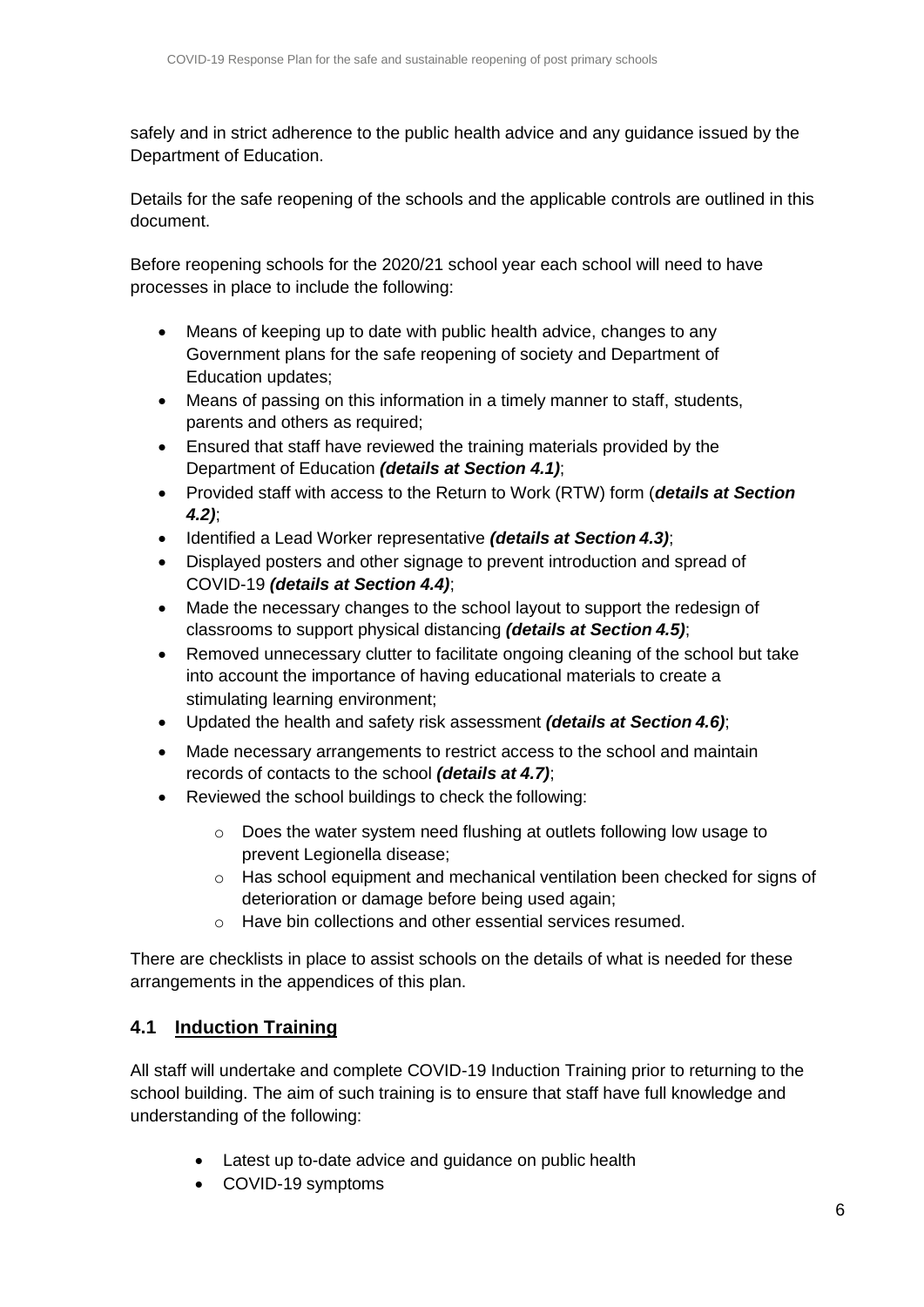safely and in strict adherence to the public health advice and any guidance issued by the Department of Education.

Details for the safe reopening of the schools and the applicable controls are outlined in this document.

Before reopening schools for the 2020/21 school year each school will need to have processes in place to include the following:

- Means of keeping up to date with public health advice, changes to any Government plans for the safe reopening of society and Department of Education updates;
- Means of passing on this information in a timely manner to staff, students, parents and others as required;
- Ensured that staff have reviewed the training materials provided by the Department of Education *(details at Section 4.1)*;
- Provided staff with access to the Return to Work (RTW) form (*details at Section 4.2)*;
- Identified a Lead Worker representative *(details at Section 4.3)*;
- Displayed posters and other signage to prevent introduction and spread of COVID-19 *(details at Section 4.4)*;
- Made the necessary changes to the school layout to support the redesign of classrooms to support physical distancing *(details at Section 4.5)*;
- Removed unnecessary clutter to facilitate ongoing cleaning of the school but take into account the importance of having educational materials to create a stimulating learning environment;
- Updated the health and safety risk assessment *(details at Section 4.6)*;
- Made necessary arrangements to restrict access to the school and maintain records of contacts to the school *(details at 4.7)*;
- Reviewed the school buildings to check the following:
	- o Does the water system need flushing at outlets following low usage to prevent Legionella disease;
	- $\circ$  Has school equipment and mechanical ventilation been checked for signs of deterioration or damage before being used again;
	- o Have bin collections and other essential services resumed.

There are checklists in place to assist schools on the details of what is needed for these arrangements in the appendices of this plan.

## <span id="page-5-0"></span>**4.1 Induction Training**

All staff will undertake and complete COVID-19 Induction Training prior to returning to the school building. The aim of such training is to ensure that staff have full knowledge and understanding of the following:

- Latest up to-date advice and guidance on public health
- COVID-19 symptoms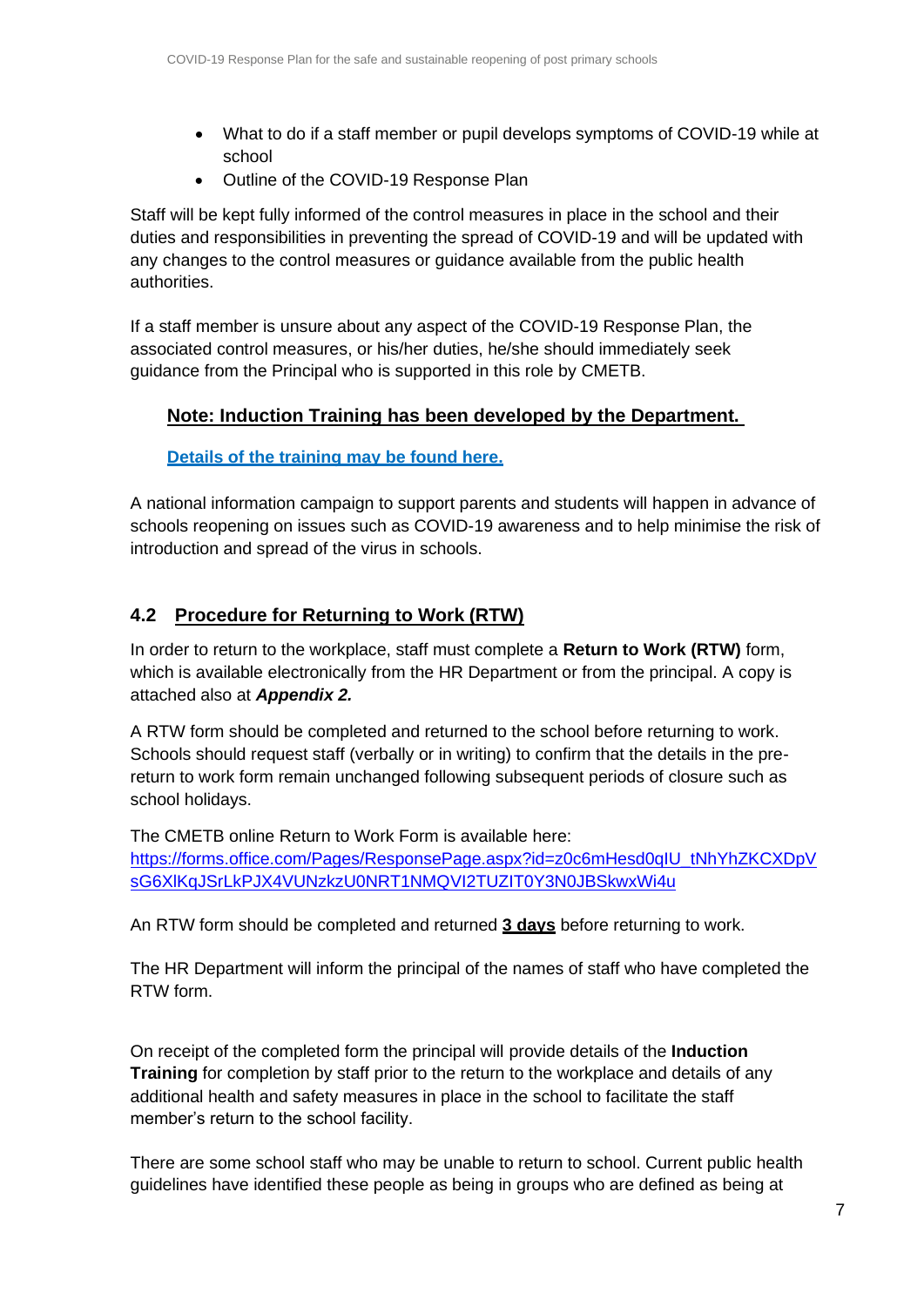- What to do if a staff member or pupil develops symptoms of COVID-19 while at school
- Outline of the COVID-19 Response Plan

Staff will be kept fully informed of the control measures in place in the school and their duties and responsibilities in preventing the spread of COVID-19 and will be updated with any changes to the control measures or guidance available from the public health authorities.

If a staff member is unsure about any aspect of the COVID-19 Response Plan, the associated control measures, or his/her duties, he/she should immediately seek guidance from the Principal who is supported in this role by CMETB.

#### **Note: Induction Training has been developed by the Department.**

#### **[Details of the training](https://www.gov.ie/en/publication/dd7fb-induction-training-for-reopening-schools/) may be found here.**

A national information campaign to support parents and students will happen in advance of schools reopening on issues such as COVID-19 awareness and to help minimise the risk of introduction and spread of the virus in schools.

#### <span id="page-6-0"></span>**4.2 Procedure for Returning to Work (RTW)**

In order to return to the workplace, staff must complete a **Return to Work (RTW)** form, which is available electronically from the HR Department or from the principal. A copy is attached also at *Appendix 2.*

A RTW form should be completed and returned to the school before returning to work. Schools should request staff (verbally or in writing) to confirm that the details in the prereturn to work form remain unchanged following subsequent periods of closure such as school holidays.

The CMETB online Return to Work Form is available here: [https://forms.office.com/Pages/ResponsePage.aspx?id=z0c6mHesd0qIU\\_tNhYhZKCXDpV](https://forms.office.com/Pages/ResponsePage.aspx?id=z0c6mHesd0qIU_tNhYhZKCXDpVsG6XlKqJSrLkPJX4VUNzkzU0NRT1NMQVI2TUZIT0Y3N0JBSkwxWi4u) [sG6XlKqJSrLkPJX4VUNzkzU0NRT1NMQVI2TUZIT0Y3N0JBSkwxWi4u](https://forms.office.com/Pages/ResponsePage.aspx?id=z0c6mHesd0qIU_tNhYhZKCXDpVsG6XlKqJSrLkPJX4VUNzkzU0NRT1NMQVI2TUZIT0Y3N0JBSkwxWi4u)

An RTW form should be completed and returned **3 days** before returning to work.

The HR Department will inform the principal of the names of staff who have completed the RTW form.

On receipt of the completed form the principal will provide details of the **Induction Training** for completion by staff prior to the return to the workplace and details of any additional health and safety measures in place in the school to facilitate the staff member's return to the school facility.

There are some school staff who may be unable to return to school. Current public health guidelines have identified these people as being in groups who are defined as being at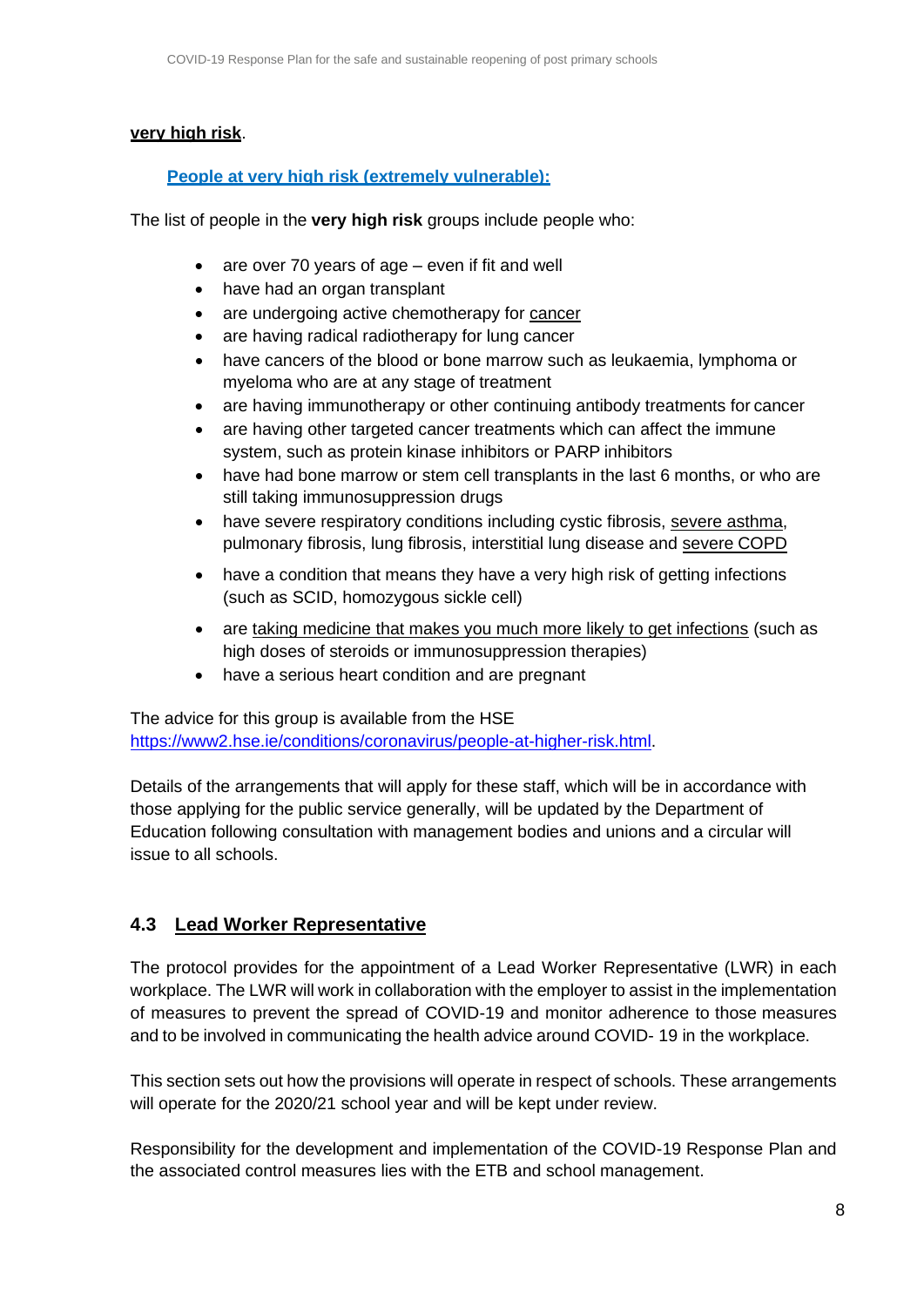#### **very high risk**.

#### **[People at very high risk \(extremely vulnerable\):](https://www2.hse.ie/conditions/coronavirus/people-at-higher-risk.html)**

The list of people in the **very high risk** groups include people who:

- are over 70 years of age even if fit and well
- have had an organ transplant
- are undergoing active chemotherapy for [cancer](https://www2.hse.ie/conditions/coronavirus/cancer-patients.html)
- are having radical radiotherapy for lung cancer
- have cancers of the blood or bone marrow such as leukaemia, lymphoma or myeloma who are at any stage of treatment
- are having immunotherapy or other continuing antibody treatments for cancer
- are having other targeted cancer treatments which can affect the immune system, such as protein kinase inhibitors or PARP inhibitors
- have had bone marrow or stem cell transplants in the last 6 months, or who are still taking immunosuppression drugs
- have severe respiratory conditions including cystic fibrosis, [severe asthma,](https://www2.hse.ie/conditions/coronavirus/asthma.html) pulmonary fibrosis, lung fibrosis, interstitial lung disease and [severe](https://www2.hse.ie/conditions/coronavirus/copd.html) COPD
- have a condition that means they have a very high risk of getting infections (such as SCID, homozygous sickle cell)
- are [taking medicine that makes you much more likely to get infections](https://www2.hse.ie/conditions/coronavirus/weak-immune-system.html) (such as high doses of steroids or immunosuppression therapies)
- have a serious heart condition and are pregnant

The advice for this group is available from the HSE [https://www2.hse.ie/conditions/coronavirus/people-at-higher-risk.html.](https://www2.hse.ie/conditions/coronavirus/people-at-higher-risk.html)

Details of the arrangements that will apply for these staff, which will be in accordance with those applying for the public service generally, will be updated by the Department of Education following consultation with management bodies and unions and a circular will issue to all schools.

## <span id="page-7-0"></span>**4.3 Lead Worker Representative**

The protocol provides for the appointment of a Lead Worker Representative (LWR) in each workplace. The LWR will work in collaboration with the employer to assist in the implementation of measures to prevent the spread of COVID-19 and monitor adherence to those measures and to be involved in communicating the health advice around COVID- 19 in the workplace.

This section sets out how the provisions will operate in respect of schools. These arrangements will operate for the 2020/21 school year and will be kept under review.

Responsibility for the development and implementation of the COVID-19 Response Plan and the associated control measures lies with the ETB and school management.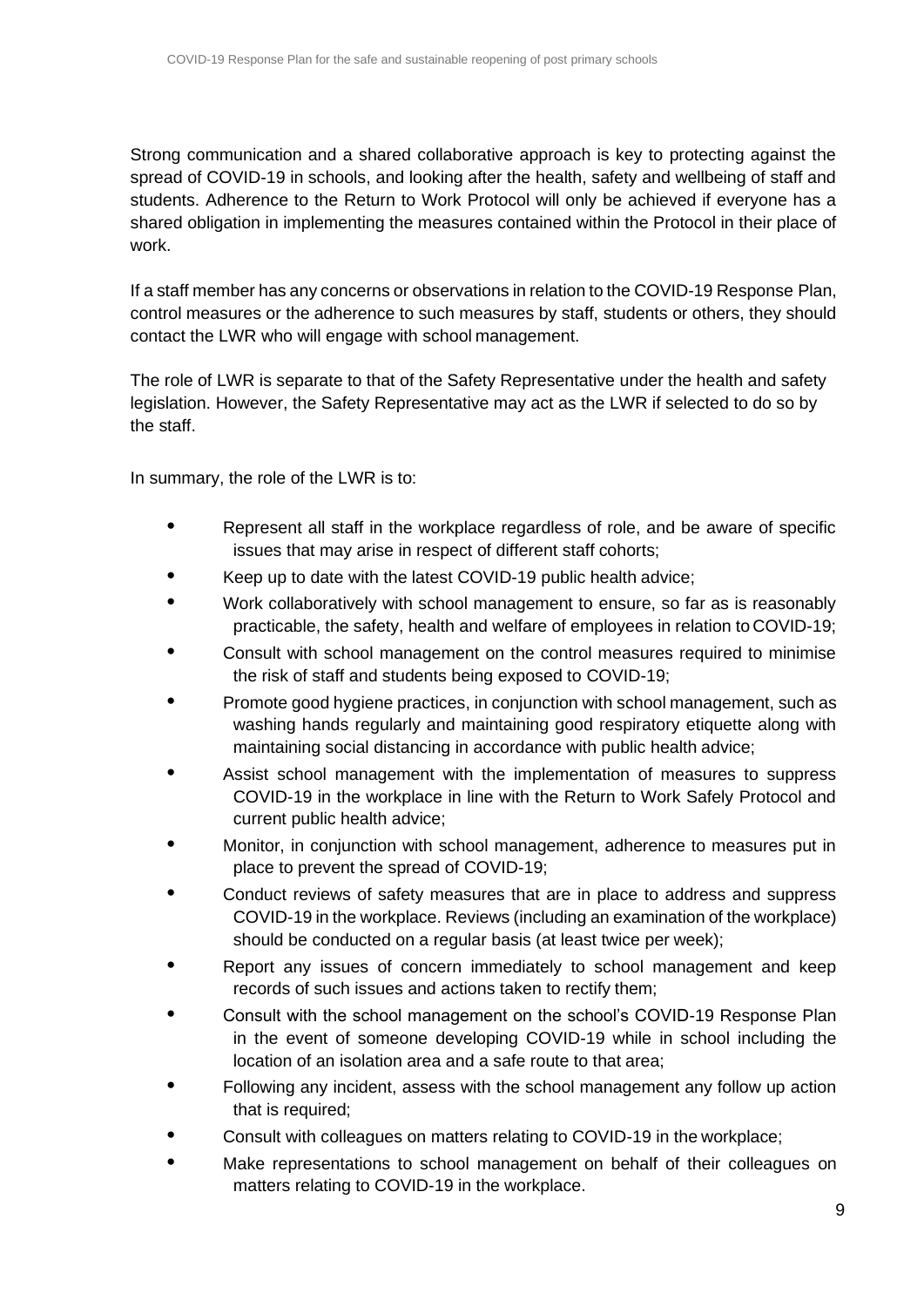Strong communication and a shared collaborative approach is key to protecting against the spread of COVID-19 in schools, and looking after the health, safety and wellbeing of staff and students. Adherence to the Return to Work Protocol will only be achieved if everyone has a shared obligation in implementing the measures contained within the Protocol in their place of work.

If a staff member has any concerns or observations in relation to the COVID-19 Response Plan, control measures or the adherence to such measures by staff, students or others, they should contact the LWR who will engage with school management.

The role of LWR is separate to that of the Safety Representative under the health and safety legislation. However, the Safety Representative may act as the LWR if selected to do so by the staff.

In summary, the role of the LWR is to:

- **•** Represent all staff in the workplace regardless of role, and be aware of specific issues that may arise in respect of different staff cohorts;
- **•** Keep up to date with the latest COVID-19 public health advice;
- **•** Work collaboratively with school management to ensure, so far as is reasonably practicable, the safety, health and welfare of employees in relation to COVID-19;
- **•** Consult with school management on the control measures required to minimise the risk of staff and students being exposed to COVID-19;
- **•** Promote good hygiene practices, in conjunction with school management, such as washing hands regularly and maintaining good respiratory etiquette along with maintaining social distancing in accordance with public health advice;
- **•** Assist school management with the implementation of measures to suppress COVID-19 in the workplace in line with the Return to Work Safely Protocol and current public health advice;
- **•** Monitor, in conjunction with school management, adherence to measures put in place to prevent the spread of COVID-19;
- **•** Conduct reviews of safety measures that are in place to address and suppress COVID-19 in the workplace. Reviews (including an examination of the workplace) should be conducted on a regular basis (at least twice per week);
- **•** Report any issues of concern immediately to school management and keep records of such issues and actions taken to rectify them;
- **•** Consult with the school management on the school's COVID-19 Response Plan in the event of someone developing COVID-19 while in school including the location of an isolation area and a safe route to that area;
- **•** Following any incident, assess with the school management any follow up action that is required;
- **•** Consult with colleagues on matters relating to COVID-19 in the workplace;
- **•** Make representations to school management on behalf of their colleagues on matters relating to COVID-19 in the workplace.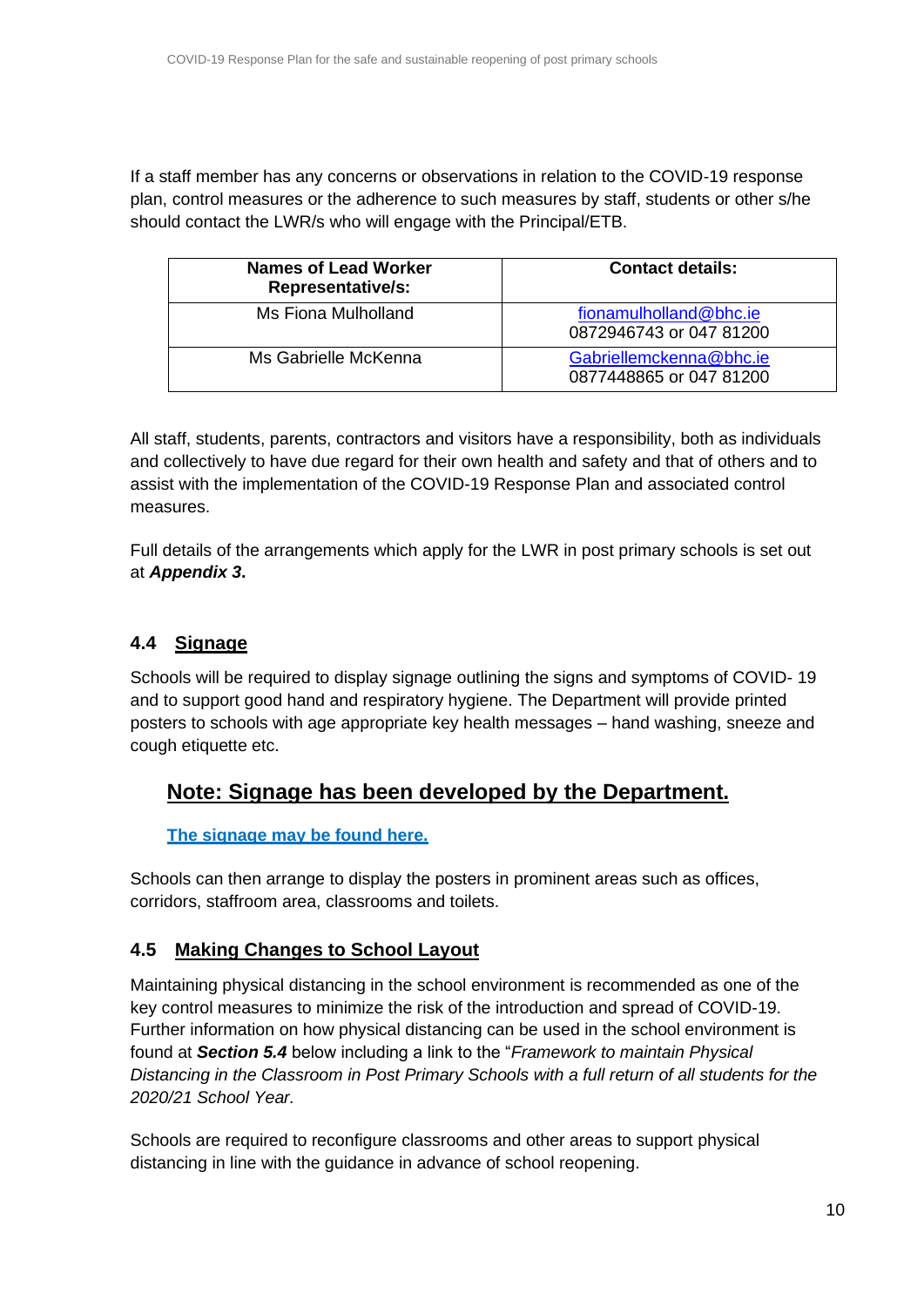If a staff member has any concerns or observations in relation to the COVID-19 response plan, control measures or the adherence to such measures by staff, students or other s/he should contact the LWR/s who will engage with the Principal/ETB.

| <b>Names of Lead Worker</b><br><b>Representative/s:</b> | <b>Contact details:</b>                            |
|---------------------------------------------------------|----------------------------------------------------|
| Ms Fiona Mulholland                                     | fionamulholland@bhc.ie<br>0872946743 or 047 81200  |
| Ms Gabrielle McKenna                                    | Gabriellemckenna@bhc.ie<br>0877448865 or 047 81200 |

All staff, students, parents, contractors and visitors have a responsibility, both as individuals and collectively to have due regard for their own health and safety and that of others and to assist with the implementation of the COVID-19 Response Plan and associated control measures.

Full details of the arrangements which apply for the LWR in post primary schools is set out at *Appendix 3***.**

## <span id="page-9-0"></span>**4.4 Signage**

Schools will be required to display signage outlining the signs and symptoms of COVID- 19 and to support good hand and respiratory hygiene. The Department will provide printed posters to schools with age appropriate key health messages – hand washing, sneeze and cough etiquette etc.

# **Note: Signage has been developed by the Department.**

## **The signage [may be found here.](https://www.gov.ie/en/publication/2da43-signage-for-reopening-of-schools/)**

Schools can then arrange to display the posters in prominent areas such as offices, corridors, staffroom area, classrooms and toilets.

## <span id="page-9-1"></span>**4.5 Making Changes to School Layout**

Maintaining physical distancing in the school environment is recommended as one of the key control measures to minimize the risk of the introduction and spread of COVID-19. Further information on how physical distancing can be used in the school environment is found at *Section 5.4* below including a link to the "*Framework to maintain Physical Distancing in the Classroom in Post Primary Schools with a full return of all students for the 2020/21 School Year.*

Schools are required to reconfigure classrooms and other areas to support physical distancing in line with the guidance in advance of school reopening.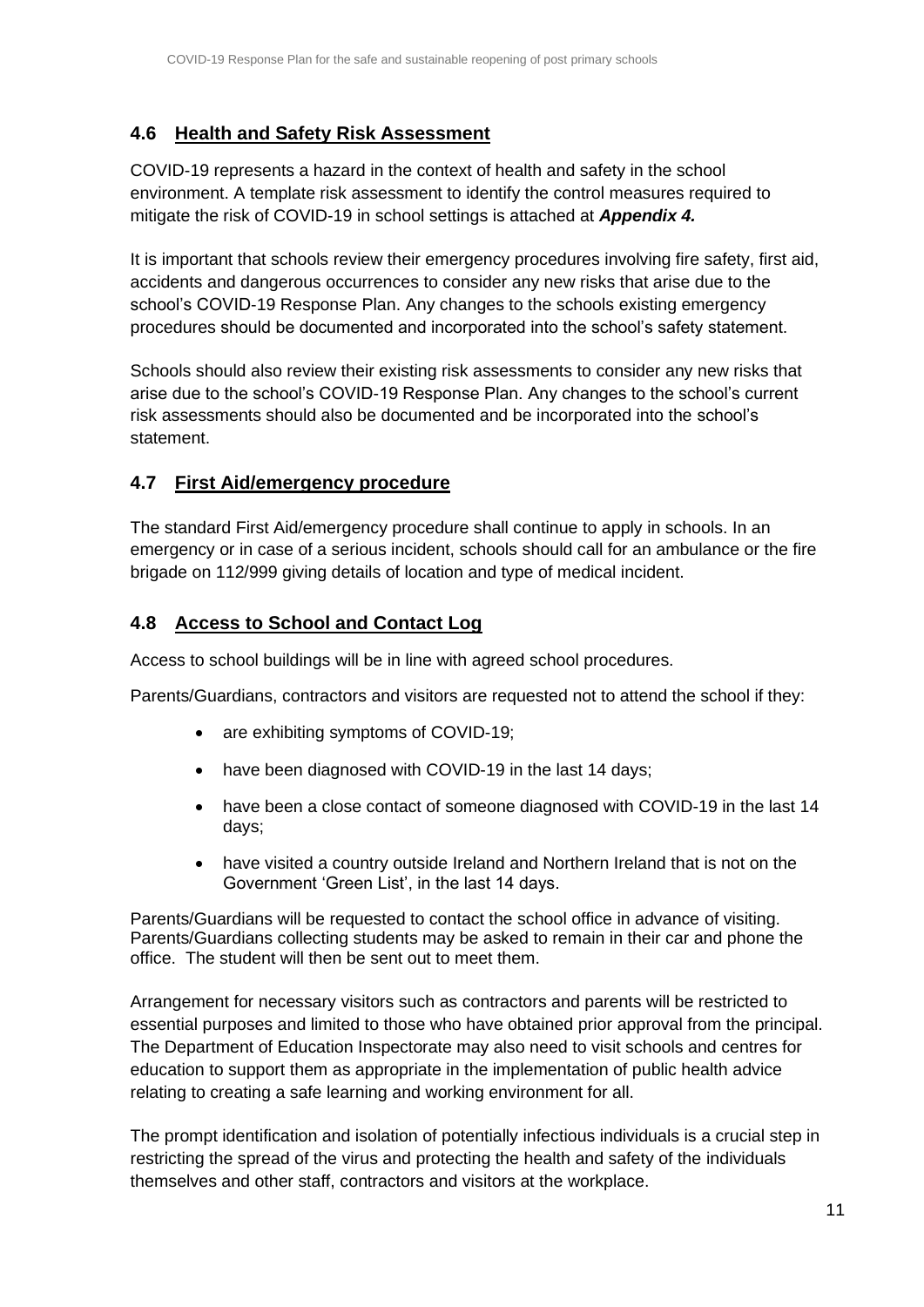## <span id="page-10-0"></span>**4.6 Health and Safety Risk Assessment**

COVID-19 represents a hazard in the context of health and safety in the school environment. A template risk assessment to identify the control measures required to mitigate the risk of COVID-19 in school settings is attached at *Appendix 4.*

It is important that schools review their emergency procedures involving fire safety, first aid, accidents and dangerous occurrences to consider any new risks that arise due to the school's COVID-19 Response Plan. Any changes to the schools existing emergency procedures should be documented and incorporated into the school's safety statement.

Schools should also review their existing risk assessments to consider any new risks that arise due to the school's COVID-19 Response Plan. Any changes to the school's current risk assessments should also be documented and be incorporated into the school's statement.

## <span id="page-10-1"></span>**4.7 First Aid/emergency procedure**

The standard First Aid/emergency procedure shall continue to apply in schools. In an emergency or in case of a serious incident, schools should call for an ambulance or the fire brigade on 112/999 giving details of location and type of medical incident.

## <span id="page-10-2"></span>**4.8 Access to School and Contact Log**

Access to school buildings will be in line with agreed school procedures.

Parents/Guardians, contractors and visitors are requested not to attend the school if they:

- are exhibiting symptoms of COVID-19;
- have been diagnosed with COVID-19 in the last 14 days;
- have been a close contact of someone diagnosed with COVID-19 in the last 14 days;
- have visited a country outside Ireland and Northern Ireland that is not on the Government 'Green List', in the last 14 days.

Parents/Guardians will be requested to contact the school office in advance of visiting. Parents/Guardians collecting students may be asked to remain in their car and phone the office. The student will then be sent out to meet them.

Arrangement for necessary visitors such as contractors and parents will be restricted to essential purposes and limited to those who have obtained prior approval from the principal. The Department of Education Inspectorate may also need to visit schools and centres for education to support them as appropriate in the implementation of public health advice relating to creating a safe learning and working environment for all.

The prompt identification and isolation of potentially infectious individuals is a crucial step in restricting the spread of the virus and protecting the health and safety of the individuals themselves and other staff, contractors and visitors at the workplace.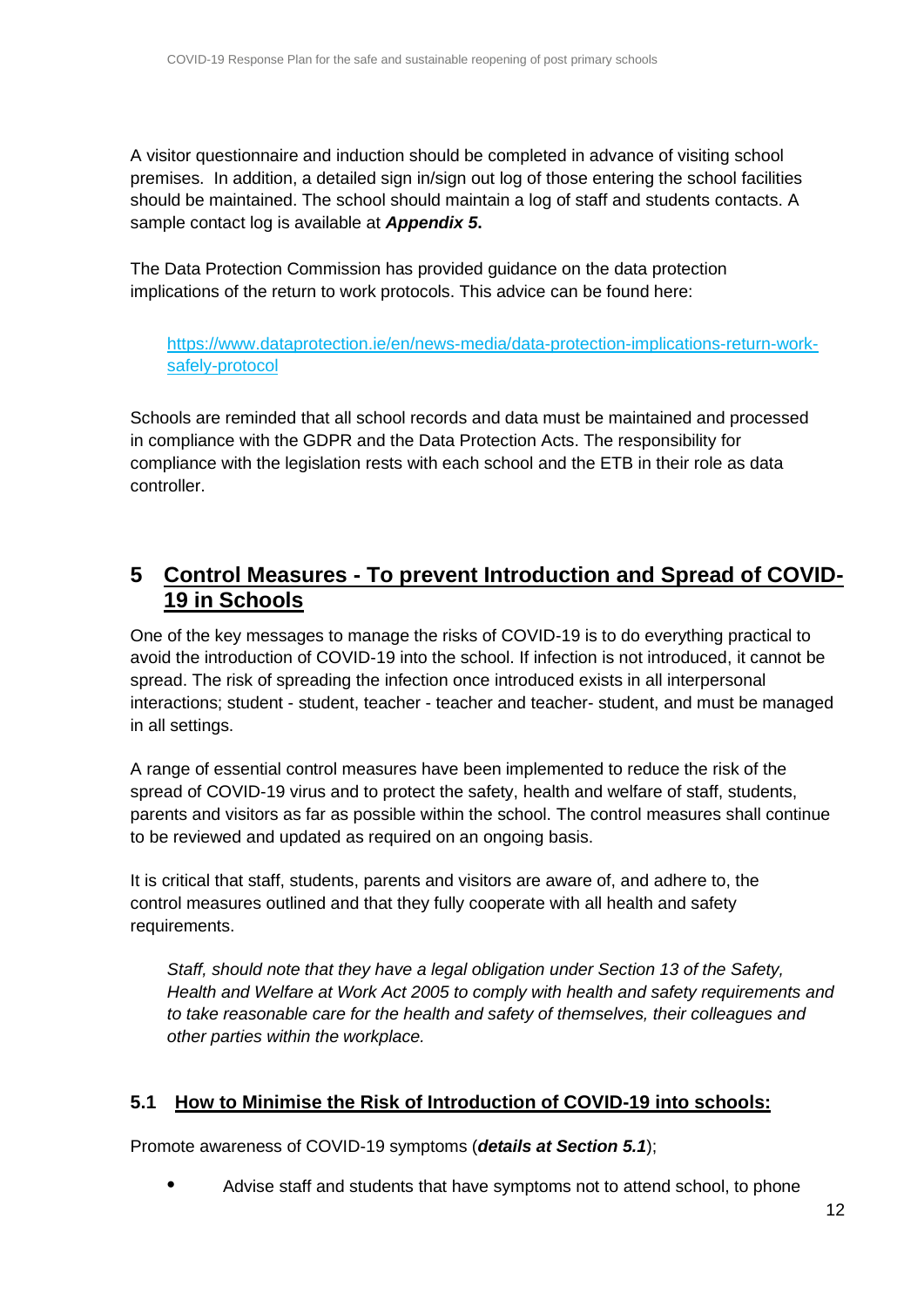A visitor questionnaire and induction should be completed in advance of visiting school premises. In addition, a detailed sign in/sign out log of those entering the school facilities should be maintained. The school should maintain a log of staff and students contacts. A sample contact log is available at *Appendix 5***.**

The Data Protection Commission has provided guidance on the data protection implications of the return to work protocols. This advice can be found here:

[https://www.dataprotection.ie/en/news-media/data-protection-implications-return-work](https://www.dataprotection.ie/en/news-media/data-protection-implications-return-work-safely-protocol)[safely-protocol](https://www.dataprotection.ie/en/news-media/data-protection-implications-return-work-safely-protocol)

Schools are reminded that all school records and data must be maintained and processed in compliance with the GDPR and the Data Protection Acts. The responsibility for compliance with the legislation rests with each school and the ETB in their role as data controller.

## <span id="page-11-0"></span>**5 Control Measures - To prevent Introduction and Spread of COVID-19 in Schools**

One of the key messages to manage the risks of COVID-19 is to do everything practical to avoid the introduction of COVID-19 into the school. If infection is not introduced, it cannot be spread. The risk of spreading the infection once introduced exists in all interpersonal interactions; student - student, teacher - teacher and teacher- student, and must be managed in all settings.

A range of essential control measures have been implemented to reduce the risk of the spread of COVID-19 virus and to protect the safety, health and welfare of staff, students, parents and visitors as far as possible within the school. The control measures shall continue to be reviewed and updated as required on an ongoing basis.

It is critical that staff, students, parents and visitors are aware of, and adhere to, the control measures outlined and that they fully cooperate with all health and safety requirements.

*Staff, should note that they have a legal obligation under Section 13 of the Safety, Health and Welfare at Work Act 2005 to comply with health and safety requirements and to take reasonable care for the health and safety of themselves, their colleagues and other parties within the workplace.*

## <span id="page-11-1"></span>**5.1 How to Minimise the Risk of Introduction of COVID-19 into schools:**

Promote awareness of COVID-19 symptoms (*details at Section 5.1*);

**•** Advise staff and students that have symptoms not to attend school, to phone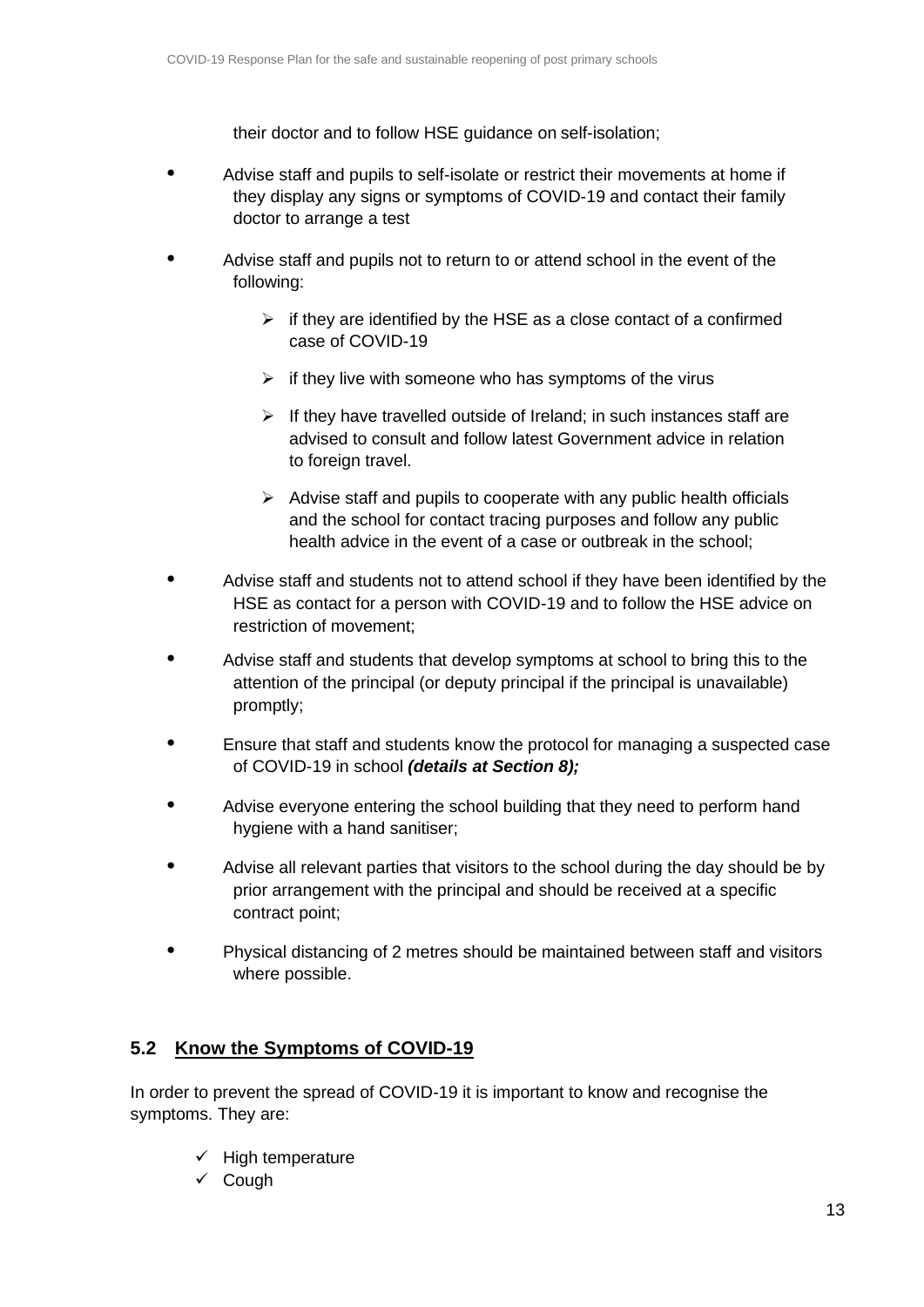their doctor and to follow HSE guidance on self-isolation;

- **•** Advise staff and pupils to self-isolate or restrict their movements at home if they display any signs or symptoms of COVID-19 and contact their family doctor to arrange a test
- **•** Advise staff and pupils not to return to or attend school in the event of the following:
	- $\triangleright$  if they are identified by the HSE as a close contact of a confirmed case of COVID-19
	- $\triangleright$  if they live with someone who has symptoms of the virus
	- $\triangleright$  If they have travelled outside of Ireland; in such instances staff are advised to consult and follow latest Government advice in relation to foreign travel.
	- $\triangleright$  Advise staff and pupils to cooperate with any public health officials and the school for contact tracing purposes and follow any public health advice in the event of a case or outbreak in the school;
- **•** Advise staff and students not to attend school if they have been identified by the HSE as contact for a person with COVID-19 and to follow the HSE advice on restriction of movement;
- **•** Advise staff and students that develop symptoms at school to bring this to the attention of the principal (or deputy principal if the principal is unavailable) promptly;
- **•** Ensure that staff and students know the protocol for managing a suspected case of COVID-19 in school *(details at Section 8);*
- **•** Advise everyone entering the school building that they need to perform hand hygiene with a hand sanitiser;
- **•** Advise all relevant parties that visitors to the school during the day should be by prior arrangement with the principal and should be received at a specific contract point;
- **•** Physical distancing of 2 metres should be maintained between staff and visitors where possible.

## <span id="page-12-0"></span>**5.2 Know the Symptoms of COVID-19**

In order to prevent the spread of COVID-19 it is important to know and recognise the symptoms. They are:

- $\checkmark$  High temperature
- ✓ Cough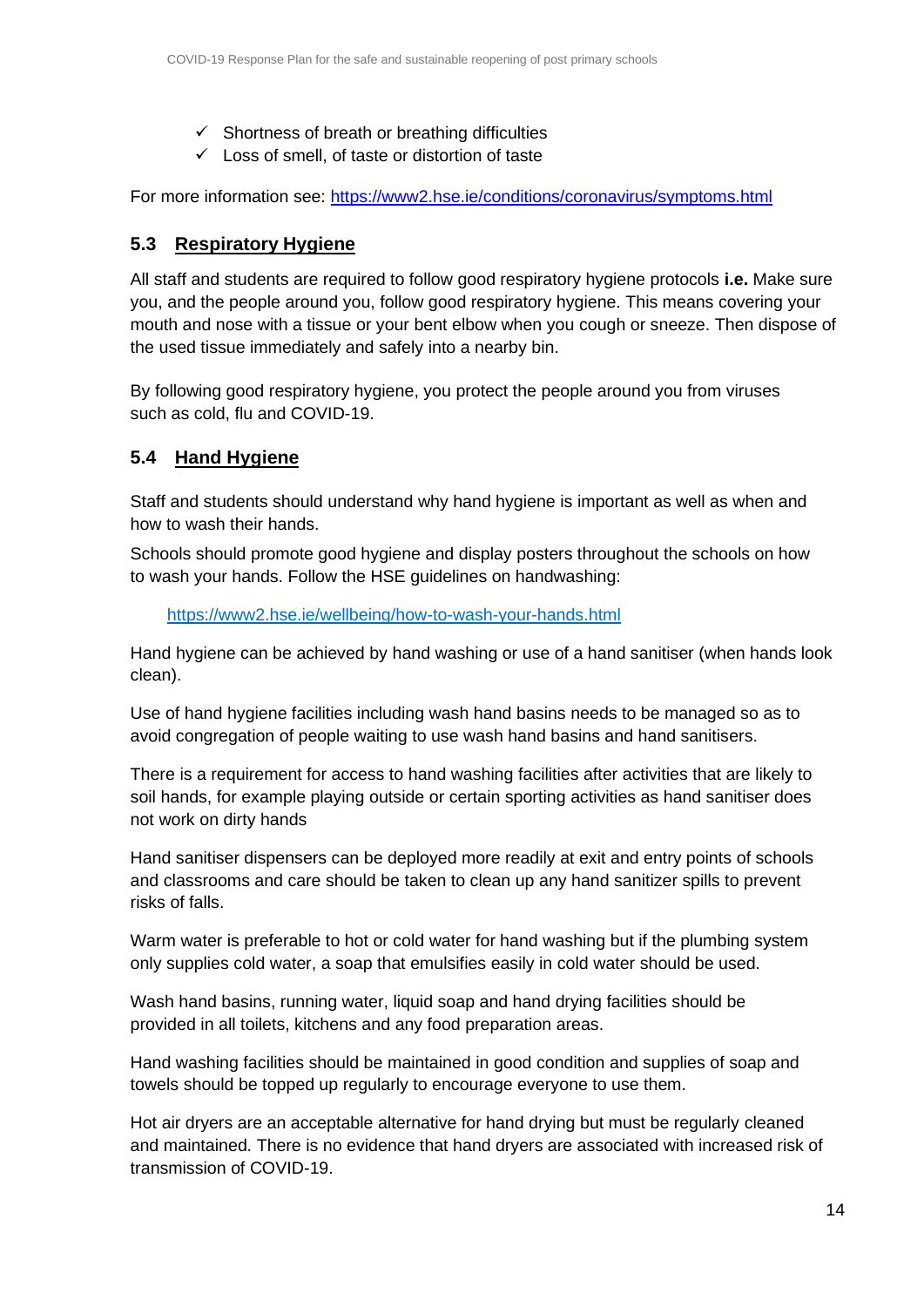- $\checkmark$  Shortness of breath or breathing difficulties
- $\checkmark$  Loss of smell, of taste or distortion of taste

For more information see:<https://www2.hse.ie/conditions/coronavirus/symptoms.html>

## <span id="page-13-0"></span>**5.3 Respiratory Hygiene**

All staff and students are required to follow good respiratory hygiene protocols **i.e.** Make sure you, and the people around you, follow good respiratory hygiene. This means covering your mouth and nose with a tissue or your bent elbow when you cough or sneeze. Then dispose of the used tissue immediately and safely into a nearby bin.

By following good respiratory hygiene, you protect the people around you from viruses such as cold, flu and COVID-19.

## <span id="page-13-1"></span>**5.4 Hand Hygiene**

Staff and students should understand why hand hygiene is important as well as when and how to wash their hands.

Schools should promote good hygiene and display posters throughout the schools on how to wash your hands. Follow the HSE guidelines on handwashing:

<https://www2.hse.ie/wellbeing/how-to-wash-your-hands.html>

Hand hygiene can be achieved by hand washing or use of a hand sanitiser (when hands look clean).

Use of hand hygiene facilities including wash hand basins needs to be managed so as to avoid congregation of people waiting to use wash hand basins and hand sanitisers.

There is a requirement for access to hand washing facilities after activities that are likely to soil hands, for example playing outside or certain sporting activities as hand sanitiser does not work on dirty hands

Hand sanitiser dispensers can be deployed more readily at exit and entry points of schools and classrooms and care should be taken to clean up any hand sanitizer spills to prevent risks of falls.

Warm water is preferable to hot or cold water for hand washing but if the plumbing system only supplies cold water, a soap that emulsifies easily in cold water should be used.

Wash hand basins, running water, liquid soap and hand drying facilities should be provided in all toilets, kitchens and any food preparation areas.

Hand washing facilities should be maintained in good condition and supplies of soap and towels should be topped up regularly to encourage everyone to use them.

Hot air dryers are an acceptable alternative for hand drying but must be regularly cleaned and maintained. There is no evidence that hand dryers are associated with increased risk of transmission of COVID-19.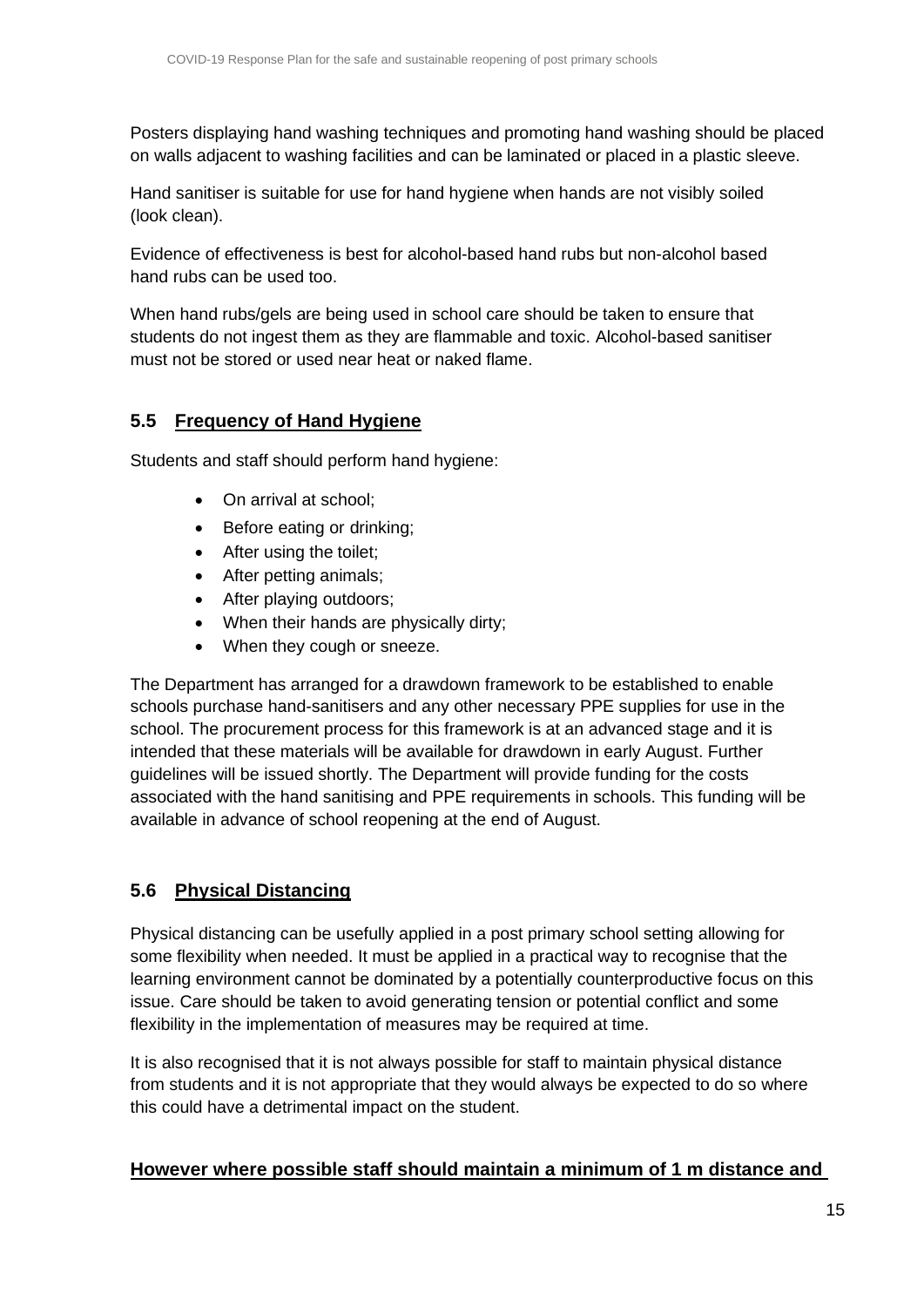Posters displaying hand washing techniques and promoting hand washing should be placed on walls adjacent to washing facilities and can be laminated or placed in a plastic sleeve.

Hand sanitiser is suitable for use for hand hygiene when hands are not visibly soiled (look clean).

Evidence of effectiveness is best for alcohol-based hand rubs but non-alcohol based hand rubs can be used too.

When hand rubs/gels are being used in school care should be taken to ensure that students do not ingest them as they are flammable and toxic. Alcohol-based sanitiser must not be stored or used near heat or naked flame.

## <span id="page-14-0"></span>**5.5 Frequency of Hand Hygiene**

Students and staff should perform hand hygiene:

- On arrival at school;
- Before eating or drinking;
- After using the toilet;
- After petting animals;
- After playing outdoors;
- When their hands are physically dirty;
- When they cough or sneeze.

The Department has arranged for a drawdown framework to be established to enable schools purchase hand-sanitisers and any other necessary PPE supplies for use in the school. The procurement process for this framework is at an advanced stage and it is intended that these materials will be available for drawdown in early August. Further guidelines will be issued shortly. The Department will provide funding for the costs associated with the hand sanitising and PPE requirements in schools. This funding will be available in advance of school reopening at the end of August.

## <span id="page-14-1"></span>**5.6 Physical Distancing**

Physical distancing can be usefully applied in a post primary school setting allowing for some flexibility when needed. It must be applied in a practical way to recognise that the learning environment cannot be dominated by a potentially counterproductive focus on this issue. Care should be taken to avoid generating tension or potential conflict and some flexibility in the implementation of measures may be required at time.

It is also recognised that it is not always possible for staff to maintain physical distance from students and it is not appropriate that they would always be expected to do so where this could have a detrimental impact on the student.

## **However where possible staff should maintain a minimum of 1 m distance and**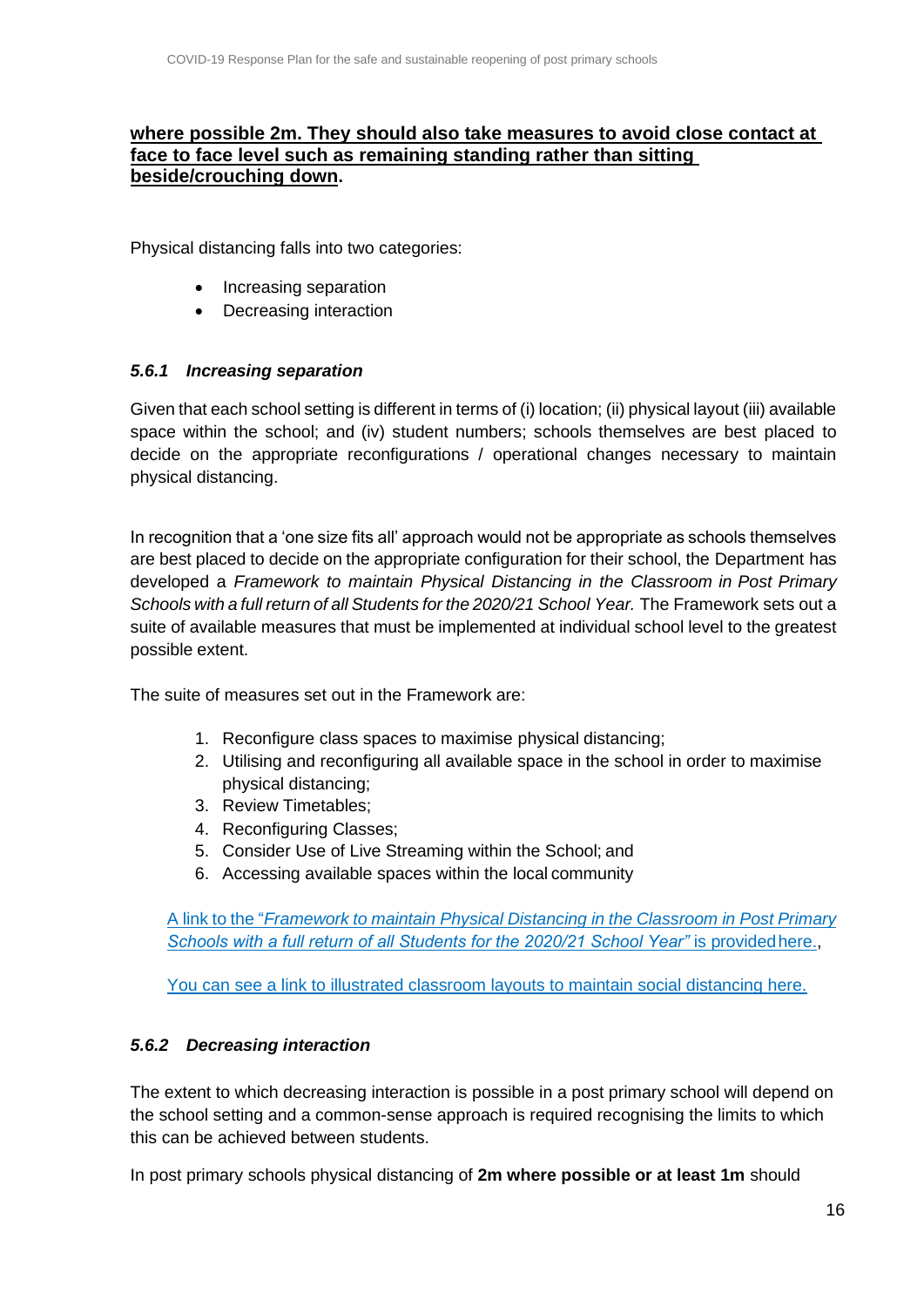#### **where possible 2m. They should also take measures to avoid close contact at face to face level such as remaining standing rather than sitting beside/crouching down.**

Physical distancing falls into two categories:

- Increasing separation
- Decreasing interaction

#### <span id="page-15-0"></span>*5.6.1 Increasing separation*

Given that each school setting is different in terms of (i) location; (ii) physical layout (iii) available space within the school; and (iv) student numbers; schools themselves are best placed to decide on the appropriate reconfigurations / operational changes necessary to maintain physical distancing.

In recognition that a 'one size fits all' approach would not be appropriate as schools themselves are best placed to decide on the appropriate configuration for their school, the Department has developed a *Framework to maintain Physical Distancing in the Classroom in Post Primary Schools with a full return of all Students for the 2020/21 School Year.* The Framework sets out a suite of available measures that must be implemented at individual school level to the greatest possible extent.

The suite of measures set out in the Framework are:

- 1. Reconfigure class spaces to maximise physical distancing;
- 2. Utilising and reconfiguring all available space in the school in order to maximise physical distancing;
- 3. Review Timetables;
- 4. Reconfiguring Classes;
- 5. Consider Use of Live Streaming within the School; and
- 6. Accessing available spaces within the local community

A link to the "*[Framework](https://s3-eu-west-1.amazonaws.com/govieassets/81944/9e07fb09-c87d-4db3-a269-814b5117805b.docx) to maintain Physical Distancing in the Classroom in Post Primary [Schools with a full return of all Students for the 2020/21 School Year"](https://s3-eu-west-1.amazonaws.com/govieassets/81944/9e07fb09-c87d-4db3-a269-814b5117805b.docx) is provided here.,* 

[You can see a link to illustrated classroom layouts to maintain social distancing here.](https://s3-eu-west-1.amazonaws.com/govieassets/81947/e89b3523-78ee-45cb-ae14-c13d143b889b.pdf)

#### <span id="page-15-1"></span>*5.6.2 Decreasing interaction*

The extent to which decreasing interaction is possible in a post primary school will depend on the school setting and a common-sense approach is required recognising the limits to which this can be achieved between students.

In post primary schools physical distancing of **2m where possible or at least 1m** should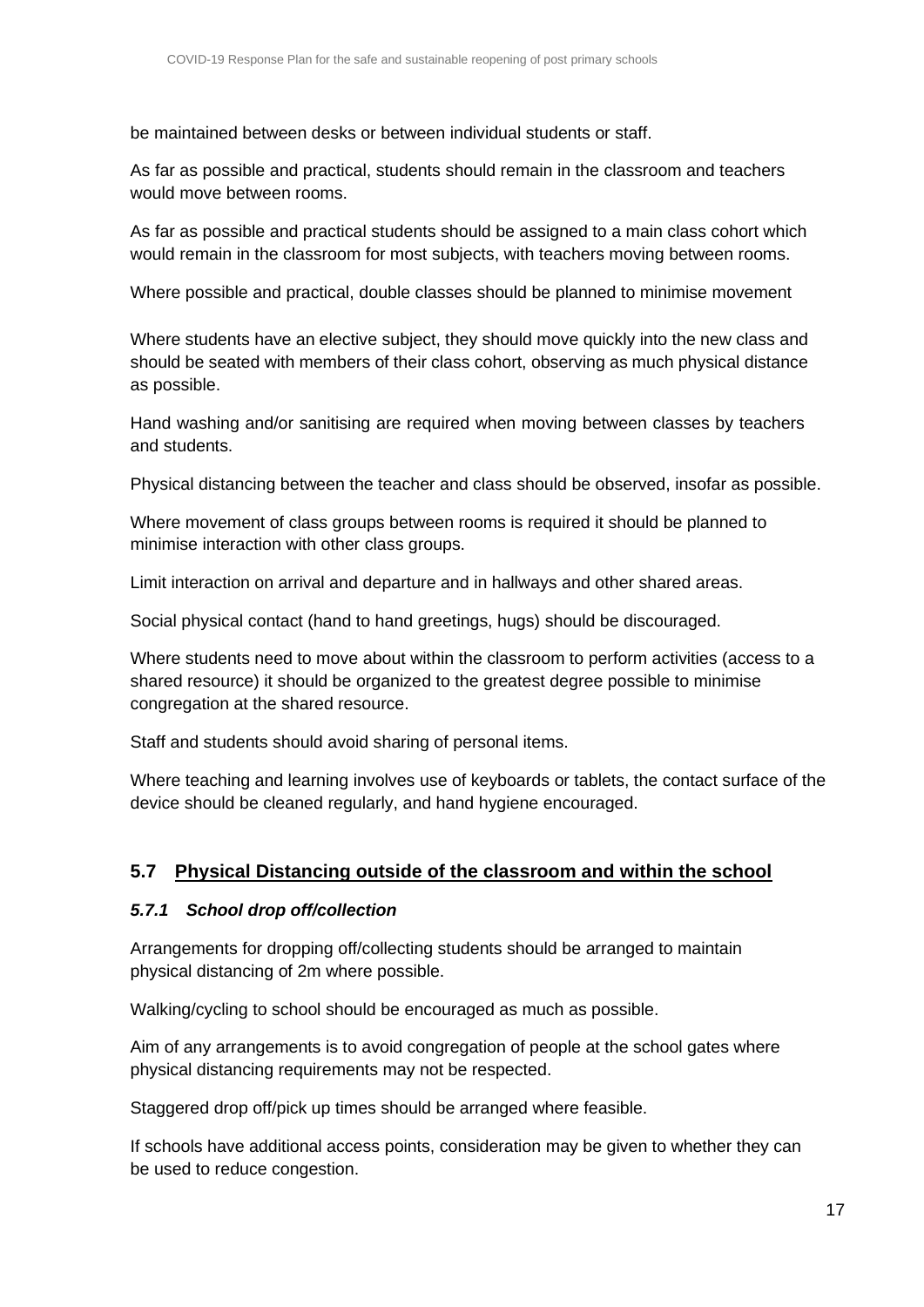be maintained between desks or between individual students or staff.

As far as possible and practical, students should remain in the classroom and teachers would move between rooms.

As far as possible and practical students should be assigned to a main class cohort which would remain in the classroom for most subjects, with teachers moving between rooms.

Where possible and practical, double classes should be planned to minimise movement

Where students have an elective subject, they should move quickly into the new class and should be seated with members of their class cohort, observing as much physical distance as possible.

Hand washing and/or sanitising are required when moving between classes by teachers and students.

Physical distancing between the teacher and class should be observed, insofar as possible.

Where movement of class groups between rooms is required it should be planned to minimise interaction with other class groups.

Limit interaction on arrival and departure and in hallways and other shared areas.

Social physical contact (hand to hand greetings, hugs) should be discouraged.

Where students need to move about within the classroom to perform activities (access to a shared resource) it should be organized to the greatest degree possible to minimise congregation at the shared resource.

Staff and students should avoid sharing of personal items.

Where teaching and learning involves use of keyboards or tablets, the contact surface of the device should be cleaned regularly, and hand hygiene encouraged.

#### <span id="page-16-0"></span>**5.7 Physical Distancing outside of the classroom and within the school**

#### <span id="page-16-1"></span>*5.7.1 School drop off/collection*

Arrangements for dropping off/collecting students should be arranged to maintain physical distancing of 2m where possible.

Walking/cycling to school should be encouraged as much as possible.

Aim of any arrangements is to avoid congregation of people at the school gates where physical distancing requirements may not be respected.

Staggered drop off/pick up times should be arranged where feasible.

If schools have additional access points, consideration may be given to whether they can be used to reduce congestion.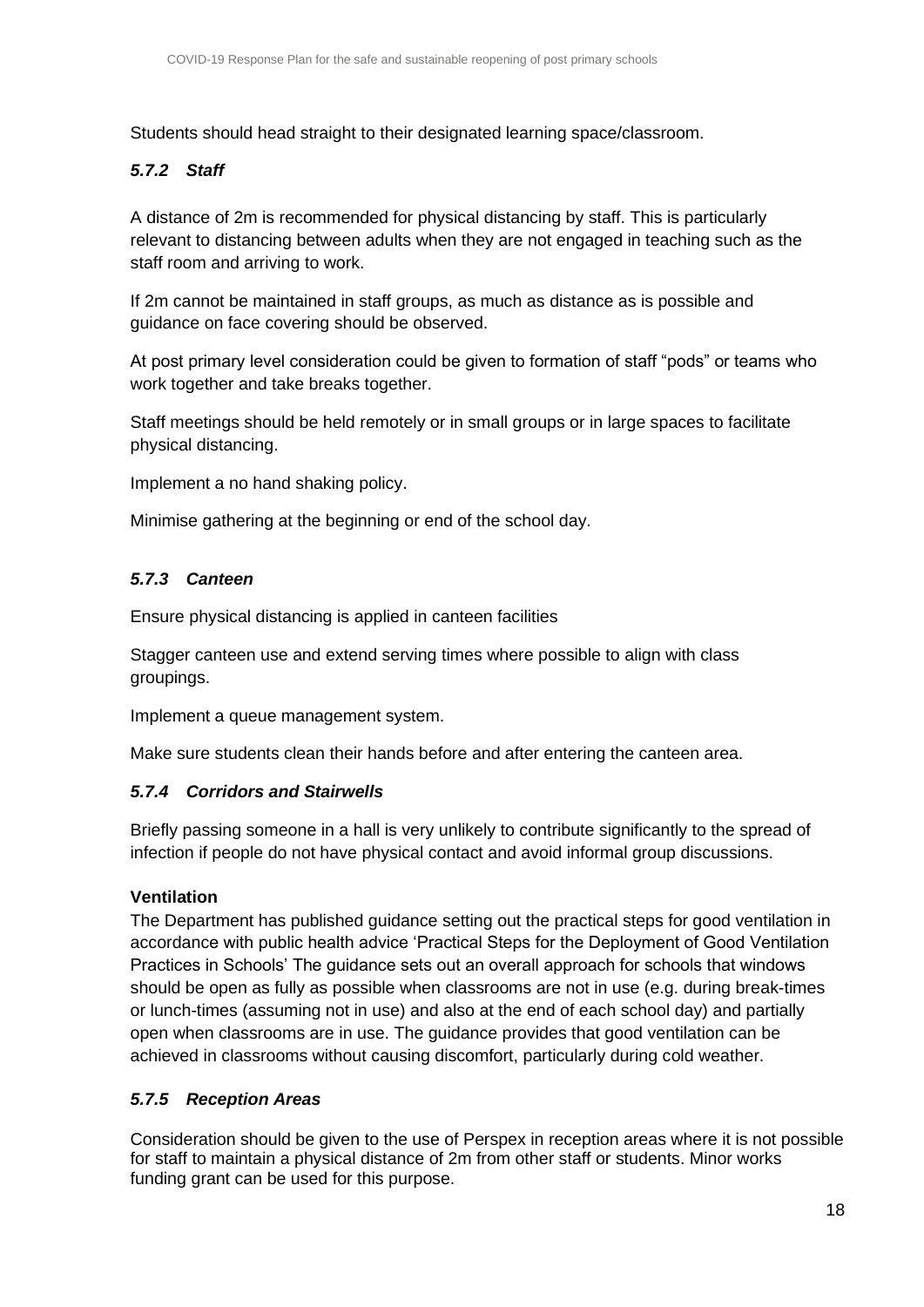Students should head straight to their designated learning space/classroom.

#### <span id="page-17-0"></span>*5.7.2 Staff*

A distance of 2m is recommended for physical distancing by staff. This is particularly relevant to distancing between adults when they are not engaged in teaching such as the staff room and arriving to work.

If 2m cannot be maintained in staff groups, as much as distance as is possible and guidance on face covering should be observed.

At post primary level consideration could be given to formation of staff "pods" or teams who work together and take breaks together.

Staff meetings should be held remotely or in small groups or in large spaces to facilitate physical distancing.

Implement a no hand shaking policy.

Minimise gathering at the beginning or end of the school day.

#### <span id="page-17-1"></span>*5.7.3 Canteen*

Ensure physical distancing is applied in canteen facilities

Stagger canteen use and extend serving times where possible to align with class groupings.

Implement a queue management system.

Make sure students clean their hands before and after entering the canteen area.

#### <span id="page-17-2"></span>*5.7.4 Corridors and Stairwells*

Briefly passing someone in a hall is very unlikely to contribute significantly to the spread of infection if people do not have physical contact and avoid informal group discussions.

#### **Ventilation**

The Department has published guidance setting out the practical steps for good ventilation in accordance with public health advice 'Practical Steps for the Deployment of Good Ventilation Practices in Schools' The guidance sets out an overall approach for schools that windows should be open as fully as possible when classrooms are not in use (e.g. during break-times or lunch-times (assuming not in use) and also at the end of each school day) and partially open when classrooms are in use. The guidance provides that good ventilation can be achieved in classrooms without causing discomfort, particularly during cold weather.

#### <span id="page-17-3"></span>*5.7.5 Reception Areas*

Consideration should be given to the use of Perspex in reception areas where it is not possible for staff to maintain a physical distance of 2m from other staff or students. Minor works funding grant can be used for this purpose.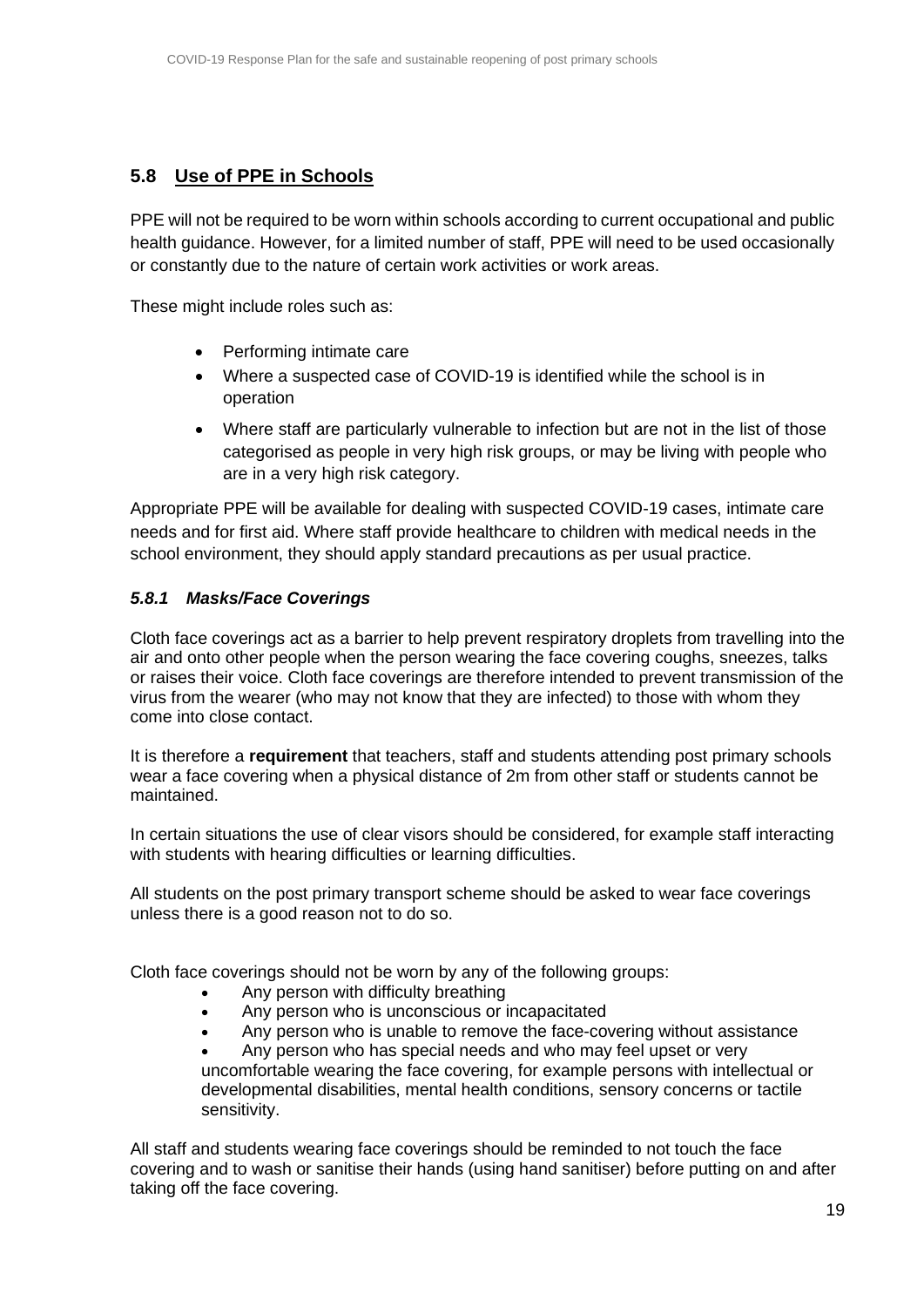## <span id="page-18-0"></span>**5.8 Use of PPE in Schools**

PPE will not be required to be worn within schools according to current occupational and public health guidance. However, for a limited number of staff, PPE will need to be used occasionally or constantly due to the nature of certain work activities or work areas.

These might include roles such as:

- Performing intimate care
- Where a suspected case of COVID-19 is identified while the school is in operation
- Where staff are particularly vulnerable to infection but are not in the list of those categorised as people in very high risk groups, or may be living with people who are in a very high risk category.

Appropriate PPE will be available for dealing with suspected COVID-19 cases, intimate care needs and for first aid. Where staff provide healthcare to children with medical needs in the school environment, they should apply standard precautions as per usual practice.

#### <span id="page-18-1"></span>*5.8.1 Masks/Face Coverings*

Cloth face coverings act as a barrier to help prevent respiratory droplets from travelling into the air and onto other people when the person wearing the face covering coughs, sneezes, talks or raises their voice. Cloth face coverings are therefore intended to prevent transmission of the virus from the wearer (who may not know that they are infected) to those with whom they come into close contact.

It is therefore a **requirement** that teachers, staff and students attending post primary schools wear a face covering when a physical distance of 2m from other staff or students cannot be maintained.

In certain situations the use of clear visors should be considered, for example staff interacting with students with hearing difficulties or learning difficulties.

All students on the post primary transport scheme should be asked to wear face coverings unless there is a good reason not to do so.

Cloth face coverings should not be worn by any of the following groups:

- Any person with difficulty breathing
- Any person who is unconscious or incapacitated
	- Any person who is unable to remove the face-covering without assistance

• Any person who has special needs and who may feel upset or very uncomfortable wearing the face covering, for example persons with intellectual or developmental disabilities, mental health conditions, sensory concerns or tactile sensitivity.

All staff and students wearing face coverings should be reminded to not touch the face covering and to wash or sanitise their hands (using hand sanitiser) before putting on and after taking off the face covering.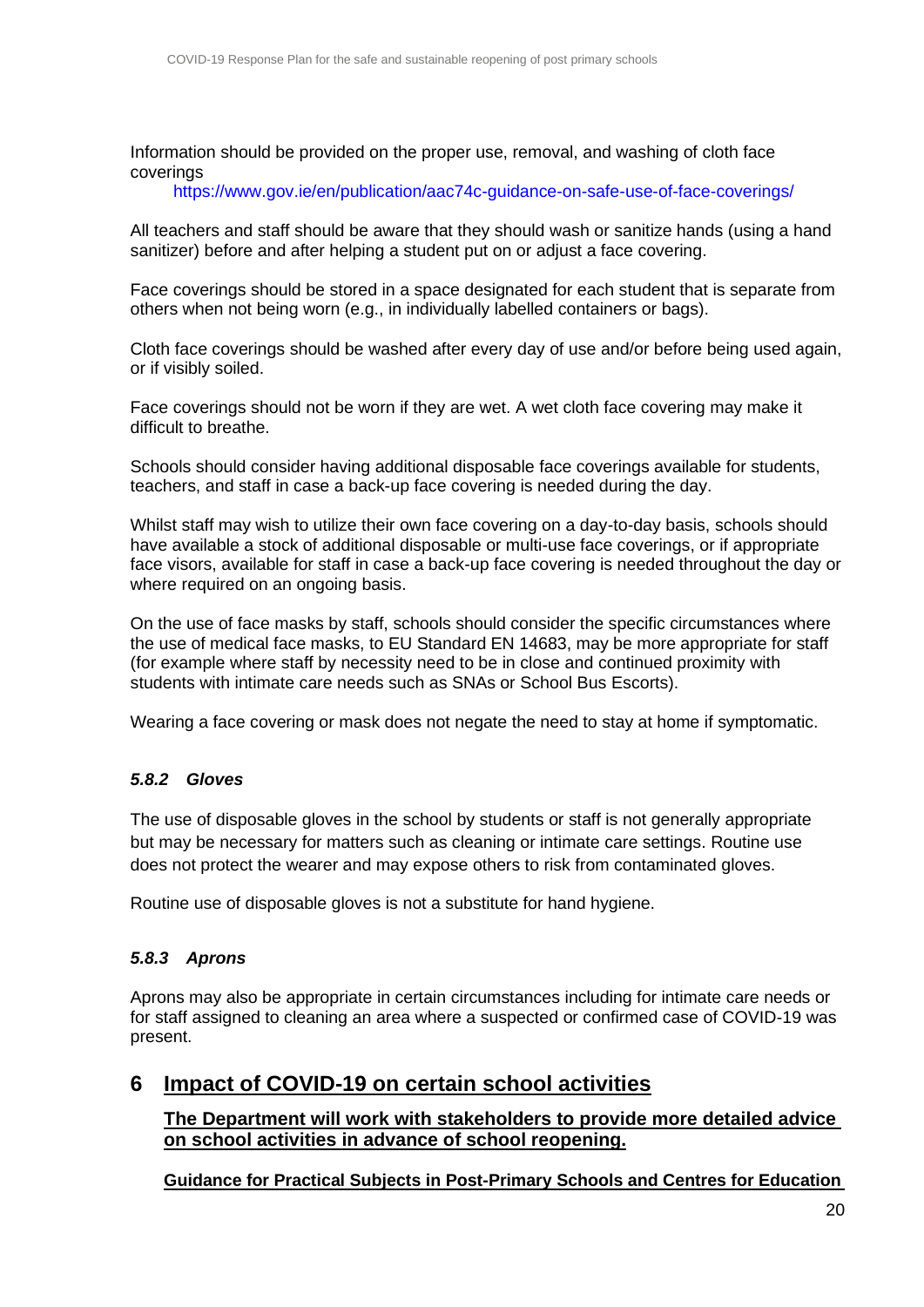Information should be provided on the proper use, removal, and washing of cloth face coverings

<https://www.gov.ie/en/publication/aac74c-guidance-on-safe-use-of-face-coverings/>

All teachers and staff should be aware that they should wash or sanitize hands (using a hand sanitizer) before and after helping a student put on or adjust a face covering.

Face coverings should be stored in a space designated for each student that is separate from others when not being worn (e.g., in individually labelled containers or bags).

Cloth face coverings should be washed after every day of use and/or before being used again, or if visibly soiled.

Face coverings should not be worn if they are wet. A wet cloth face covering may make it difficult to breathe.

Schools should consider having additional disposable face coverings available for students, teachers, and staff in case a back-up face covering is needed during the day.

Whilst staff may wish to utilize their own face covering on a day-to-day basis, schools should have available a stock of additional disposable or multi-use face coverings, or if appropriate face visors, available for staff in case a back-up face covering is needed throughout the day or where required on an ongoing basis.

On the use of face masks by staff, schools should consider the specific circumstances where the use of medical face masks, to EU Standard EN 14683, may be more appropriate for staff (for example where staff by necessity need to be in close and continued proximity with students with intimate care needs such as SNAs or School Bus Escorts).

Wearing a face covering or mask does not negate the need to stay at home if symptomatic.

#### <span id="page-19-0"></span>*5.8.2 Gloves*

The use of disposable gloves in the school by students or staff is not generally appropriate but may be necessary for matters such as cleaning or intimate care settings. Routine use does not protect the wearer and may expose others to risk from contaminated gloves.

Routine use of disposable gloves is not a substitute for hand hygiene.

#### <span id="page-19-1"></span>*5.8.3 Aprons*

Aprons may also be appropriate in certain circumstances including for intimate care needs or for staff assigned to cleaning an area where a suspected or confirmed case of COVID-19 was present.

## <span id="page-19-2"></span>**6 Impact of COVID-19 on certain school activities**

**The Department will work with stakeholders to provide more detailed advice on school activities in advance of school reopening.**

**Guidance for Practical Subjects in Post-Primary Schools and Centres for Education**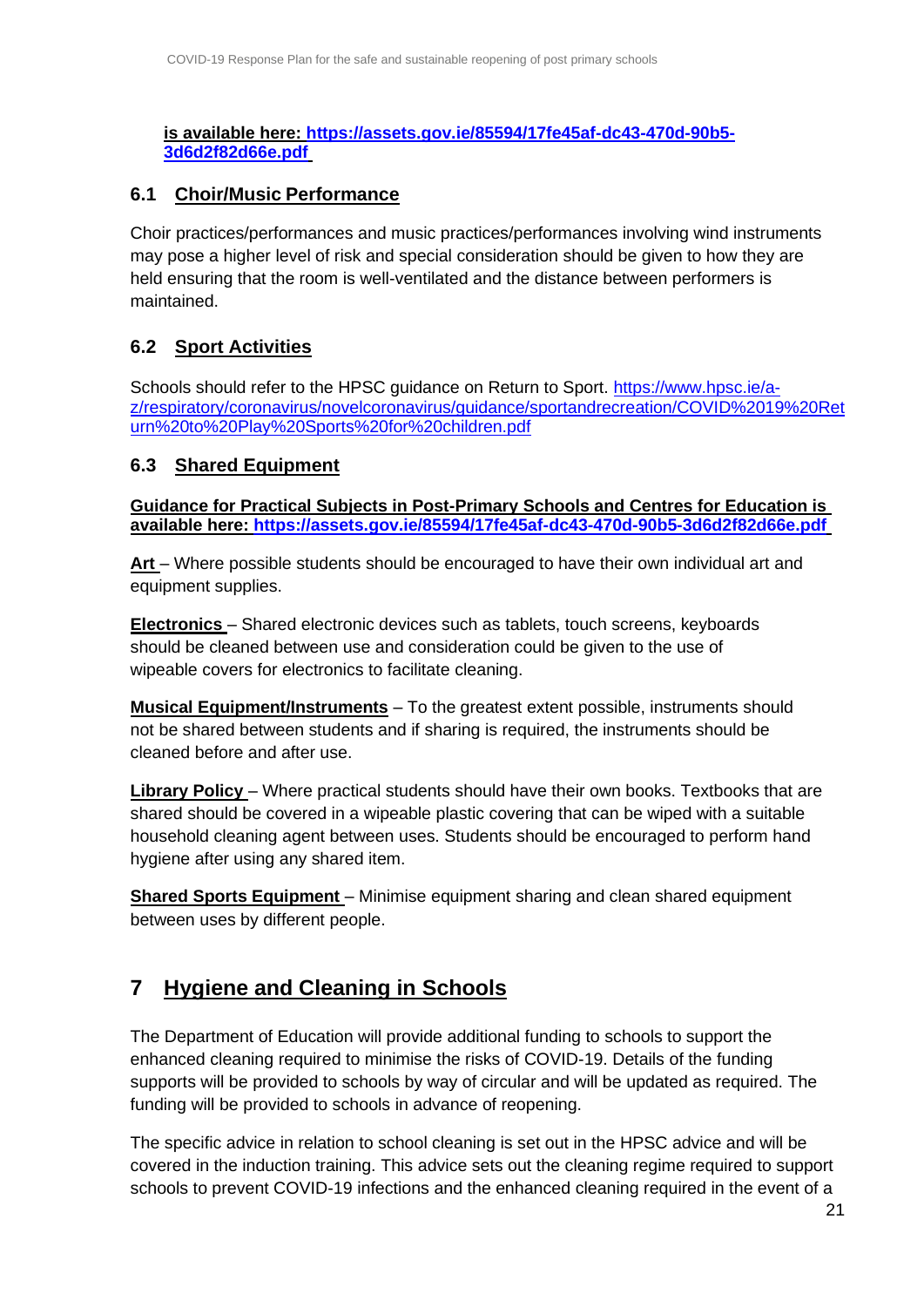**is available here: [https://assets.gov.ie/85594/17fe45af-dc43-470d-90b5-](https://assets.gov.ie/85594/17fe45af-dc43-470d-90b5-3d6d2f82d66e.pdf) [3d6d2f82d66e.pdf](https://assets.gov.ie/85594/17fe45af-dc43-470d-90b5-3d6d2f82d66e.pdf)**

#### <span id="page-20-0"></span>**6.1 Choir/Music Performance**

Choir practices/performances and music practices/performances involving wind instruments may pose a higher level of risk and special consideration should be given to how they are held ensuring that the room is well-ventilated and the distance between performers is maintained.

## <span id="page-20-1"></span>**6.2 Sport Activities**

Schools should refer to the HPSC guidance on Return to Sport. [https://www.hpsc.ie/a](https://www.hpsc.ie/a-z/respiratory/coronavirus/novelcoronavirus/guidance/sportandrecreation/COVID%2019%20Return%20to%20Play%20Sports%20for%20children.pdf)[z/respiratory/coronavirus/novelcoronavirus/guidance/sportandrecreation/COVID%2019%20Ret](https://www.hpsc.ie/a-z/respiratory/coronavirus/novelcoronavirus/guidance/sportandrecreation/COVID%2019%20Return%20to%20Play%20Sports%20for%20children.pdf) [urn%20to%20Play%20Sports%20for%20children.pdf](https://www.hpsc.ie/a-z/respiratory/coronavirus/novelcoronavirus/guidance/sportandrecreation/COVID%2019%20Return%20to%20Play%20Sports%20for%20children.pdf)

#### <span id="page-20-2"></span>**6.3 Shared Equipment**

**Guidance for Practical Subjects in Post-Primary Schools and Centres for Education is available here: <https://assets.gov.ie/85594/17fe45af-dc43-470d-90b5-3d6d2f82d66e.pdf>**

**Art** – Where possible students should be encouraged to have their own individual art and equipment supplies.

**Electronics** – Shared electronic devices such as tablets, touch screens, keyboards should be cleaned between use and consideration could be given to the use of wipeable covers for electronics to facilitate cleaning.

**Musical Equipment/Instruments** – To the greatest extent possible, instruments should not be shared between students and if sharing is required, the instruments should be cleaned before and after use.

**Library Policy** – Where practical students should have their own books. Textbooks that are shared should be covered in a wipeable plastic covering that can be wiped with a suitable household cleaning agent between uses. Students should be encouraged to perform hand hygiene after using any shared item.

**Shared Sports Equipment** – Minimise equipment sharing and clean shared equipment between uses by different people.

# <span id="page-20-3"></span>**7 Hygiene and Cleaning in Schools**

The Department of Education will provide additional funding to schools to support the enhanced cleaning required to minimise the risks of COVID-19. Details of the funding supports will be provided to schools by way of circular and will be updated as required. The funding will be provided to schools in advance of reopening.

The specific advice in relation to school cleaning is set out in the HPSC advice and will be covered in the induction training. This advice sets out the cleaning regime required to support schools to prevent COVID-19 infections and the enhanced cleaning required in the event of a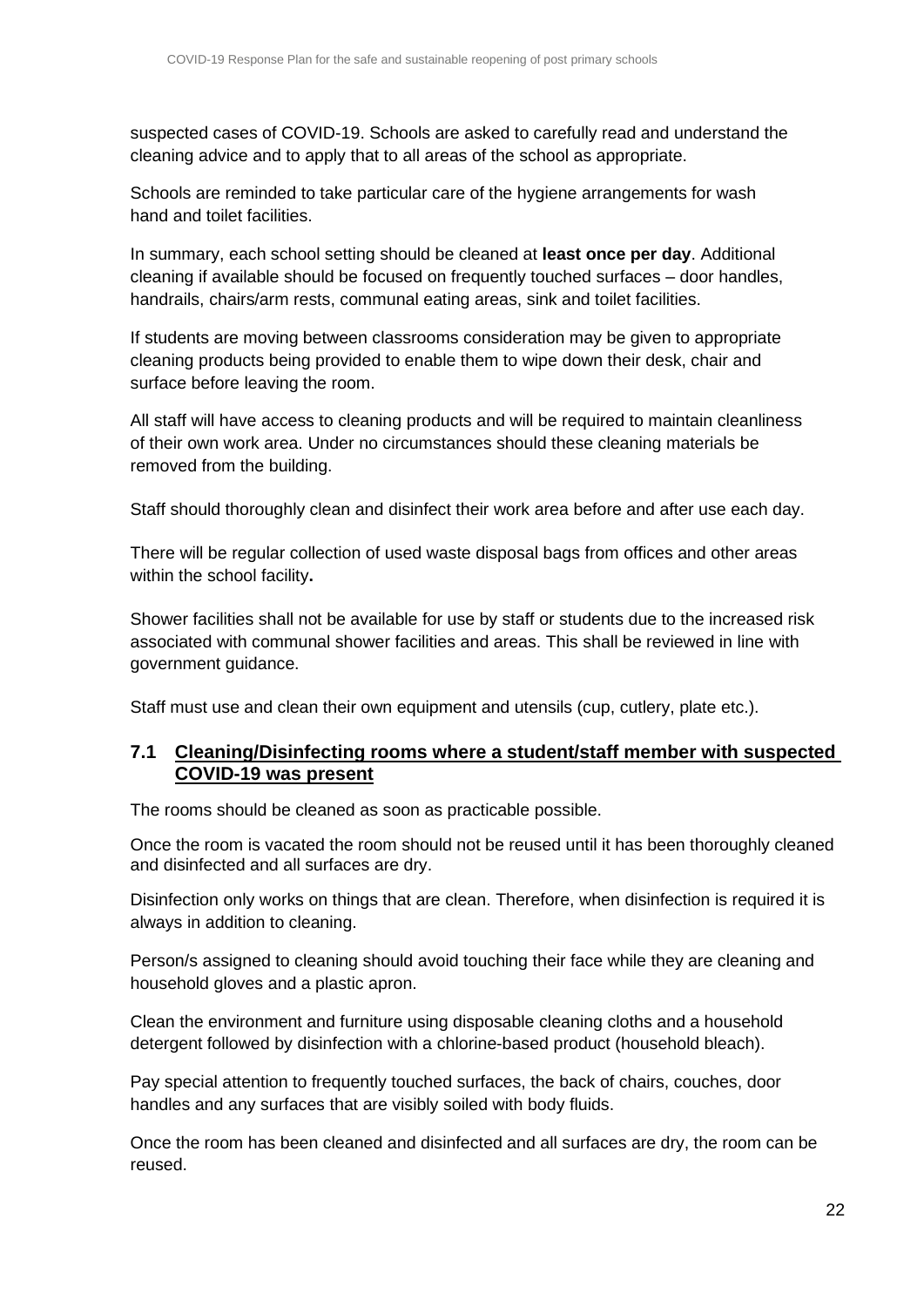suspected cases of COVID-19. Schools are asked to carefully read and understand the cleaning advice and to apply that to all areas of the school as appropriate.

Schools are reminded to take particular care of the hygiene arrangements for wash hand and toilet facilities.

In summary, each school setting should be cleaned at **least once per day**. Additional cleaning if available should be focused on frequently touched surfaces – door handles, handrails, chairs/arm rests, communal eating areas, sink and toilet facilities.

If students are moving between classrooms consideration may be given to appropriate cleaning products being provided to enable them to wipe down their desk, chair and surface before leaving the room.

All staff will have access to cleaning products and will be required to maintain cleanliness of their own work area. Under no circumstances should these cleaning materials be removed from the building.

Staff should thoroughly clean and disinfect their work area before and after use each day.

There will be regular collection of used waste disposal bags from offices and other areas within the school facility**.**

Shower facilities shall not be available for use by staff or students due to the increased risk associated with communal shower facilities and areas. This shall be reviewed in line with government guidance.

Staff must use and clean their own equipment and utensils (cup, cutlery, plate etc.).

#### <span id="page-21-0"></span>**7.1 Cleaning/Disinfecting rooms where a student/staff member with suspected COVID-19 was present**

The rooms should be cleaned as soon as practicable possible.

Once the room is vacated the room should not be reused until it has been thoroughly cleaned and disinfected and all surfaces are dry.

Disinfection only works on things that are clean. Therefore, when disinfection is required it is always in addition to cleaning.

Person/s assigned to cleaning should avoid touching their face while they are cleaning and household gloves and a plastic apron.

Clean the environment and furniture using disposable cleaning cloths and a household detergent followed by disinfection with a chlorine-based product (household bleach).

Pay special attention to frequently touched surfaces, the back of chairs, couches, door handles and any surfaces that are visibly soiled with body fluids.

Once the room has been cleaned and disinfected and all surfaces are dry, the room can be reused.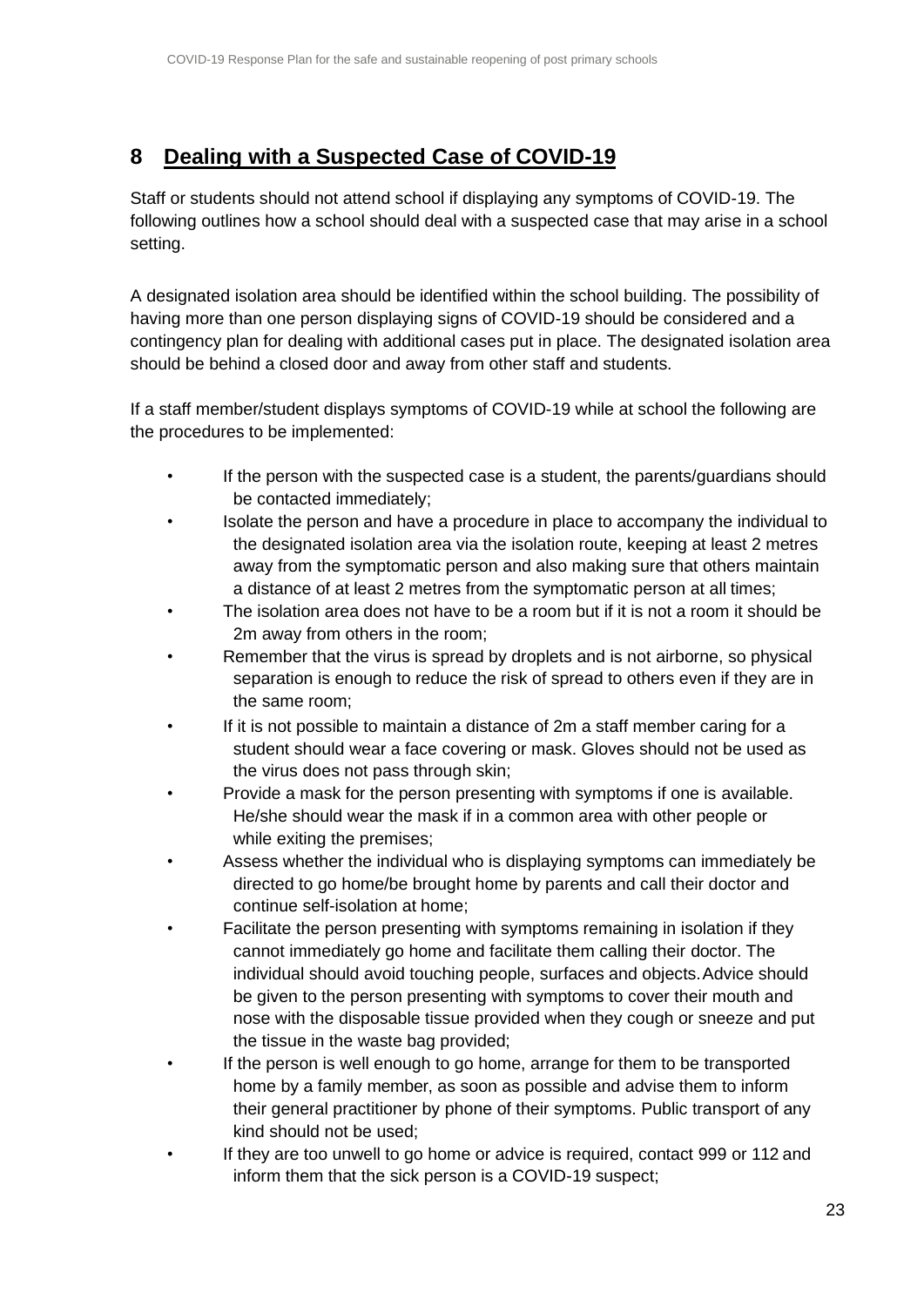# <span id="page-22-0"></span>**8 Dealing with a Suspected Case of COVID-19**

Staff or students should not attend school if displaying any symptoms of COVID-19. The following outlines how a school should deal with a suspected case that may arise in a school setting.

A designated isolation area should be identified within the school building. The possibility of having more than one person displaying signs of COVID-19 should be considered and a contingency plan for dealing with additional cases put in place. The designated isolation area should be behind a closed door and away from other staff and students.

If a staff member/student displays symptoms of COVID-19 while at school the following are the procedures to be implemented:

- If the person with the suspected case is a student, the parents/guardians should be contacted immediately;
- Isolate the person and have a procedure in place to accompany the individual to the designated isolation area via the isolation route, keeping at least 2 metres away from the symptomatic person and also making sure that others maintain a distance of at least 2 metres from the symptomatic person at all times;
- The isolation area does not have to be a room but if it is not a room it should be 2m away from others in the room;
- Remember that the virus is spread by droplets and is not airborne, so physical separation is enough to reduce the risk of spread to others even if they are in the same room;
- If it is not possible to maintain a distance of 2m a staff member caring for a student should wear a face covering or mask. Gloves should not be used as the virus does not pass through skin;
- Provide a mask for the person presenting with symptoms if one is available. He/she should wear the mask if in a common area with other people or while exiting the premises;
- Assess whether the individual who is displaying symptoms can immediately be directed to go home/be brought home by parents and call their doctor and continue self-isolation at home;
- Facilitate the person presenting with symptoms remaining in isolation if they cannot immediately go home and facilitate them calling their doctor. The individual should avoid touching people, surfaces and objects.Advice should be given to the person presenting with symptoms to cover their mouth and nose with the disposable tissue provided when they cough or sneeze and put the tissue in the waste bag provided;
- If the person is well enough to go home, arrange for them to be transported home by a family member, as soon as possible and advise them to inform their general practitioner by phone of their symptoms. Public transport of any kind should not be used;
- If they are too unwell to go home or advice is required, contact 999 or 112 and inform them that the sick person is a COVID-19 suspect;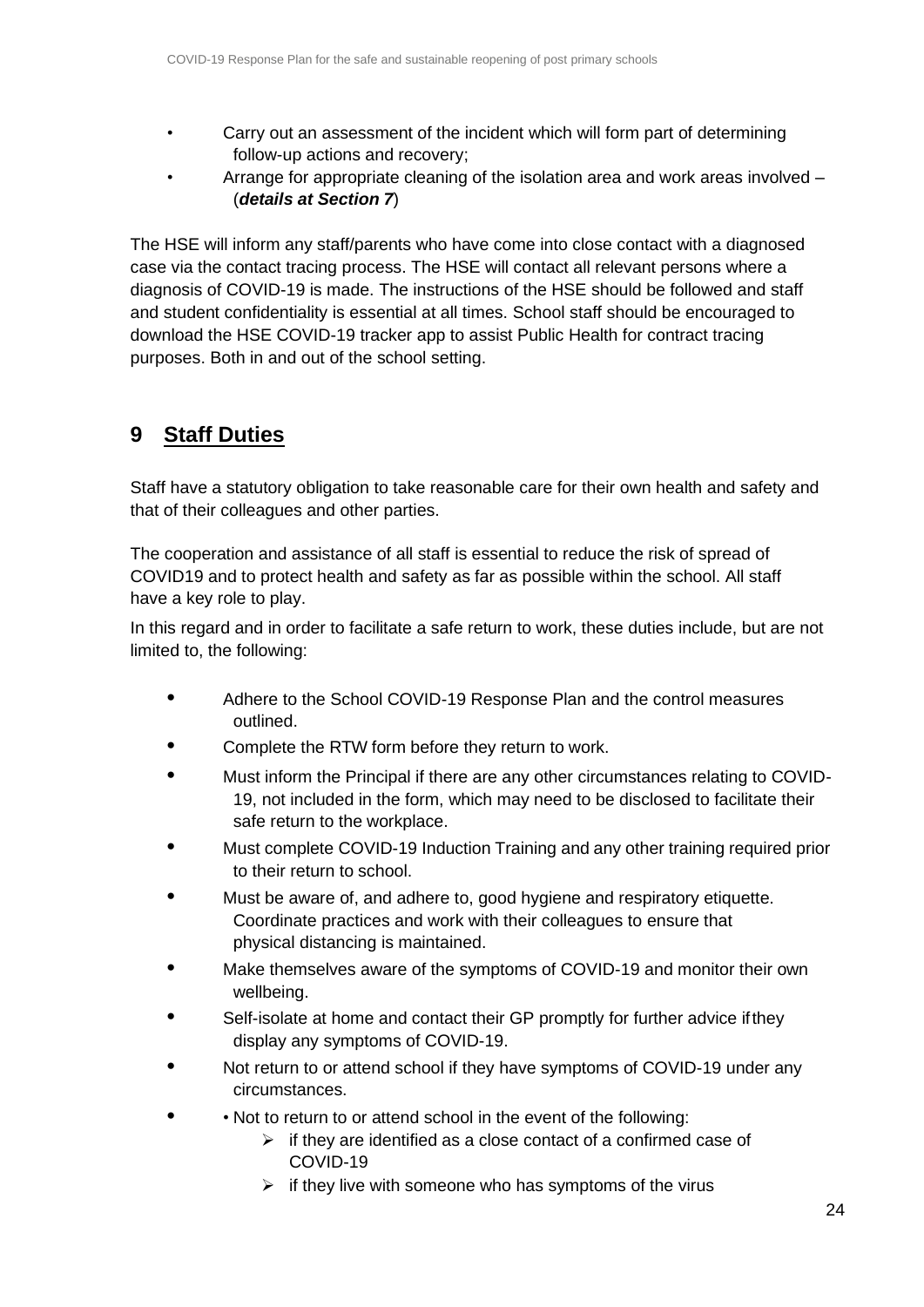- Carry out an assessment of the incident which will form part of determining follow-up actions and recovery;
- Arrange for appropriate cleaning of the isolation area and work areas involved (*details at Section 7*)

The HSE will inform any staff/parents who have come into close contact with a diagnosed case via the contact tracing process. The HSE will contact all relevant persons where a diagnosis of COVID-19 is made. The instructions of the HSE should be followed and staff and student confidentiality is essential at all times. School staff should be encouraged to download the HSE COVID-19 tracker app to assist Public Health for contract tracing purposes. Both in and out of the school setting.

# <span id="page-23-0"></span>**9 Staff Duties**

Staff have a statutory obligation to take reasonable care for their own health and safety and that of their colleagues and other parties.

The cooperation and assistance of all staff is essential to reduce the risk of spread of COVID19 and to protect health and safety as far as possible within the school. All staff have a key role to play.

In this regard and in order to facilitate a safe return to work, these duties include, but are not limited to, the following:

- **•** Adhere to the School COVID-19 Response Plan and the control measures outlined.
- **•** Complete the RTW form before they return to work.
- **•** Must inform the Principal if there are any other circumstances relating to COVID-19, not included in the form, which may need to be disclosed to facilitate their safe return to the workplace.
- **•** Must complete COVID-19 Induction Training and any other training required prior to their return to school.
- **•** Must be aware of, and adhere to, good hygiene and respiratory etiquette. Coordinate practices and work with their colleagues to ensure that physical distancing is maintained.
- **•** Make themselves aware of the symptoms of COVID-19 and monitor their own wellbeing.
- **•** Self-isolate at home and contact their GP promptly for further advice ifthey display any symptoms of COVID-19.
- **•** Not return to or attend school if they have symptoms of COVID-19 under any circumstances.
- **•** Not to return to or attend school in the event of the following:
	- $\triangleright$  if they are identified as a close contact of a confirmed case of COVID-19
	- $\triangleright$  if they live with someone who has symptoms of the virus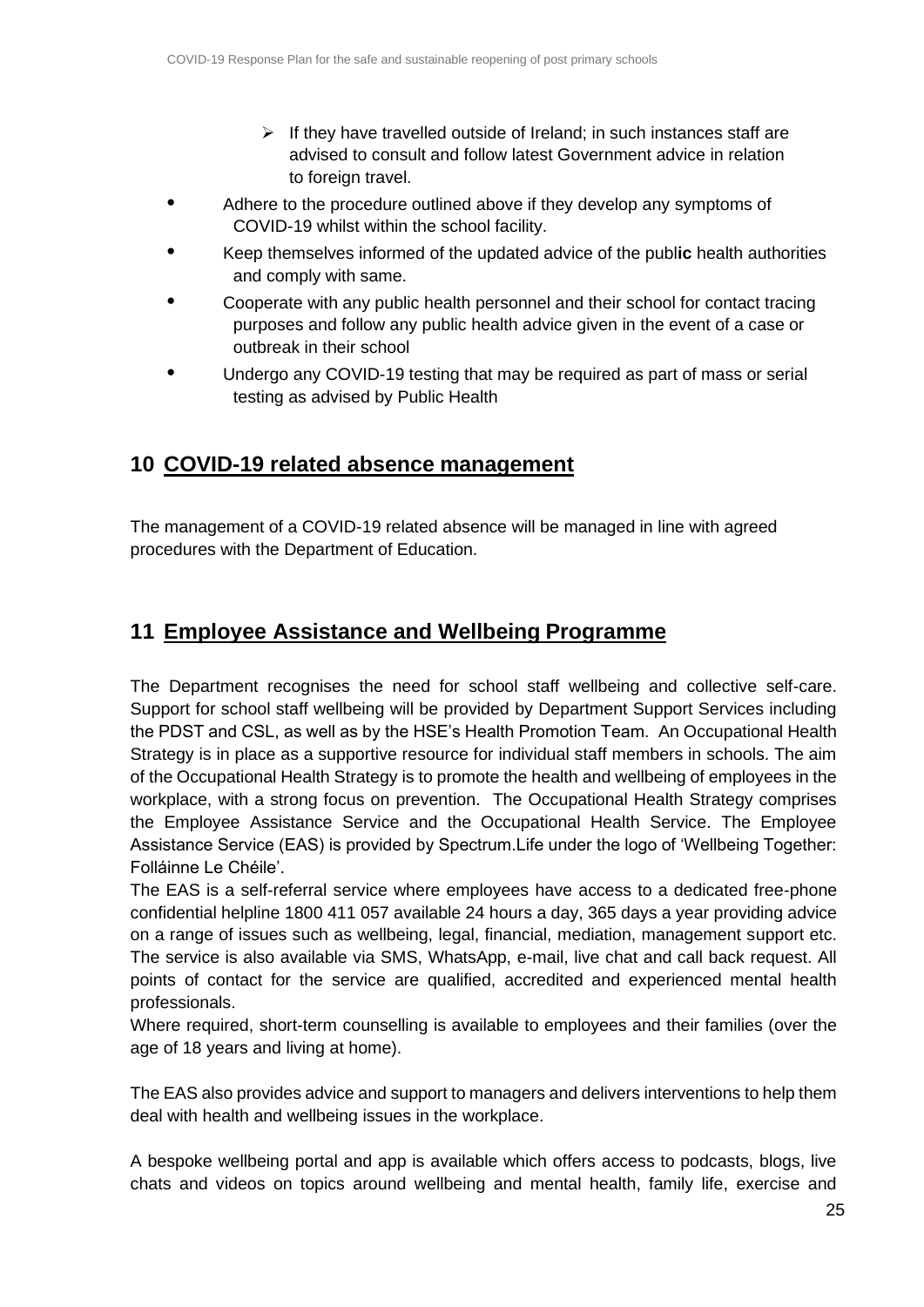- $\triangleright$  If they have travelled outside of Ireland; in such instances staff are advised to consult and follow latest Government advice in relation to foreign travel.
- **•** Adhere to the procedure outlined above if they develop any symptoms of COVID-19 whilst within the school facility.
- **•** Keep themselves informed of the updated advice of the publ**ic** health authorities and comply with same.
- **•** Cooperate with any public health personnel and their school for contact tracing purposes and follow any public health advice given in the event of a case or outbreak in their school
- **•** Undergo any COVID-19 testing that may be required as part of mass or serial testing as advised by Public Health

## <span id="page-24-0"></span>**10 COVID-19 related absence management**

The management of a COVID-19 related absence will be managed in line with agreed procedures with the Department of Education.

## <span id="page-24-1"></span>**11 Employee Assistance and Wellbeing Programme**

The Department recognises the need for school staff wellbeing and collective self-care. Support for school staff wellbeing will be provided by Department Support Services including the PDST and CSL, as well as by the HSE's Health Promotion Team. An Occupational Health Strategy is in place as a supportive resource for individual staff members in schools. The aim of the Occupational Health Strategy is to promote the health and wellbeing of employees in the workplace, with a strong focus on prevention. The Occupational Health Strategy comprises the Employee Assistance Service and the Occupational Health Service. The Employee Assistance Service (EAS) is provided by Spectrum.Life under the logo of 'Wellbeing Together: Folláinne Le Chéile'.

The EAS is a self-referral service where employees have access to a dedicated free-phone confidential helpline 1800 411 057 available 24 hours a day, 365 days a year providing advice on a range of issues such as wellbeing, legal, financial, mediation, management support etc. The service is also available via SMS, WhatsApp, e-mail, live chat and call back request. All points of contact for the service are qualified, accredited and experienced mental health professionals.

Where required, short-term counselling is available to employees and their families (over the age of 18 years and living at home).

The EAS also provides advice and support to managers and delivers interventions to help them deal with health and wellbeing issues in the workplace.

A bespoke wellbeing portal and app is available which offers access to podcasts, blogs, live chats and videos on topics around wellbeing and mental health, family life, exercise and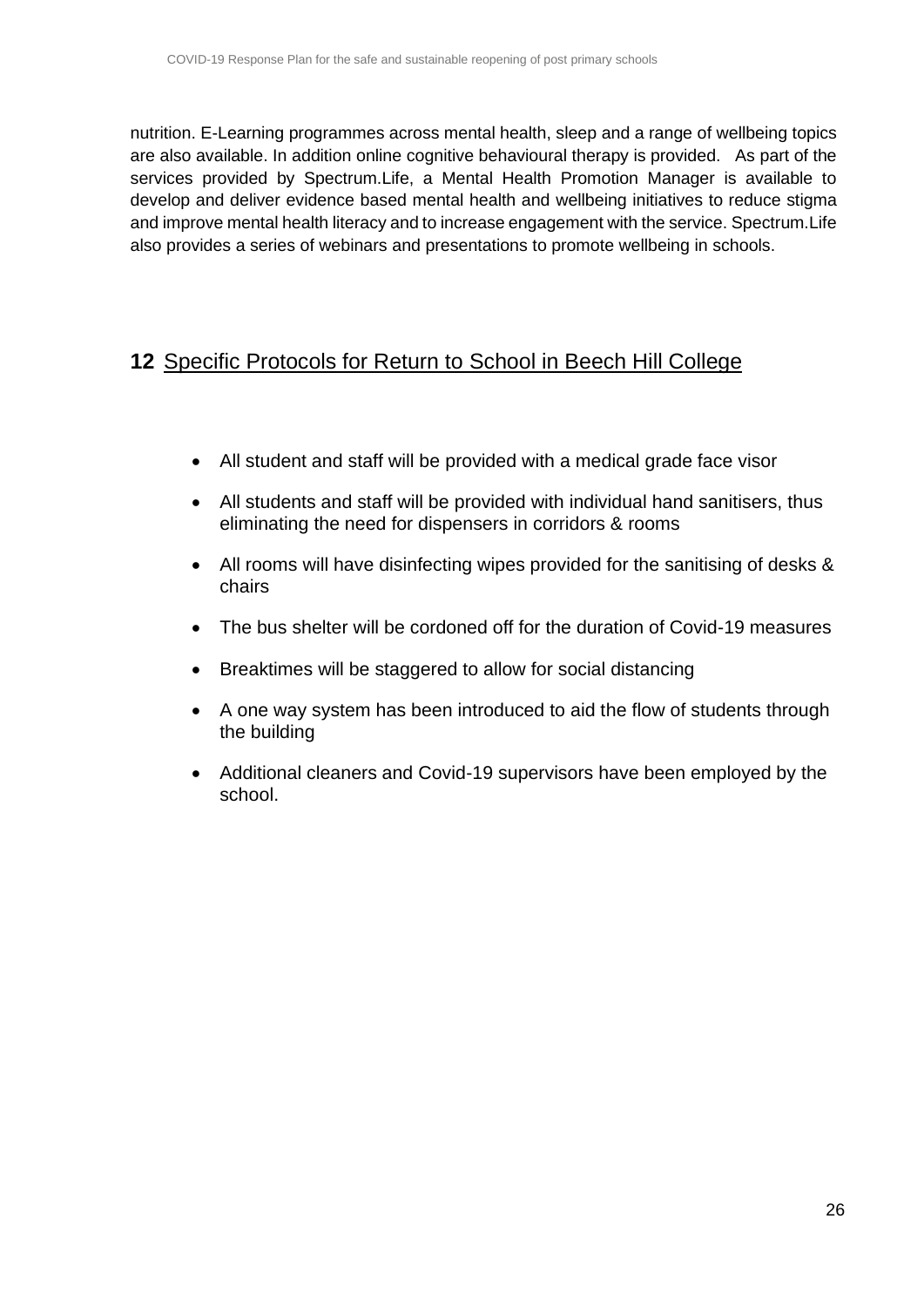nutrition. E-Learning programmes across mental health, sleep and a range of wellbeing topics are also available. In addition online cognitive behavioural therapy is provided. As part of the services provided by Spectrum.Life, a Mental Health Promotion Manager is available to develop and deliver evidence based mental health and wellbeing initiatives to reduce stigma and improve mental health literacy and to increase engagement with the service. Spectrum.Life also provides a series of webinars and presentations to promote wellbeing in schools.

## <span id="page-25-0"></span>**12** Specific Protocols for Return to School in Beech Hill College

- All student and staff will be provided with a medical grade face visor
- All students and staff will be provided with individual hand sanitisers, thus eliminating the need for dispensers in corridors & rooms
- All rooms will have disinfecting wipes provided for the sanitising of desks & chairs
- The bus shelter will be cordoned off for the duration of Covid-19 measures
- Breaktimes will be staggered to allow for social distancing
- A one way system has been introduced to aid the flow of students through the building
- Additional cleaners and Covid-19 supervisors have been employed by the school.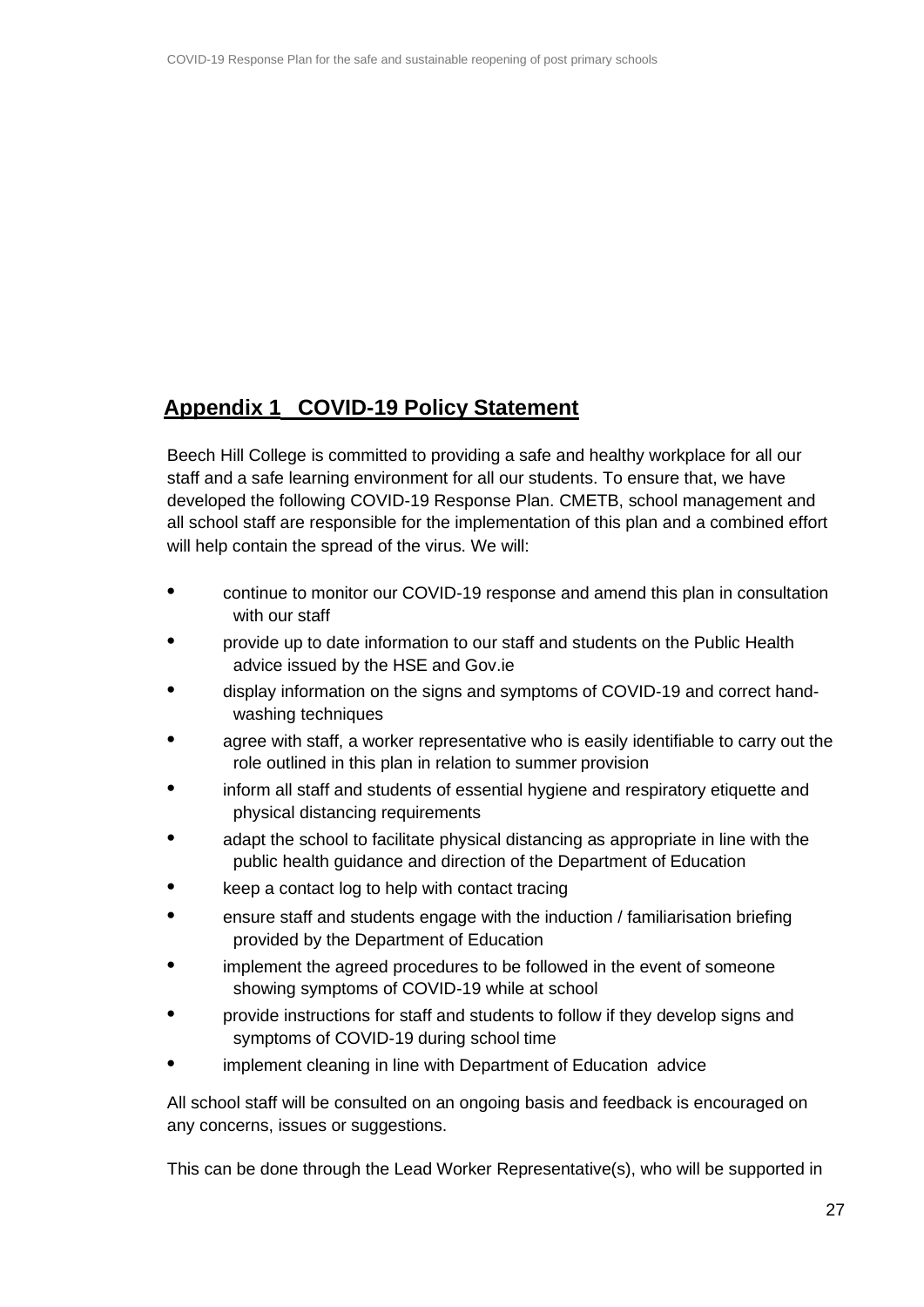# <span id="page-26-0"></span>**Appendix 1 COVID-19 Policy Statement**

Beech Hill College is committed to providing a safe and healthy workplace for all our staff and a safe learning environment for all our students. To ensure that, we have developed the following COVID-19 Response Plan. CMETB, school management and all school staff are responsible for the implementation of this plan and a combined effort will help contain the spread of the virus. We will:

- **•** continue to monitor our COVID-19 response and amend this plan in consultation with our staff
- **•** provide up to date information to our staff and students on the Public Health advice issued by the HSE and Gov.ie
- **•** display information on the signs and symptoms of COVID-19 and correct handwashing techniques
- **•** agree with staff, a worker representative who is easily identifiable to carry out the role outlined in this plan in relation to summer provision
- **•** inform all staff and students of essential hygiene and respiratory etiquette and physical distancing requirements
- **•** adapt the school to facilitate physical distancing as appropriate in line with the public health guidance and direction of the Department of Education
- **•** keep a contact log to help with contact tracing
- **•** ensure staff and students engage with the induction / familiarisation briefing provided by the Department of Education
- **•** implement the agreed procedures to be followed in the event of someone showing symptoms of COVID-19 while at school
- **•** provide instructions for staff and students to follow if they develop signs and symptoms of COVID-19 during school time
- **•** implement cleaning in line with Department of Education advice

All school staff will be consulted on an ongoing basis and feedback is encouraged on any concerns, issues or suggestions.

This can be done through the Lead Worker Representative(s), who will be supported in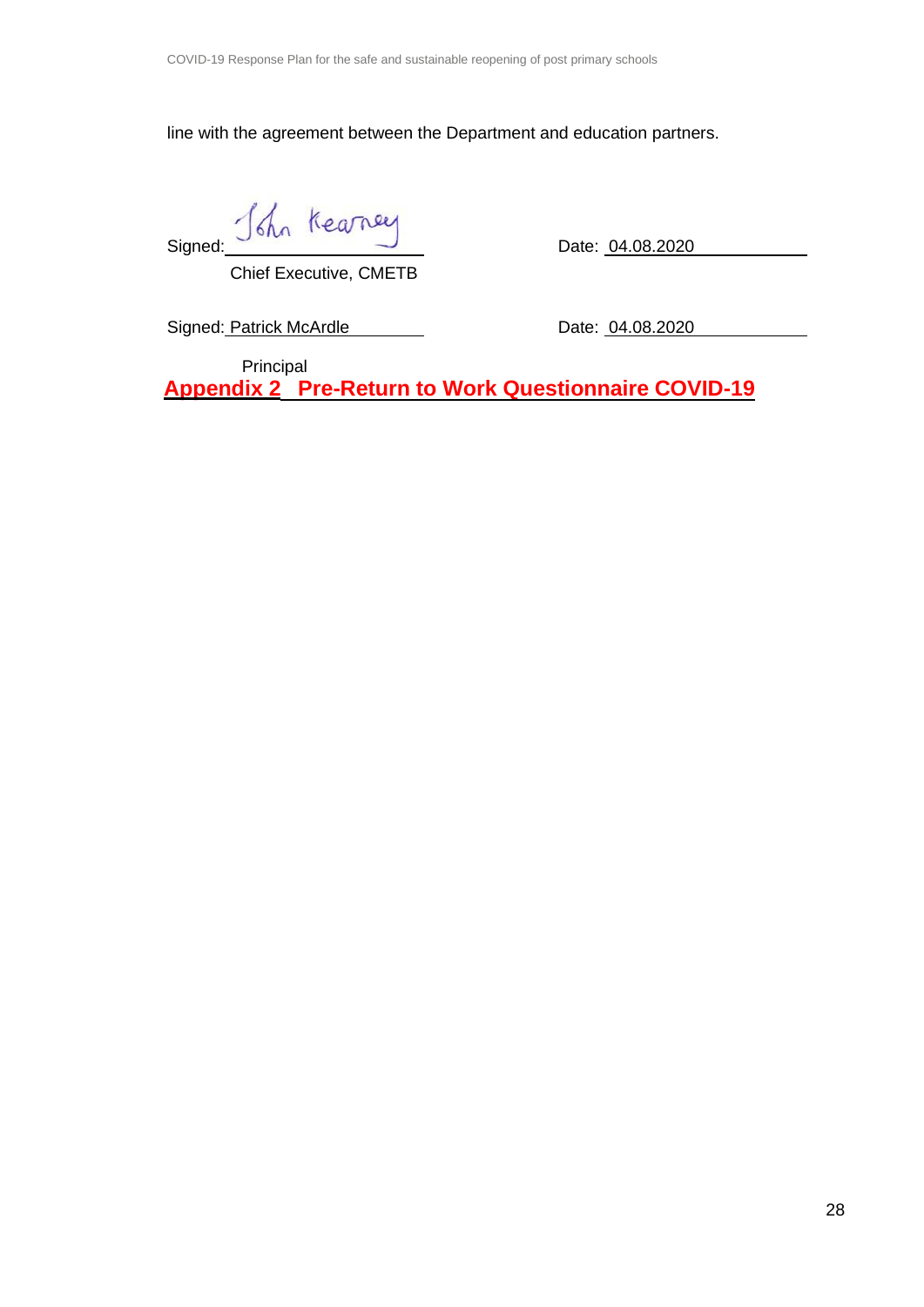line with the agreement between the Department and education partners.

Signed: John Kearney<br>Date: <u>04.08.202</u>0

Chief Executive, CMETB

Signed: Patrick McArdle Date: 04.08.2020

<span id="page-27-0"></span>Principal **Appendix 2 Pre-Return to Work Questionnaire COVID-19**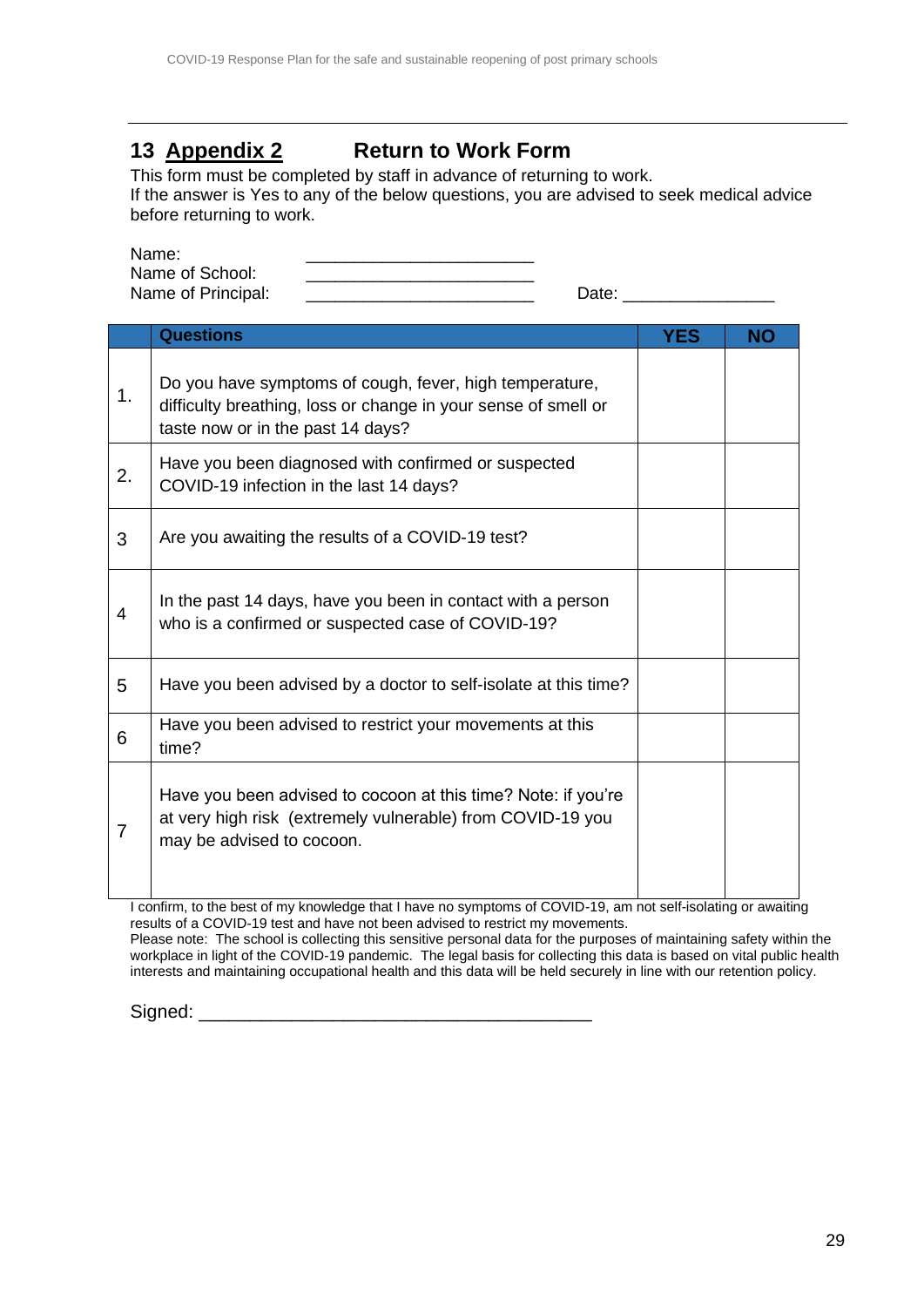# **13 Appendix 2 Return to Work Form**

This form must be completed by staff in advance of returning to work. If the answer is Yes to any of the below questions, you are advised to seek medical advice before returning to work.

Name: \_\_\_\_\_\_\_\_\_\_\_\_\_\_\_\_\_\_\_\_\_\_\_\_

Name of School:<br>Name of Principal:

Name of Principal: \_\_\_\_\_\_\_\_\_\_\_\_\_\_\_\_\_\_\_\_\_\_\_\_ Date: \_\_\_\_\_\_\_\_\_\_\_\_\_\_\_\_

|    | <b>Questions</b>                                                                                                                                               | YES | <b>NO</b> |
|----|----------------------------------------------------------------------------------------------------------------------------------------------------------------|-----|-----------|
| 1. | Do you have symptoms of cough, fever, high temperature,<br>difficulty breathing, loss or change in your sense of smell or<br>taste now or in the past 14 days? |     |           |
| 2. | Have you been diagnosed with confirmed or suspected<br>COVID-19 infection in the last 14 days?                                                                 |     |           |
| 3  | Are you awaiting the results of a COVID-19 test?                                                                                                               |     |           |
| 4  | In the past 14 days, have you been in contact with a person<br>who is a confirmed or suspected case of COVID-19?                                               |     |           |
| 5  | Have you been advised by a doctor to self-isolate at this time?                                                                                                |     |           |
| 6  | Have you been advised to restrict your movements at this<br>time?                                                                                              |     |           |
| 7  | Have you been advised to cocoon at this time? Note: if you're<br>at very high risk (extremely vulnerable) from COVID-19 you<br>may be advised to cocoon.       |     |           |

I confirm, to the best of my knowledge that I have no symptoms of COVID-19, am not self-isolating or awaiting results of a COVID-19 test and have not been advised to restrict my movements. Please note: The school is collecting this sensitive personal data for the purposes of maintaining safety within the

workplace in light of the COVID-19 pandemic. The legal basis for collecting this data is based on vital public health interests and maintaining occupational health and this data will be held securely in line with our retention policy.

Signed: \_\_\_\_\_\_\_\_\_\_\_\_\_\_\_\_\_\_\_\_\_\_\_\_\_\_\_\_\_\_\_\_\_\_\_\_\_\_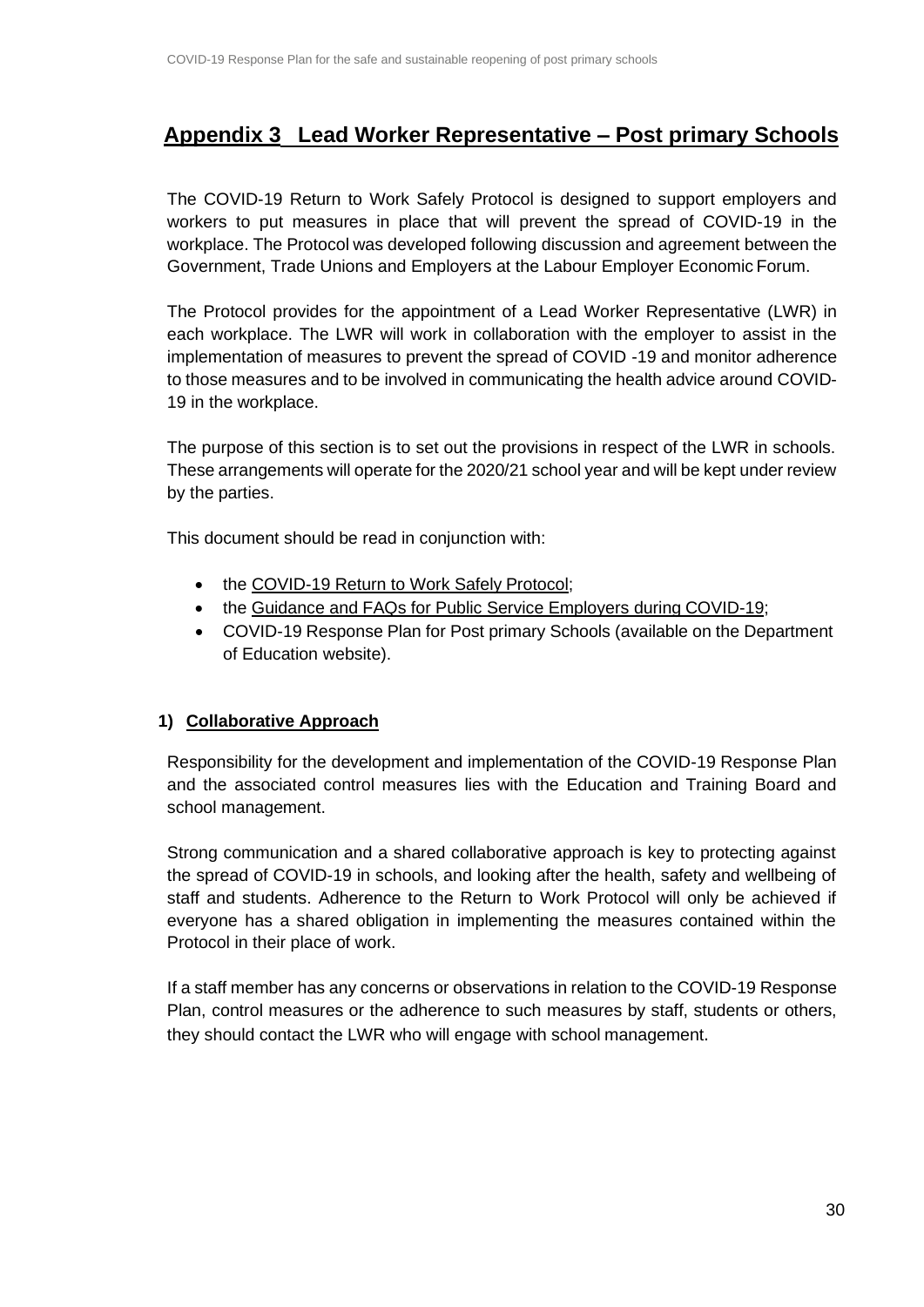## <span id="page-29-0"></span>**Appendix 3 Lead Worker Representative – Post primary Schools**

The COVID-19 Return to Work Safely Protocol is designed to support employers and workers to put measures in place that will prevent the spread of COVID-19 in the workplace. The Protocol was developed following discussion and agreement between the Government, Trade Unions and Employers at the Labour Employer Economic Forum.

The Protocol provides for the appointment of a Lead Worker Representative (LWR) in each workplace. The LWR will work in collaboration with the employer to assist in the implementation of measures to prevent the spread of COVID -19 and monitor adherence to those measures and to be involved in communicating the health advice around COVID-19 in the workplace.

The purpose of this section is to set out the provisions in respect of the LWR in schools. These arrangements will operate for the 2020/21 school year and will be kept under review by the parties.

This document should be read in conjunction with:

- the [COVID-19 Return to Work Safely](https://www.gov.ie/en/publication/22829a-return-to-work-safely-protocol/) Protocol;
- the [Guidance and FAQs for Public Service Employers during](https://www.gov.ie/en/news/092fff-update-on-working-arrangements-and-leave-associated-with-covid-19-fo/) COVID-19;
- COVID-19 Response Plan for Post primary Schools (available on the Department of Education website).

#### **1) Collaborative Approach**

Responsibility for the development and implementation of the COVID-19 Response Plan and the associated control measures lies with the Education and Training Board and school management.

Strong communication and a shared collaborative approach is key to protecting against the spread of COVID-19 in schools, and looking after the health, safety and wellbeing of staff and students. Adherence to the Return to Work Protocol will only be achieved if everyone has a shared obligation in implementing the measures contained within the Protocol in their place of work.

If a staff member has any concerns or observations in relation to the COVID-19 Response Plan, control measures or the adherence to such measures by staff, students or others, they should contact the LWR who will engage with school management.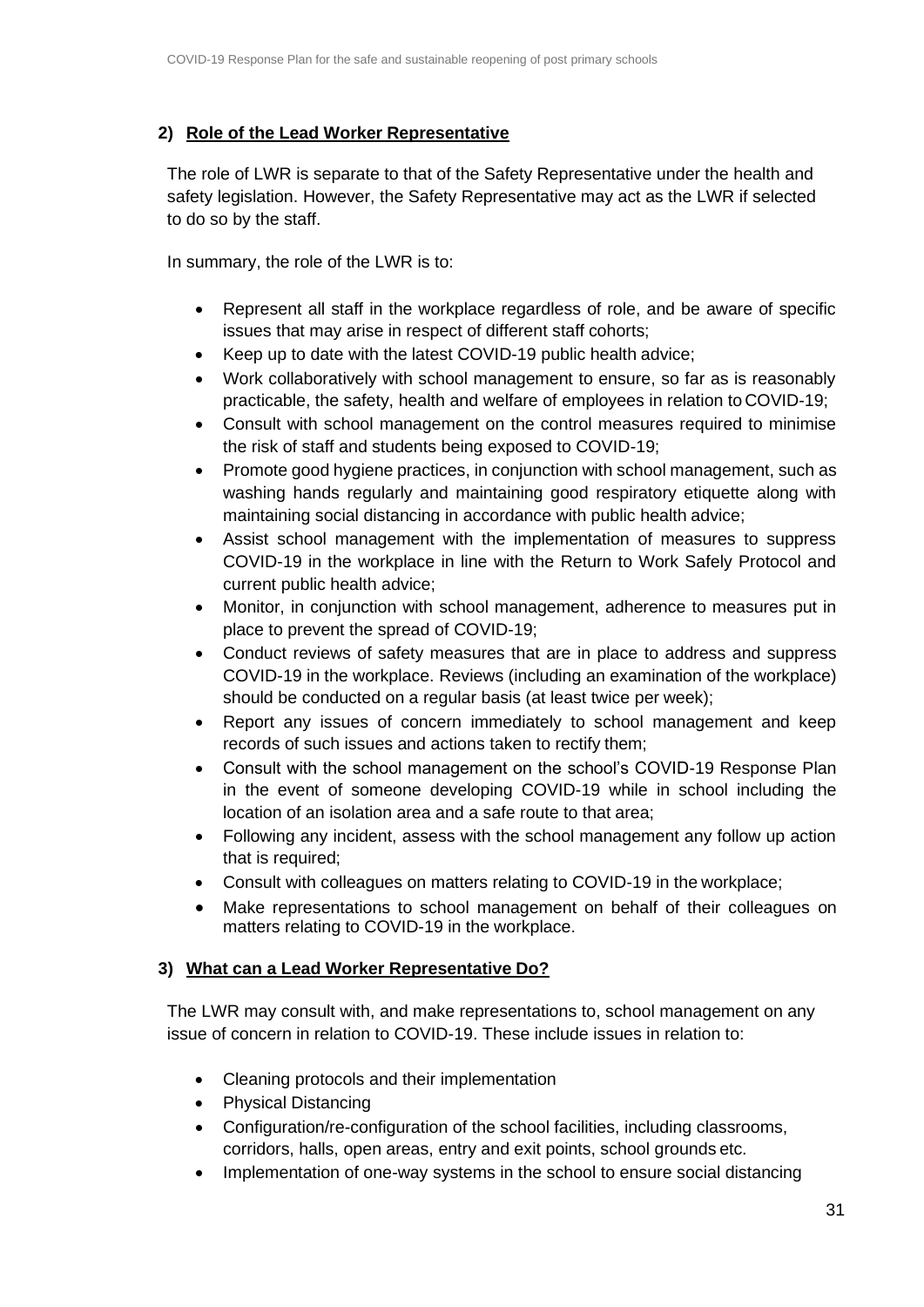#### **2) Role of the Lead Worker Representative**

The role of LWR is separate to that of the Safety Representative under the health and safety legislation. However, the Safety Representative may act as the LWR if selected to do so by the staff.

In summary, the role of the LWR is to:

- Represent all staff in the workplace regardless of role, and be aware of specific issues that may arise in respect of different staff cohorts;
- Keep up to date with the latest COVID-19 public health advice;
- Work collaboratively with school management to ensure, so far as is reasonably practicable, the safety, health and welfare of employees in relation to COVID-19;
- Consult with school management on the control measures required to minimise the risk of staff and students being exposed to COVID-19;
- Promote good hygiene practices, in conjunction with school management, such as washing hands regularly and maintaining good respiratory etiquette along with maintaining social distancing in accordance with public health advice;
- Assist school management with the implementation of measures to suppress COVID-19 in the workplace in line with the Return to Work Safely Protocol and current public health advice;
- Monitor, in conjunction with school management, adherence to measures put in place to prevent the spread of COVID-19;
- Conduct reviews of safety measures that are in place to address and suppress COVID-19 in the workplace. Reviews (including an examination of the workplace) should be conducted on a regular basis (at least twice per week);
- Report any issues of concern immediately to school management and keep records of such issues and actions taken to rectify them;
- Consult with the school management on the school's COVID-19 Response Plan in the event of someone developing COVID-19 while in school including the location of an isolation area and a safe route to that area;
- Following any incident, assess with the school management any follow up action that is required;
- Consult with colleagues on matters relating to COVID-19 in the workplace;
- Make representations to school management on behalf of their colleagues on matters relating to COVID-19 in the workplace.

#### **3) What can a Lead Worker Representative Do?**

The LWR may consult with, and make representations to, school management on any issue of concern in relation to COVID-19. These include issues in relation to:

- Cleaning protocols and their implementation
- Physical Distancing
- Configuration/re-configuration of the school facilities, including classrooms, corridors, halls, open areas, entry and exit points, school grounds etc.
- Implementation of one-way systems in the school to ensure social distancing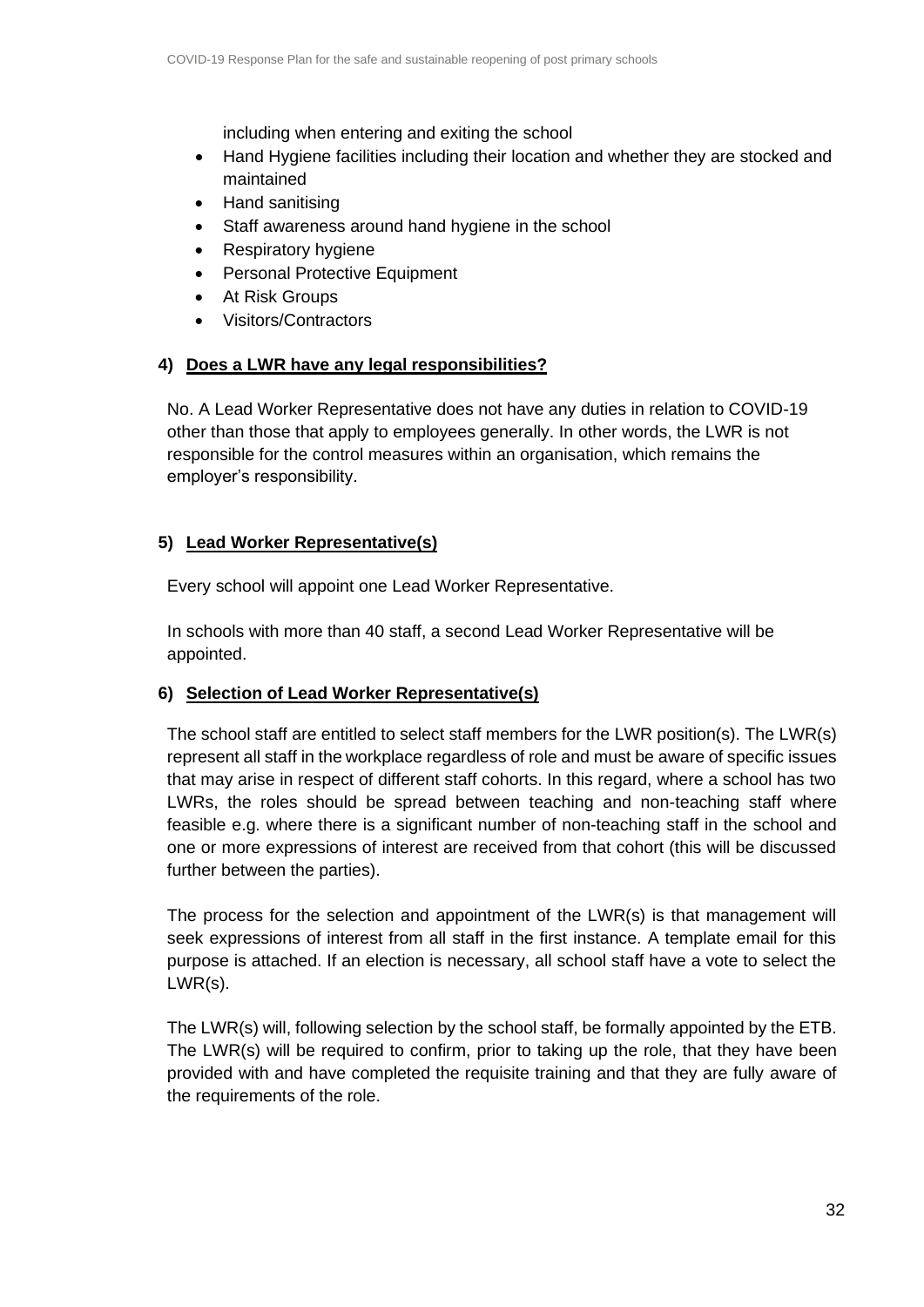including when entering and exiting the school

- Hand Hygiene facilities including their location and whether they are stocked and maintained
- Hand sanitising
- Staff awareness around hand hygiene in the school
- Respiratory hygiene
- Personal Protective Equipment
- At Risk Groups
- Visitors/Contractors

#### **4) Does a LWR have any legal responsibilities?**

No. A Lead Worker Representative does not have any duties in relation to COVID-19 other than those that apply to employees generally. In other words, the LWR is not responsible for the control measures within an organisation, which remains the employer's responsibility.

#### **5) Lead Worker Representative(s)**

Every school will appoint one Lead Worker Representative.

In schools with more than 40 staff, a second Lead Worker Representative will be appointed.

#### **6) Selection of Lead Worker Representative(s)**

The school staff are entitled to select staff members for the LWR position(s). The LWR(s) represent all staff in the workplace regardless of role and must be aware of specific issues that may arise in respect of different staff cohorts. In this regard, where a school has two LWRs, the roles should be spread between teaching and non-teaching staff where feasible e.g. where there is a significant number of non-teaching staff in the school and one or more expressions of interest are received from that cohort (this will be discussed further between the parties).

The process for the selection and appointment of the LWR(s) is that management will seek expressions of interest from all staff in the first instance. A template email for this purpose is attached. If an election is necessary, all school staff have a vote to select the LWR(s).

The LWR(s) will, following selection by the school staff, be formally appointed by the ETB. The LWR(s) will be required to confirm, prior to taking up the role, that they have been provided with and have completed the requisite training and that they are fully aware of the requirements of the role.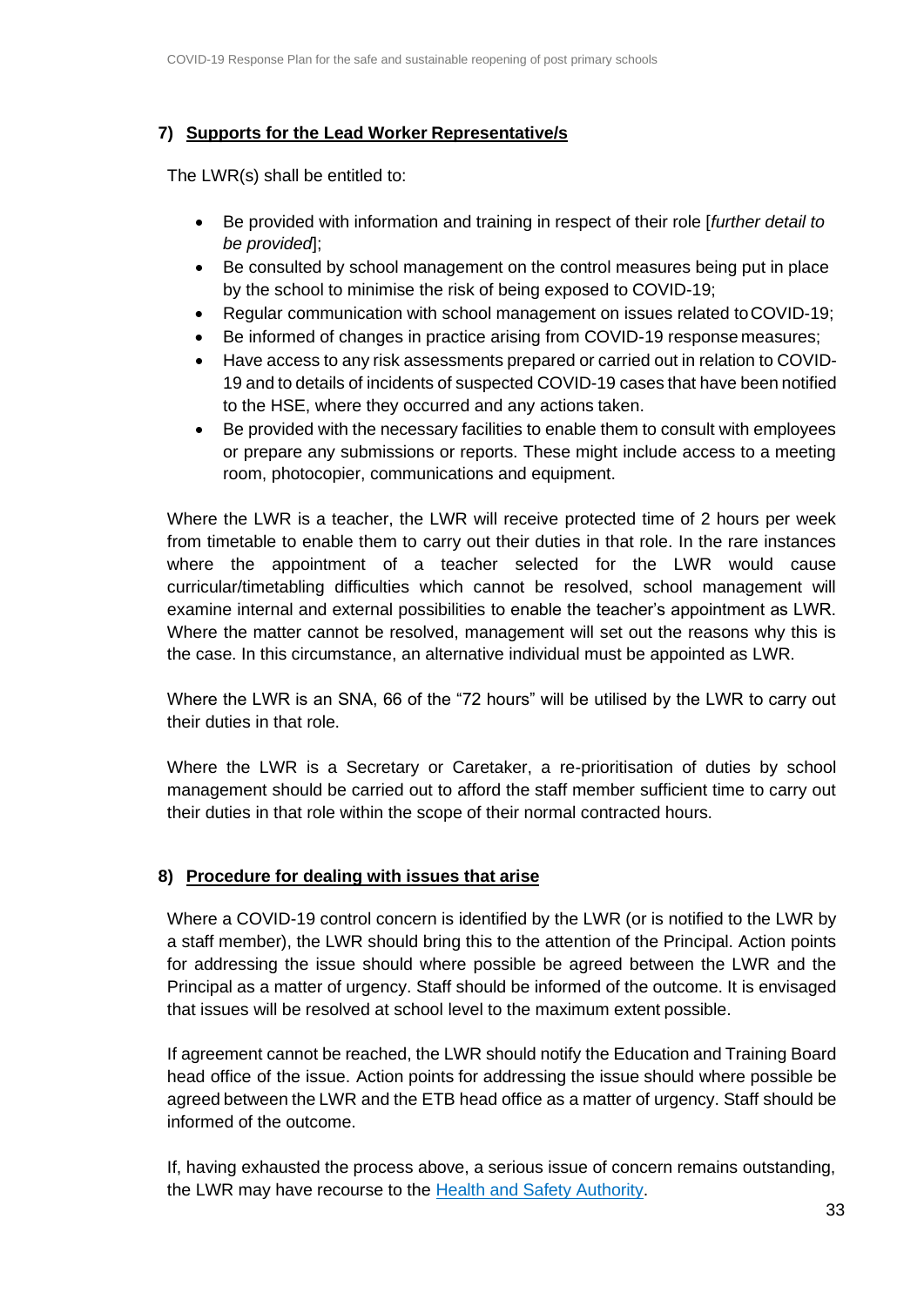#### **7) Supports for the Lead Worker Representative/s**

The LWR(s) shall be entitled to:

- Be provided with information and training in respect of their role [*further detail to be provided*];
- Be consulted by school management on the control measures being put in place by the school to minimise the risk of being exposed to COVID-19;
- Regular communication with school management on issues related toCOVID-19;
- Be informed of changes in practice arising from COVID-19 response measures;
- Have access to any risk assessments prepared or carried out in relation to COVID-19 and to details of incidents of suspected COVID-19 cases that have been notified to the HSE, where they occurred and any actions taken.
- Be provided with the necessary facilities to enable them to consult with employees or prepare any submissions or reports. These might include access to a meeting room, photocopier, communications and equipment.

Where the LWR is a teacher, the LWR will receive protected time of 2 hours per week from timetable to enable them to carry out their duties in that role. In the rare instances where the appointment of a teacher selected for the LWR would cause curricular/timetabling difficulties which cannot be resolved, school management will examine internal and external possibilities to enable the teacher's appointment as LWR. Where the matter cannot be resolved, management will set out the reasons why this is the case. In this circumstance, an alternative individual must be appointed as LWR.

Where the LWR is an SNA, 66 of the "72 hours" will be utilised by the LWR to carry out their duties in that role.

Where the LWR is a Secretary or Caretaker, a re-prioritisation of duties by school management should be carried out to afford the staff member sufficient time to carry out their duties in that role within the scope of their normal contracted hours.

#### **8) Procedure for dealing with issues that arise**

Where a COVID-19 control concern is identified by the LWR (or is notified to the LWR by a staff member), the LWR should bring this to the attention of the Principal. Action points for addressing the issue should where possible be agreed between the LWR and the Principal as a matter of urgency. Staff should be informed of the outcome. It is envisaged that issues will be resolved at school level to the maximum extent possible.

If agreement cannot be reached, the LWR should notify the Education and Training Board head office of the issue. Action points for addressing the issue should where possible be agreed between the LWR and the ETB head office as a matter of urgency. Staff should be informed of the outcome.

If, having exhausted the process above, a serious issue of concern remains outstanding, the LWR may have recourse to the **Health and Safety Authority**.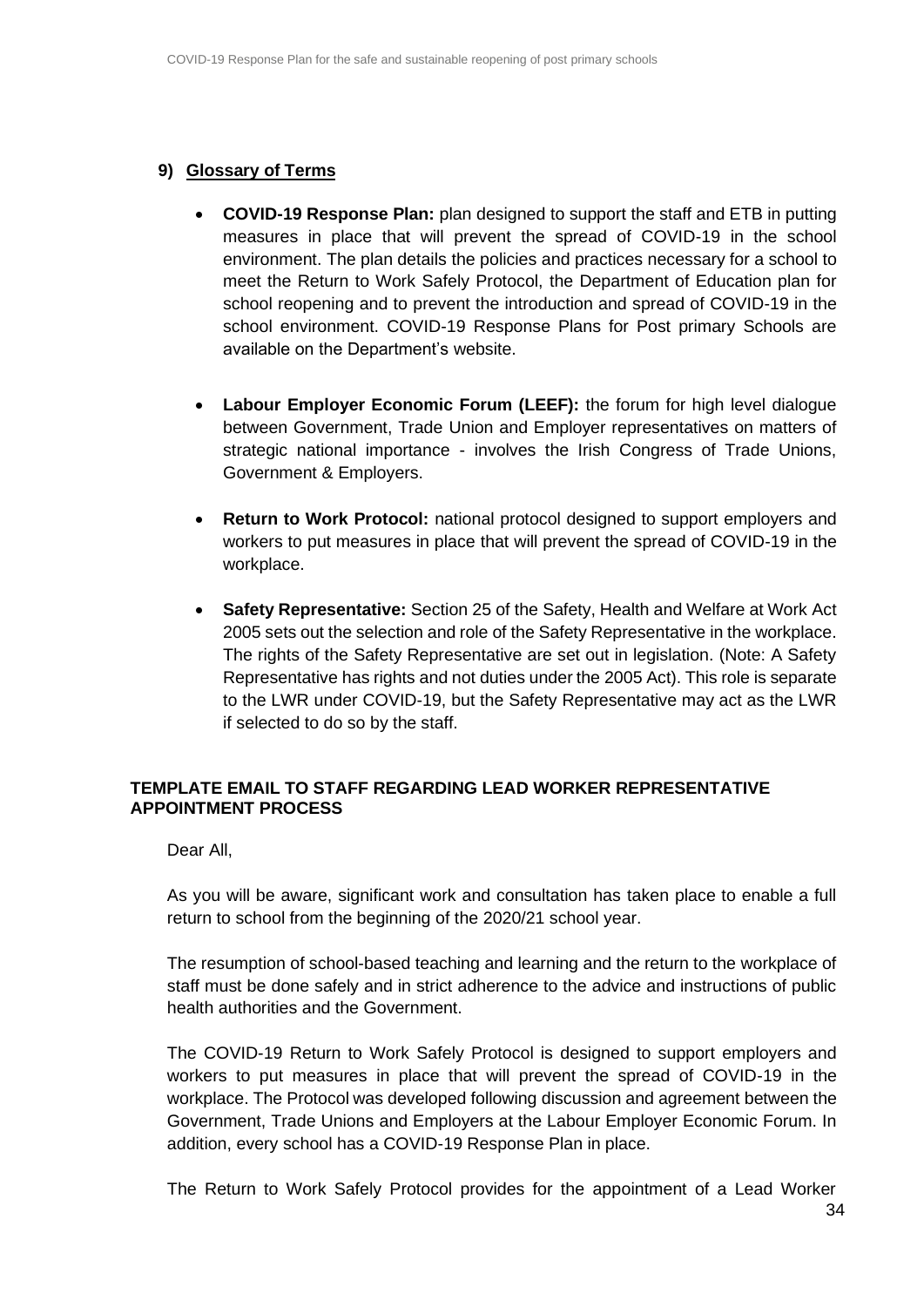#### **9) Glossary of Terms**

- **COVID-19 Response Plan:** plan designed to support the staff and ETB in putting measures in place that will prevent the spread of COVID-19 in the school environment. The plan details the policies and practices necessary for a school to meet the Return to Work Safely Protocol, the Department of Education plan for school reopening and to prevent the introduction and spread of COVID-19 in the school environment. COVID-19 Response Plans for Post primary Schools are available on the Department's website.
- **Labour Employer Economic Forum (LEEF):** the forum for high level dialogue between Government, Trade Union and Employer representatives on matters of strategic national importance - involves the Irish Congress of Trade Unions, Government & Employers.
- **Return to Work Protocol:** national protocol designed to support employers and workers to put measures in place that will prevent the spread of COVID-19 in the workplace.
- **Safety Representative:** Section 25 of the Safety, Health and Welfare at Work Act 2005 sets out the selection and role of the Safety Representative in the workplace. The rights of the Safety Representative are set out in legislation. (Note: A Safety Representative has rights and not duties under the 2005 Act). This role is separate to the LWR under COVID-19, but the Safety Representative may act as the LWR if selected to do so by the staff.

#### **TEMPLATE EMAIL TO STAFF REGARDING LEAD WORKER REPRESENTATIVE APPOINTMENT PROCESS**

Dear All,

As you will be aware, significant work and consultation has taken place to enable a full return to school from the beginning of the 2020/21 school year.

The resumption of school-based teaching and learning and the return to the workplace of staff must be done safely and in strict adherence to the advice and instructions of public health authorities and the Government.

The COVID-19 Return to Work Safely Protocol is designed to support employers and workers to put measures in place that will prevent the spread of COVID-19 in the workplace. The Protocol was developed following discussion and agreement between the Government, Trade Unions and Employers at the Labour Employer Economic Forum. In addition, every school has a COVID-19 Response Plan in place.

The Return to Work Safely Protocol provides for the appointment of a Lead Worker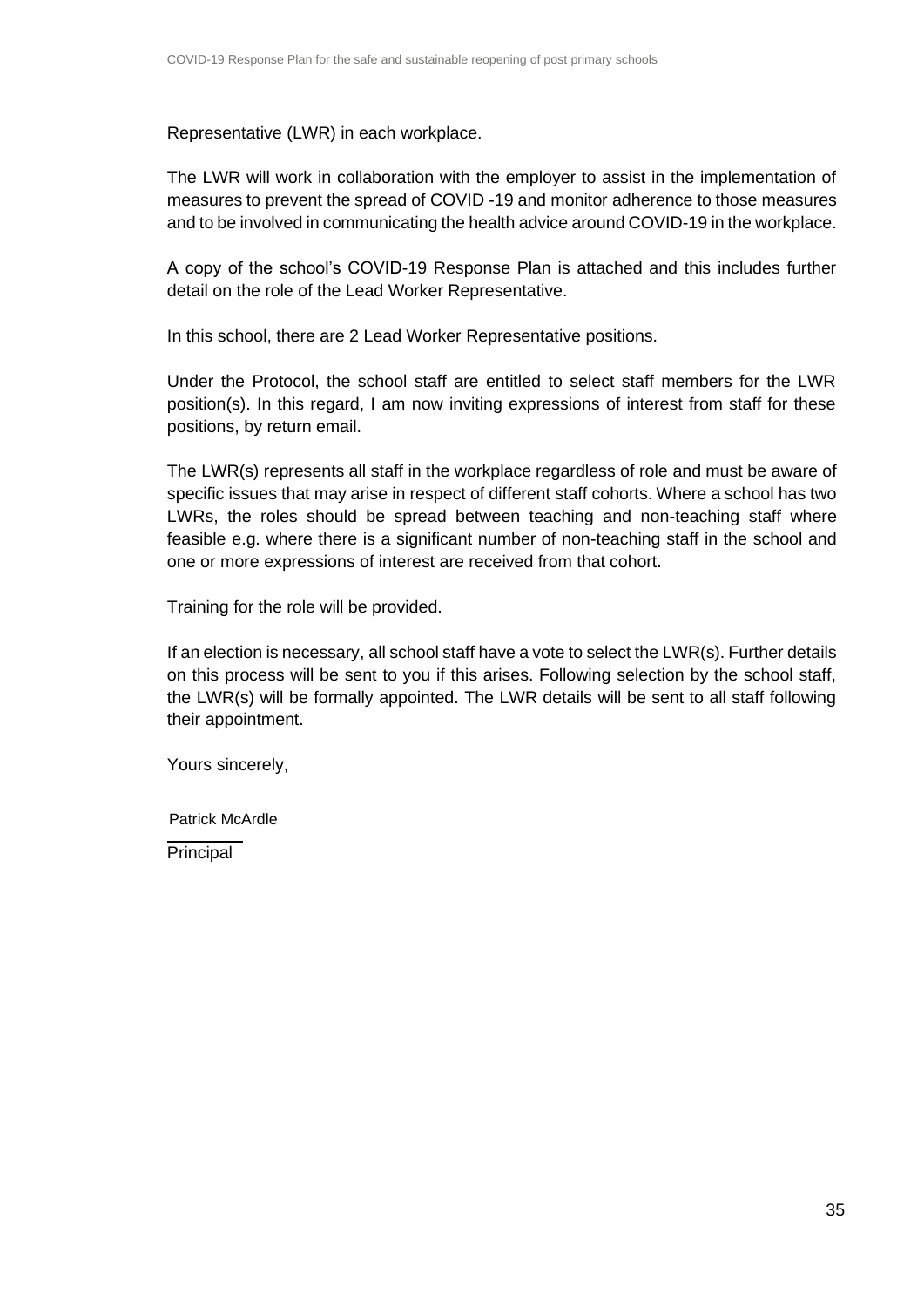Representative (LWR) in each workplace.

The LWR will work in collaboration with the employer to assist in the implementation of measures to prevent the spread of COVID -19 and monitor adherence to those measures and to be involved in communicating the health advice around COVID-19 in the workplace.

A copy of the school's COVID-19 Response Plan is attached and this includes further detail on the role of the Lead Worker Representative.

In this school, there are 2 Lead Worker Representative positions.

Under the Protocol, the school staff are entitled to select staff members for the LWR position(s). In this regard, I am now inviting expressions of interest from staff for these positions, by return email.

The LWR(s) represents all staff in the workplace regardless of role and must be aware of specific issues that may arise in respect of different staff cohorts. Where a school has two LWRs, the roles should be spread between teaching and non-teaching staff where feasible e.g. where there is a significant number of non-teaching staff in the school and one or more expressions of interest are received from that cohort.

Training for the role will be provided.

If an election is necessary, all school staff have a vote to select the LWR(s). Further details on this process will be sent to you if this arises. Following selection by the school staff, the LWR(s) will be formally appointed. The LWR details will be sent to all staff following their appointment.

Yours sincerely,

Patrick McArdle

Principal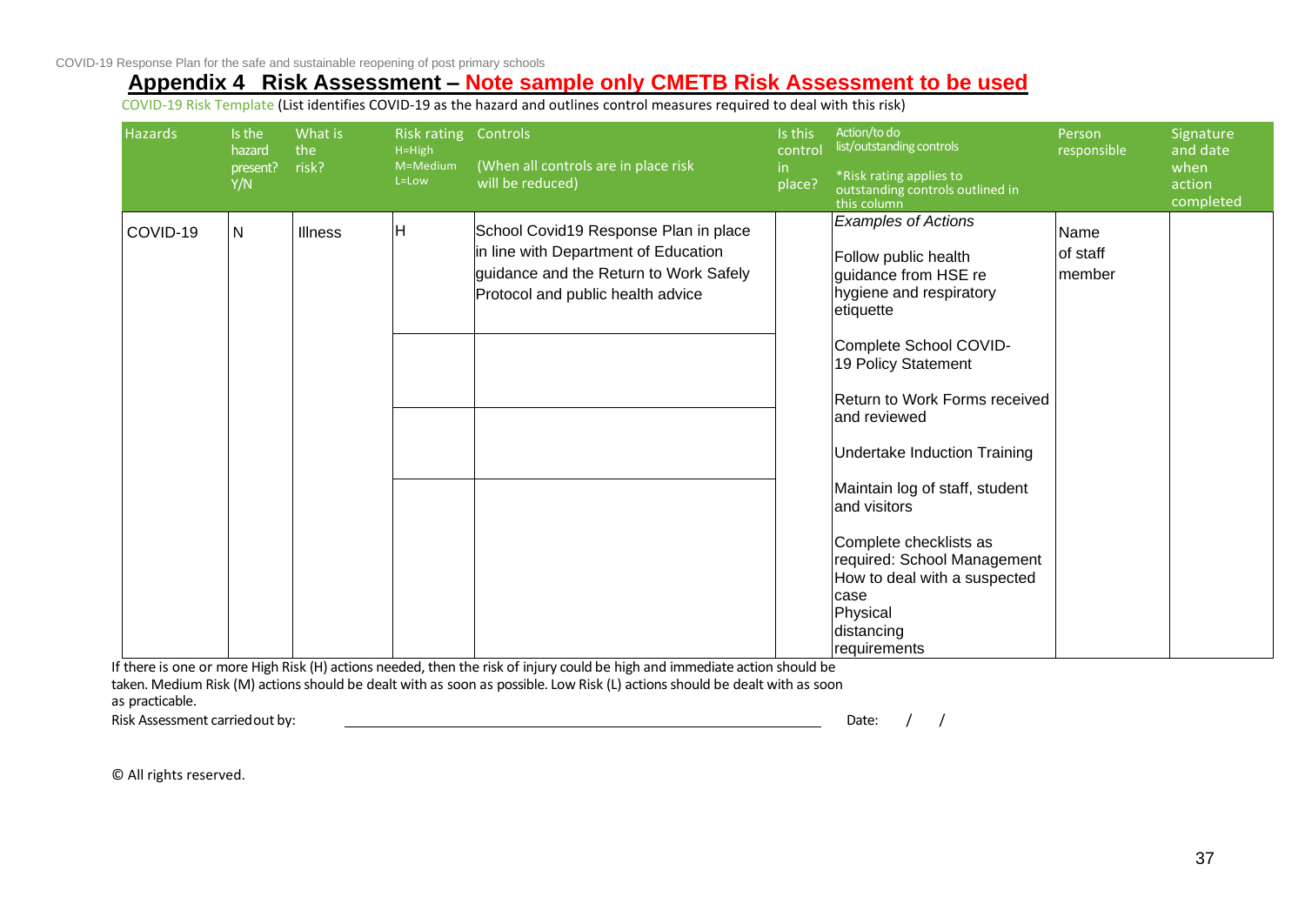## **Appendix 4 Risk Assessment – Note sample only CMETB Risk Assessment to be used**

COVID-19 Risk Template (List identifies COVID-19 as the hazard and outlines control measures required to deal with this risk)

| Hazards  | Is the<br>hazard<br>present?<br>Y/N | What is<br>the<br>risk? | <b>Risk rating</b><br>$H=High$<br>M=Medium<br>L=Low | Controls<br>(When all controls are in place risk<br>will be reduced)                                                                                         | Is this<br>control<br>in<br>place? | Action/to do<br>list/outstanding controls<br>*Risk rating applies to<br>outstanding controls outlined in<br>this column                                                                                                                                                                                                                                                                                                                                  | Person<br>responsible      | Signature<br>and date<br>when<br>action<br>completed |
|----------|-------------------------------------|-------------------------|-----------------------------------------------------|--------------------------------------------------------------------------------------------------------------------------------------------------------------|------------------------------------|----------------------------------------------------------------------------------------------------------------------------------------------------------------------------------------------------------------------------------------------------------------------------------------------------------------------------------------------------------------------------------------------------------------------------------------------------------|----------------------------|------------------------------------------------------|
| COVID-19 | $\mathsf{N}$                        | <b>Illness</b>          | H                                                   | School Covid19 Response Plan in place<br>in line with Department of Education<br>guidance and the Return to Work Safely<br>Protocol and public health advice |                                    | <b>Examples of Actions</b><br>Follow public health<br>guidance from HSE re<br>hygiene and respiratory<br>etiquette<br>Complete School COVID-<br>19 Policy Statement<br>Return to Work Forms received<br>and reviewed<br><b>Undertake Induction Training</b><br>Maintain log of staff, student<br>and visitors<br>Complete checklists as<br>required: School Management<br>How to deal with a suspected<br>case<br>Physical<br>distancing<br>requirements | Name<br>of staff<br>member |                                                      |

<span id="page-35-0"></span>If there is one or more High Risk (H) actions needed, then the risk of injury could be high and immediate action should be taken. Medium Risk (M) actions should be dealt with as soon as possible. Low Risk (L) actions should be dealt with as soon as practicable.

Risk Assessment carriedout by: Date: / /

© All rights reserved.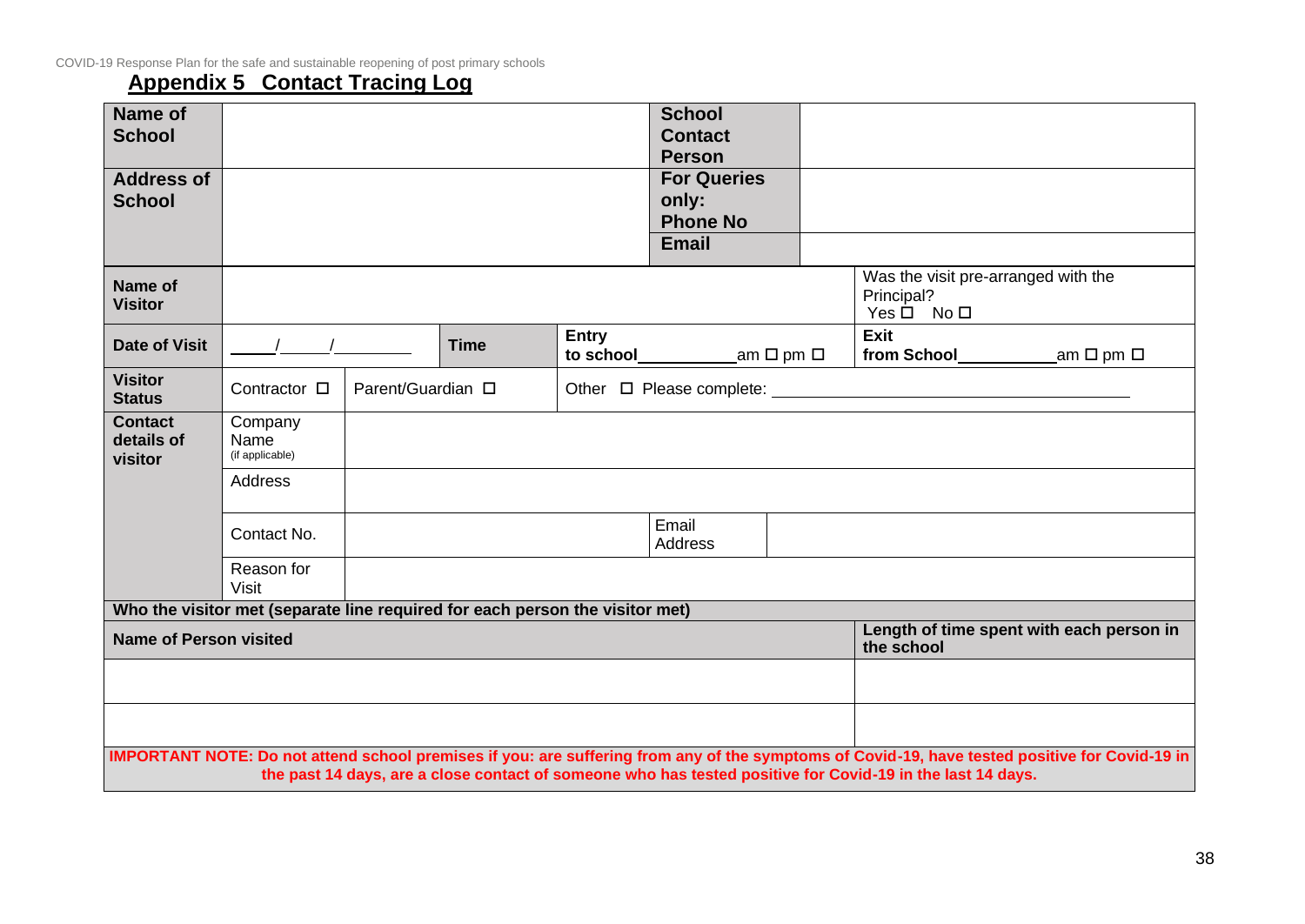## **Appendix 5 Contact Tracing Log**

<span id="page-36-0"></span>

| Name of<br><b>School</b>                |                                                                              |                   |             |              | <b>School</b><br><b>Contact</b><br><b>Person</b>               |                                 |                                                                                                                                                                                                                                                              |                                          |
|-----------------------------------------|------------------------------------------------------------------------------|-------------------|-------------|--------------|----------------------------------------------------------------|---------------------------------|--------------------------------------------------------------------------------------------------------------------------------------------------------------------------------------------------------------------------------------------------------------|------------------------------------------|
| <b>Address of</b><br><b>School</b>      |                                                                              |                   |             |              | <b>For Queries</b><br>only:<br><b>Phone No</b><br><b>Email</b> |                                 |                                                                                                                                                                                                                                                              |                                          |
| <b>Name of</b><br><b>Visitor</b>        |                                                                              |                   |             |              |                                                                |                                 | Was the visit pre-arranged with the<br>Principal?<br>$Yes \Box No \Box$                                                                                                                                                                                      |                                          |
| <b>Date of Visit</b>                    |                                                                              |                   | <b>Time</b> | <b>Entry</b> | to school__________                                            | $\mathsf{a}$ m $\Box$ pm $\Box$ | <b>Exit</b>                                                                                                                                                                                                                                                  |                                          |
| <b>Visitor</b><br><b>Status</b>         | Contractor □                                                                 | Parent/Guardian □ |             |              |                                                                |                                 |                                                                                                                                                                                                                                                              |                                          |
| <b>Contact</b><br>details of<br>visitor | Company<br>Name<br>(if applicable)                                           |                   |             |              |                                                                |                                 |                                                                                                                                                                                                                                                              |                                          |
|                                         | Address                                                                      |                   |             |              |                                                                |                                 |                                                                                                                                                                                                                                                              |                                          |
|                                         | Contact No.                                                                  |                   |             |              | Email<br>Address                                               |                                 |                                                                                                                                                                                                                                                              |                                          |
|                                         | Reason for<br><b>Visit</b>                                                   |                   |             |              |                                                                |                                 |                                                                                                                                                                                                                                                              |                                          |
|                                         | Who the visitor met (separate line required for each person the visitor met) |                   |             |              |                                                                |                                 |                                                                                                                                                                                                                                                              |                                          |
| <b>Name of Person visited</b>           |                                                                              |                   |             |              |                                                                |                                 | the school                                                                                                                                                                                                                                                   | Length of time spent with each person in |
|                                         |                                                                              |                   |             |              |                                                                |                                 |                                                                                                                                                                                                                                                              |                                          |
|                                         |                                                                              |                   |             |              |                                                                |                                 |                                                                                                                                                                                                                                                              |                                          |
|                                         |                                                                              |                   |             |              |                                                                |                                 | IMPORTANT NOTE: Do not attend school premises if you: are suffering from any of the symptoms of Covid-19, have tested positive for Covid-19 in<br>the past 14 days, are a close contact of someone who has tested positive for Covid-19 in the last 14 days. |                                          |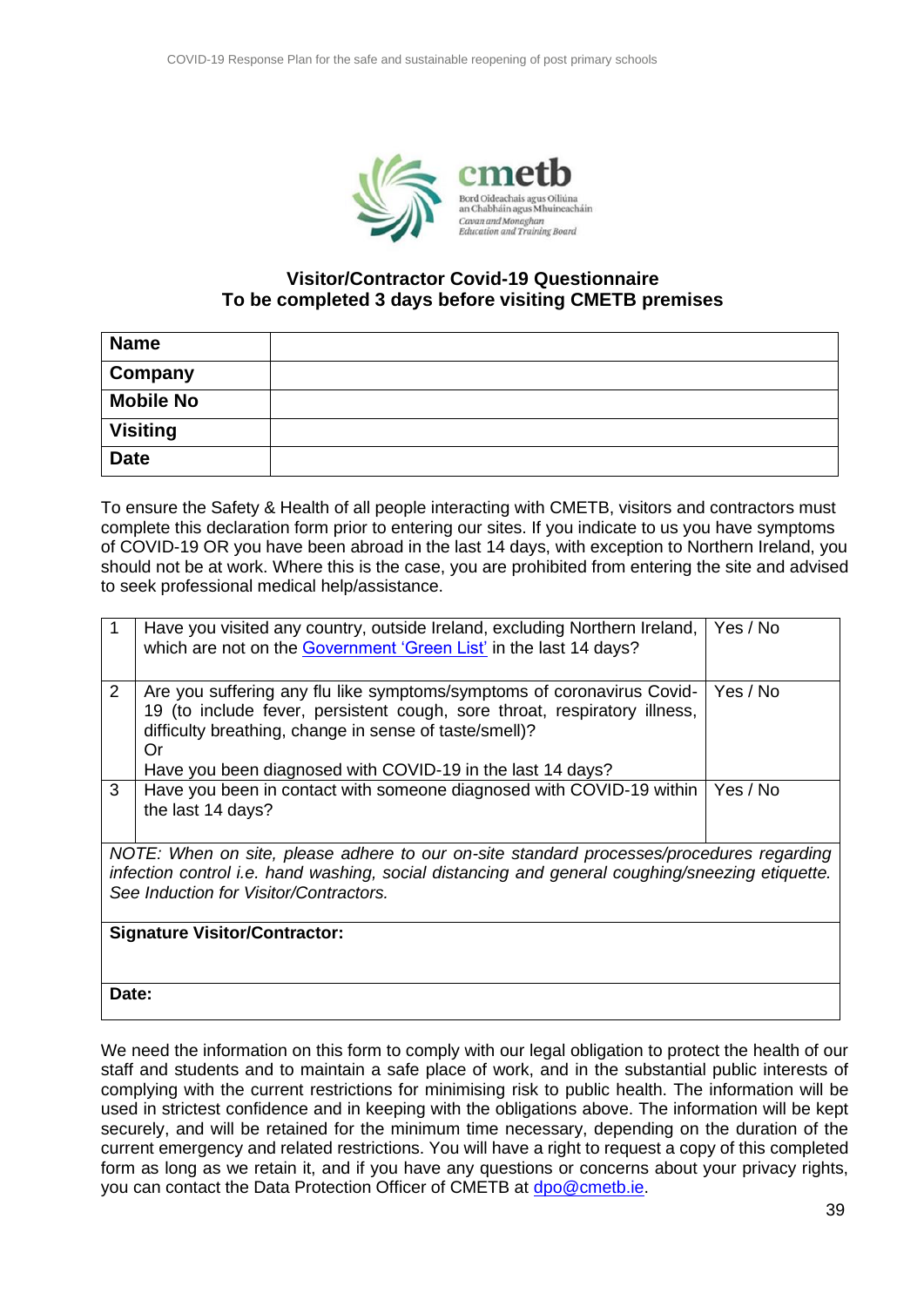

#### **Visitor/Contractor Covid-19 Questionnaire To be completed 3 days before visiting CMETB premises**

| <b>Name</b>      |  |
|------------------|--|
| Company          |  |
| <b>Mobile No</b> |  |
| <b>Visiting</b>  |  |
| <b>Date</b>      |  |

To ensure the Safety & Health of all people interacting with CMETB, visitors and contractors must complete this declaration form prior to entering our sites. If you indicate to us you have symptoms of COVID-19 OR you have been abroad in the last 14 days, with exception to Northern Ireland, you should not be at work. Where this is the case, you are prohibited from entering the site and advised to seek professional medical help/assistance.

|                                                                                                                                                                                                                                       | Have you visited any country, outside Ireland, excluding Northern Ireland,<br>which are not on the Government 'Green List' in the last 14 days?                                                                                                                                   | Yes / No |  |  |  |  |
|---------------------------------------------------------------------------------------------------------------------------------------------------------------------------------------------------------------------------------------|-----------------------------------------------------------------------------------------------------------------------------------------------------------------------------------------------------------------------------------------------------------------------------------|----------|--|--|--|--|
| $\overline{2}$                                                                                                                                                                                                                        | Are you suffering any flu like symptoms/symptoms of coronavirus Covid-<br>19 (to include fever, persistent cough, sore throat, respiratory illness,<br>difficulty breathing, change in sense of taste/smell)?<br>Or<br>Have you been diagnosed with COVID-19 in the last 14 days? | Yes / No |  |  |  |  |
| 3                                                                                                                                                                                                                                     | Have you been in contact with someone diagnosed with COVID-19 within<br>the last 14 days?                                                                                                                                                                                         | Yes / No |  |  |  |  |
| NOTE: When on site, please adhere to our on-site standard processes/procedures regarding<br>infection control i.e. hand washing, social distancing and general coughing/sneezing etiquette.<br>See Induction for Visitor/Contractors. |                                                                                                                                                                                                                                                                                   |          |  |  |  |  |
| <b>Signature Visitor/Contractor:</b>                                                                                                                                                                                                  |                                                                                                                                                                                                                                                                                   |          |  |  |  |  |
| Date:                                                                                                                                                                                                                                 |                                                                                                                                                                                                                                                                                   |          |  |  |  |  |

We need the information on this form to comply with our legal obligation to protect the health of our staff and students and to maintain a safe place of work, and in the substantial public interests of complying with the current restrictions for minimising risk to public health. The information will be used in strictest confidence and in keeping with the obligations above. The information will be kept securely, and will be retained for the minimum time necessary, depending on the duration of the current emergency and related restrictions. You will have a right to request a copy of this completed form as long as we retain it, and if you have any questions or concerns about your privacy rights, you can contact the Data Protection Officer of CMETB at [dpo@cmetb.ie.](mailto:dp@XXetb.ie)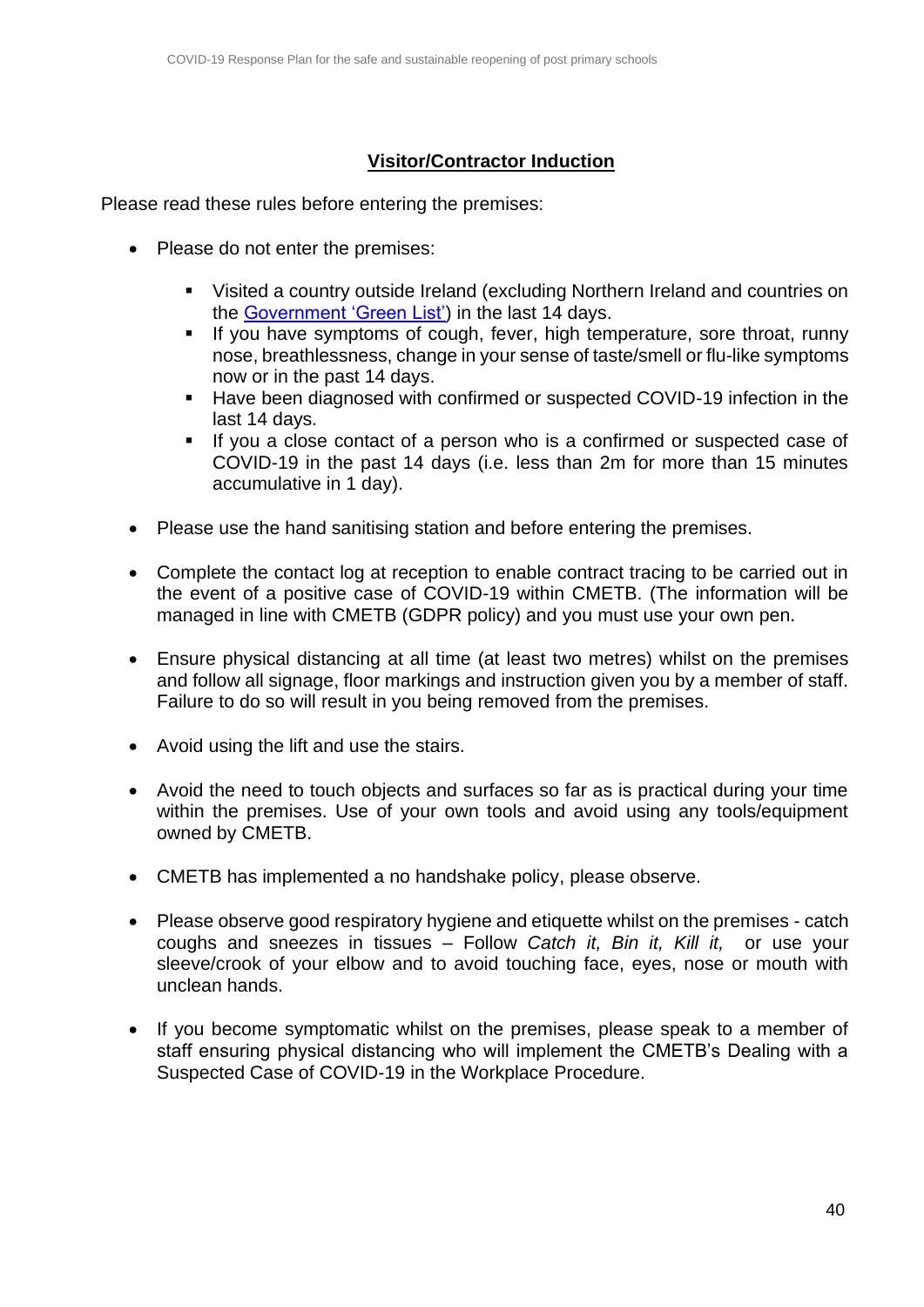## **Visitor/Contractor Induction**

Please read these rules before entering the premises:

- Please do not enter the premises:
	- Visited a country outside Ireland (excluding Northern Ireland and countries on the [Government 'Green List'\)](https://www.gov.ie/en/publication/8868e-view-the-covid-19-travel-advice-list/) in the last 14 days.
	- **EXT** If you have symptoms of cough, fever, high temperature, sore throat, runny nose, breathlessness, change in your sense of taste/smell or flu-like symptoms now or in the past 14 days.
	- Have been diagnosed with confirmed or suspected COVID-19 infection in the last 14 days.
	- If you a close contact of a person who is a confirmed or suspected case of COVID-19 in the past 14 days (i.e. less than 2m for more than 15 minutes accumulative in 1 day).
- Please use the hand sanitising station and before entering the premises.
- Complete the contact log at reception to enable contract tracing to be carried out in the event of a positive case of COVID-19 within CMETB. (The information will be managed in line with CMETB (GDPR policy) and you must use your own pen.
- Ensure physical distancing at all time (at least two metres) whilst on the premises and follow all signage, floor markings and instruction given you by a member of staff. Failure to do so will result in you being removed from the premises.
- Avoid using the lift and use the stairs.
- Avoid the need to touch objects and surfaces so far as is practical during your time within the premises. Use of your own tools and avoid using any tools/equipment owned by CMETB.
- CMETB has implemented a no handshake policy, please observe.
- Please observe good respiratory hygiene and etiquette whilst on the premises catch coughs and sneezes in tissues – Follow *Catch it, Bin it, Kill it,* or use your sleeve/crook of your elbow and to avoid touching face, eyes, nose or mouth with unclean hands.
- If you become symptomatic whilst on the premises, please speak to a member of staff ensuring physical distancing who will implement the CMETB's Dealing with a Suspected Case of COVID-19 in the Workplace Procedure.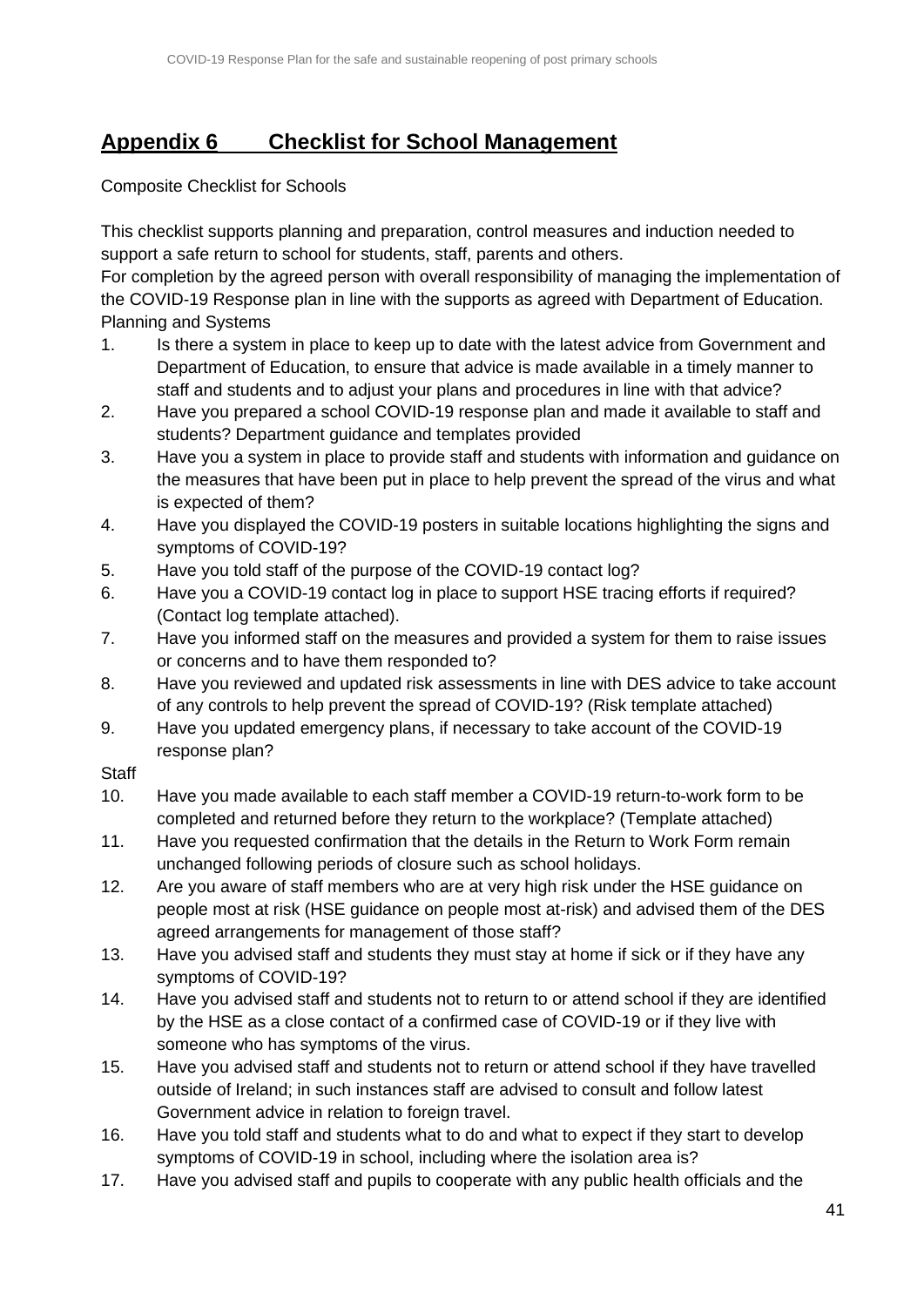# <span id="page-39-0"></span>**Appendix 6 Checklist for School Management**

Composite Checklist for Schools

This checklist supports planning and preparation, control measures and induction needed to support a safe return to school for students, staff, parents and others.

For completion by the agreed person with overall responsibility of managing the implementation of the COVID-19 Response plan in line with the supports as agreed with Department of Education. Planning and Systems

- 1. Is there a system in place to keep up to date with the latest advice from Government and Department of Education, to ensure that advice is made available in a timely manner to staff and students and to adjust your plans and procedures in line with that advice?
- 2. Have you prepared a school COVID-19 response plan and made it available to staff and students? Department guidance and templates provided
- 3. Have you a system in place to provide staff and students with information and guidance on the measures that have been put in place to help prevent the spread of the virus and what is expected of them?
- 4. Have you displayed the COVID-19 posters in suitable locations highlighting the signs and symptoms of COVID-19?
- 5. Have you told staff of the purpose of the COVID-19 contact log?
- 6. Have you a COVID-19 contact log in place to support HSE tracing efforts if required? (Contact log template attached).
- 7. Have you informed staff on the measures and provided a system for them to raise issues or concerns and to have them responded to?
- 8. Have you reviewed and updated risk assessments in line with DES advice to take account of any controls to help prevent the spread of COVID-19? (Risk template attached)
- 9. Have you updated emergency plans, if necessary to take account of the COVID-19 response plan?

## **Staff**

- 10. Have you made available to each staff member a COVID-19 return-to-work form to be completed and returned before they return to the workplace? (Template attached)
- 11. Have you requested confirmation that the details in the Return to Work Form remain unchanged following periods of closure such as school holidays.
- 12. Are you aware of staff members who are at very high risk under the HSE guidance on people most at risk (HSE guidance on people most at-risk) and advised them of the DES agreed arrangements for management of those staff?
- 13. Have you advised staff and students they must stay at home if sick or if they have any symptoms of COVID-19?
- 14. Have you advised staff and students not to return to or attend school if they are identified by the HSE as a close contact of a confirmed case of COVID-19 or if they live with someone who has symptoms of the virus.
- 15. Have you advised staff and students not to return or attend school if they have travelled outside of Ireland; in such instances staff are advised to consult and follow latest Government advice in relation to foreign travel.
- 16. Have you told staff and students what to do and what to expect if they start to develop symptoms of COVID-19 in school, including where the isolation area is?
- 17. Have you advised staff and pupils to cooperate with any public health officials and the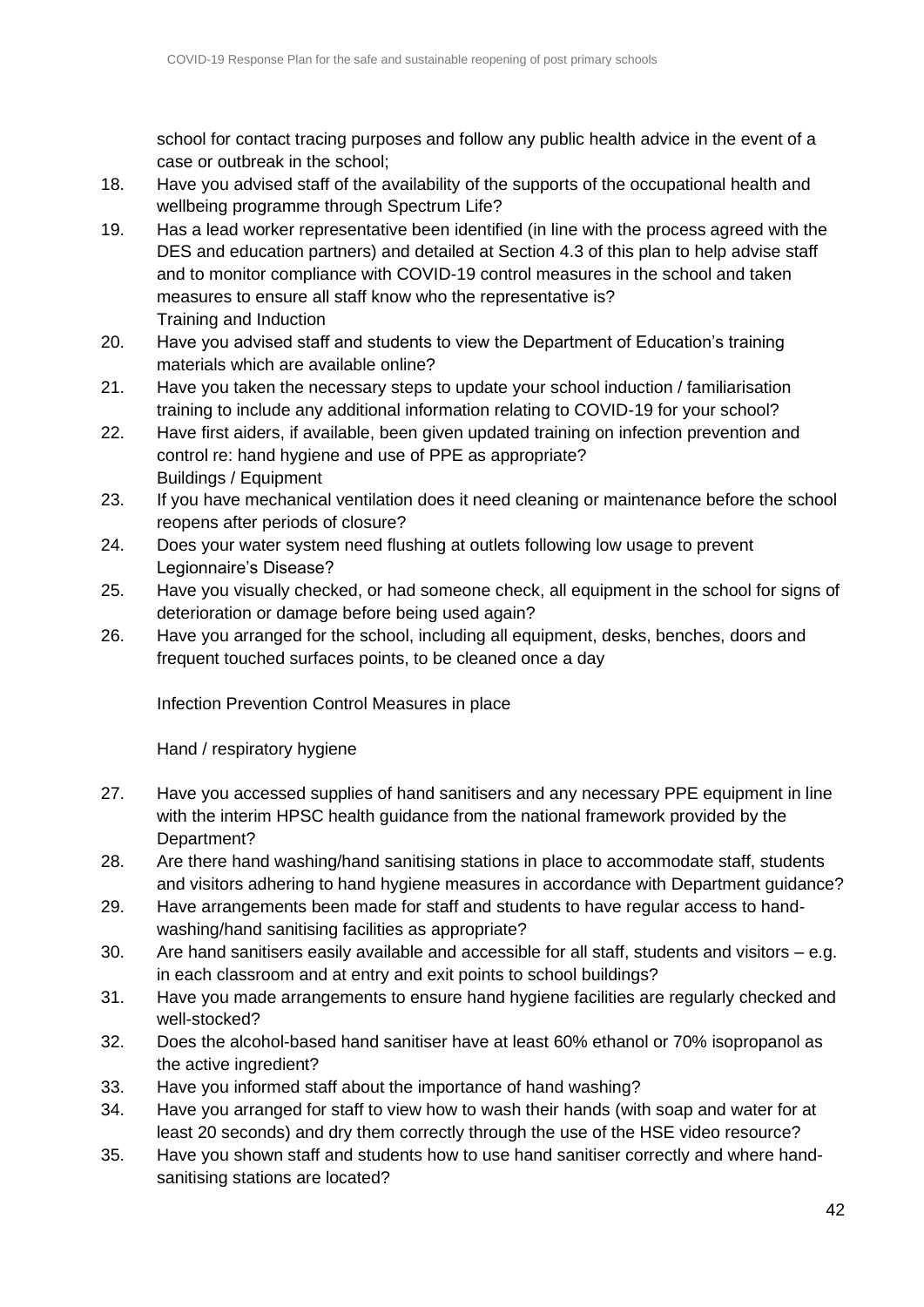school for contact tracing purposes and follow any public health advice in the event of a case or outbreak in the school;

- 18. Have you advised staff of the availability of the supports of the occupational health and wellbeing programme through Spectrum Life?
- 19. Has a lead worker representative been identified (in line with the process agreed with the DES and education partners) and detailed at Section 4.3 of this plan to help advise staff and to monitor compliance with COVID-19 control measures in the school and taken measures to ensure all staff know who the representative is? Training and Induction
- 20. Have you advised staff and students to view the Department of Education's training materials which are available online?
- 21. Have you taken the necessary steps to update your school induction / familiarisation training to include any additional information relating to COVID-19 for your school?
- 22. Have first aiders, if available, been given updated training on infection prevention and control re: hand hygiene and use of PPE as appropriate? Buildings / Equipment
- 23. If you have mechanical ventilation does it need cleaning or maintenance before the school reopens after periods of closure?
- 24. Does your water system need flushing at outlets following low usage to prevent Legionnaire's Disease?
- 25. Have you visually checked, or had someone check, all equipment in the school for signs of deterioration or damage before being used again?
- 26. Have you arranged for the school, including all equipment, desks, benches, doors and frequent touched surfaces points, to be cleaned once a day

Infection Prevention Control Measures in place

Hand / respiratory hygiene

- 27. Have you accessed supplies of hand sanitisers and any necessary PPE equipment in line with the interim HPSC health guidance from the national framework provided by the Department?
- 28. Are there hand washing/hand sanitising stations in place to accommodate staff, students and visitors adhering to hand hygiene measures in accordance with Department guidance?
- 29. Have arrangements been made for staff and students to have regular access to handwashing/hand sanitising facilities as appropriate?
- 30. Are hand sanitisers easily available and accessible for all staff, students and visitors e.g. in each classroom and at entry and exit points to school buildings?
- 31. Have you made arrangements to ensure hand hygiene facilities are regularly checked and well-stocked?
- 32. Does the alcohol-based hand sanitiser have at least 60% ethanol or 70% isopropanol as the active ingredient?
- 33. Have you informed staff about the importance of hand washing?
- 34. Have you arranged for staff to view how to wash their hands (with soap and water for at least 20 seconds) and dry them correctly through the use of the HSE video resource?
- 35. Have you shown staff and students how to use hand sanitiser correctly and where handsanitising stations are located?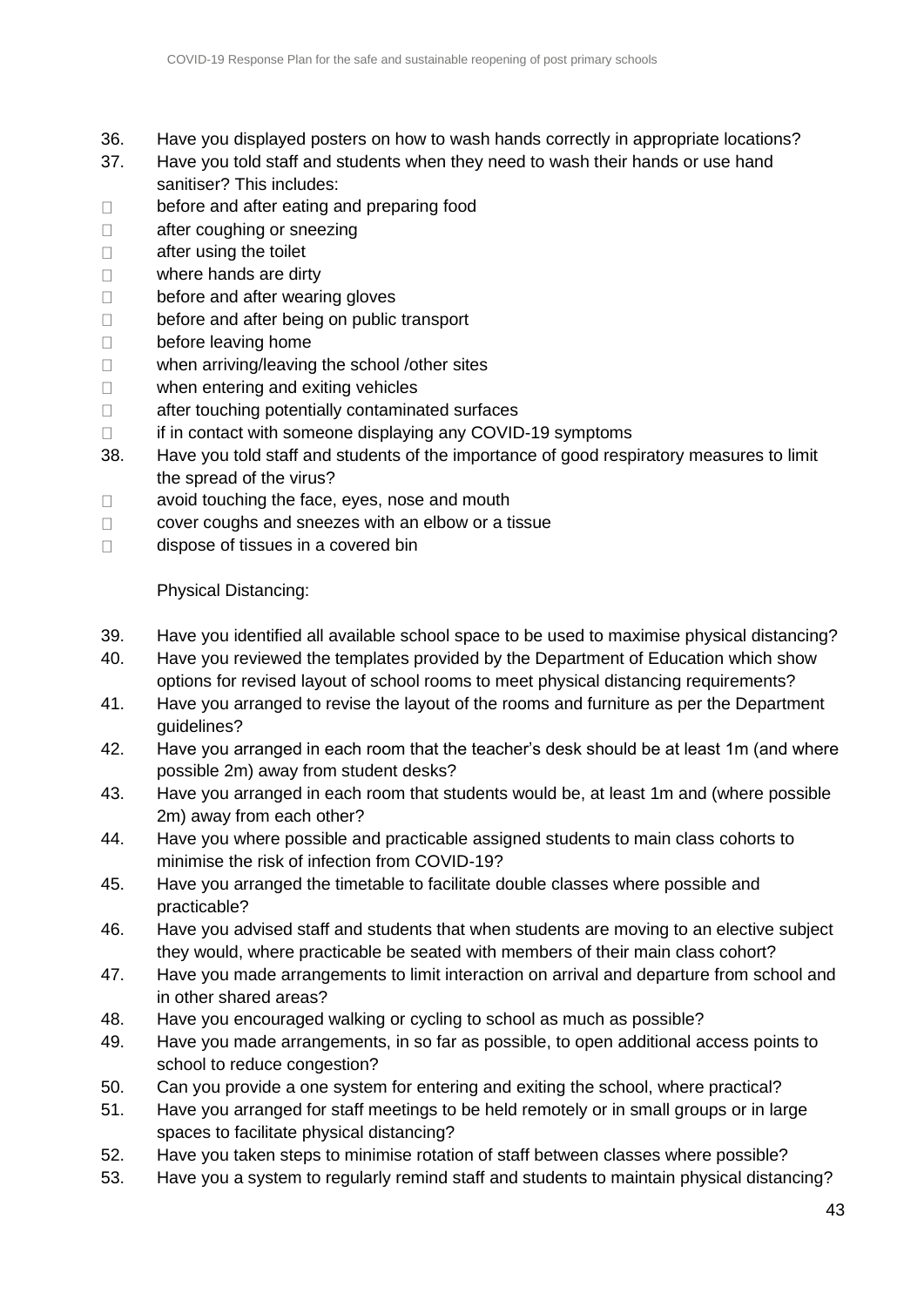- 36. Have you displayed posters on how to wash hands correctly in appropriate locations?
- 37. Have you told staff and students when they need to wash their hands or use hand sanitiser? This includes:
- before and after eating and preparing food  $\Box$
- $\Box$ after coughing or sneezing
- $\Box$ after using the toilet
- $\Box$ where hands are dirty
- $\Box$ before and after wearing gloves
- $\Box$ before and after being on public transport
- $\Box$ before leaving home
- when arriving/leaving the school /other sites  $\Box$
- when entering and exiting vehicles  $\Box$
- $\Box$ after touching potentially contaminated surfaces
- if in contact with someone displaying any COVID-19 symptoms  $\Box$
- 38. Have you told staff and students of the importance of good respiratory measures to limit the spread of the virus?
- avoid touching the face, eyes, nose and mouth  $\Box$
- cover coughs and sneezes with an elbow or a tissue  $\Box$
- $\Box$ dispose of tissues in a covered bin

## Physical Distancing:

- 39. Have you identified all available school space to be used to maximise physical distancing?
- 40. Have you reviewed the templates provided by the Department of Education which show options for revised layout of school rooms to meet physical distancing requirements?
- 41. Have you arranged to revise the layout of the rooms and furniture as per the Department guidelines?
- 42. Have you arranged in each room that the teacher's desk should be at least 1m (and where possible 2m) away from student desks?
- 43. Have you arranged in each room that students would be, at least 1m and (where possible 2m) away from each other?
- 44. Have you where possible and practicable assigned students to main class cohorts to minimise the risk of infection from COVID-19?
- 45. Have you arranged the timetable to facilitate double classes where possible and practicable?
- 46. Have you advised staff and students that when students are moving to an elective subject they would, where practicable be seated with members of their main class cohort?
- 47. Have you made arrangements to limit interaction on arrival and departure from school and in other shared areas?
- 48. Have you encouraged walking or cycling to school as much as possible?
- 49. Have you made arrangements, in so far as possible, to open additional access points to school to reduce congestion?
- 50. Can you provide a one system for entering and exiting the school, where practical?
- 51. Have you arranged for staff meetings to be held remotely or in small groups or in large spaces to facilitate physical distancing?
- 52. Have you taken steps to minimise rotation of staff between classes where possible?
- 53. Have you a system to regularly remind staff and students to maintain physical distancing?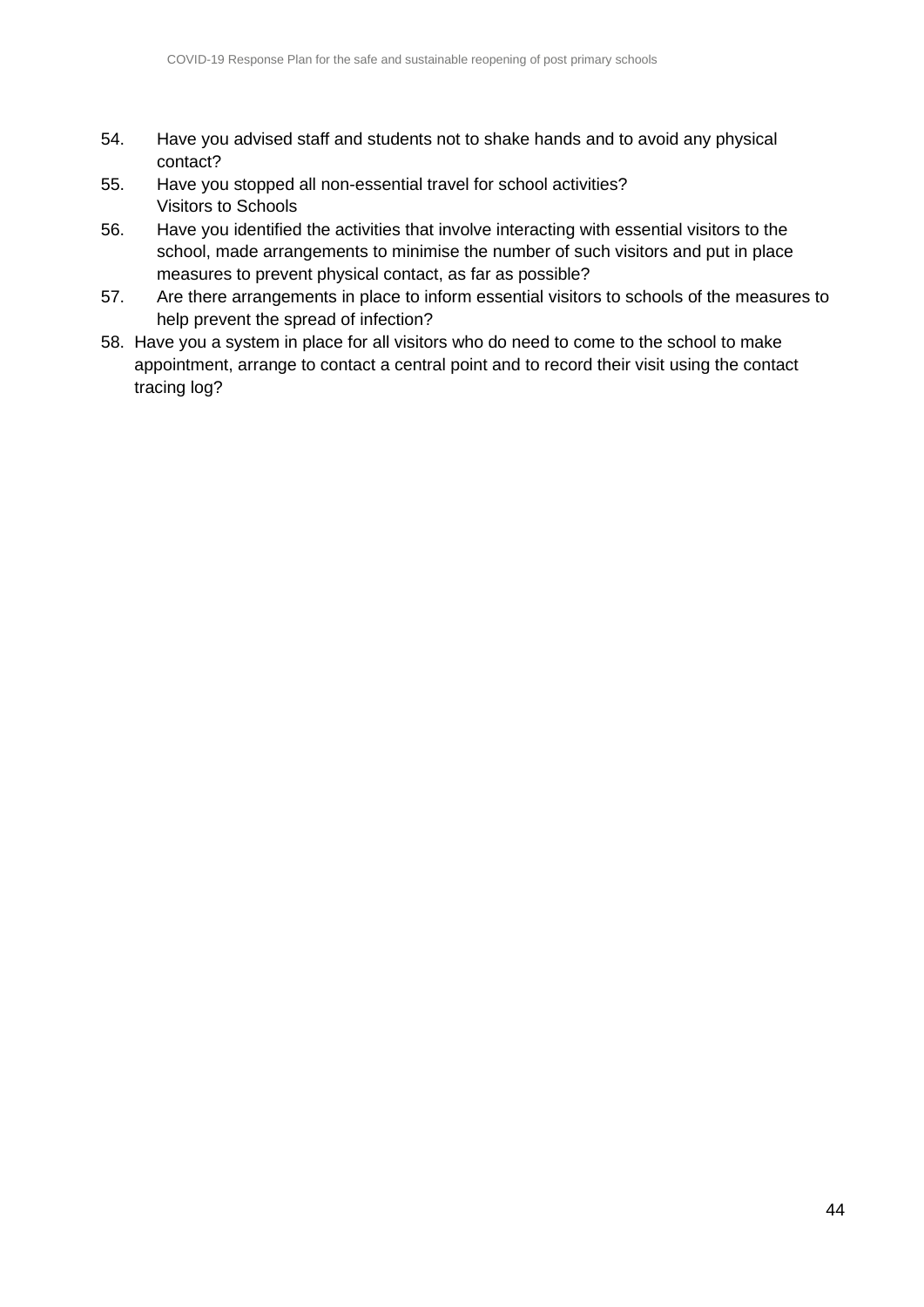- 54. Have you advised staff and students not to shake hands and to avoid any physical contact?
- 55. Have you stopped all non-essential travel for school activities? Visitors to Schools
- 56. Have you identified the activities that involve interacting with essential visitors to the school, made arrangements to minimise the number of such visitors and put in place measures to prevent physical contact, as far as possible?
- 57. Are there arrangements in place to inform essential visitors to schools of the measures to help prevent the spread of infection?
- 58. Have you a system in place for all visitors who do need to come to the school to make appointment, arrange to contact a central point and to record their visit using the contact tracing log?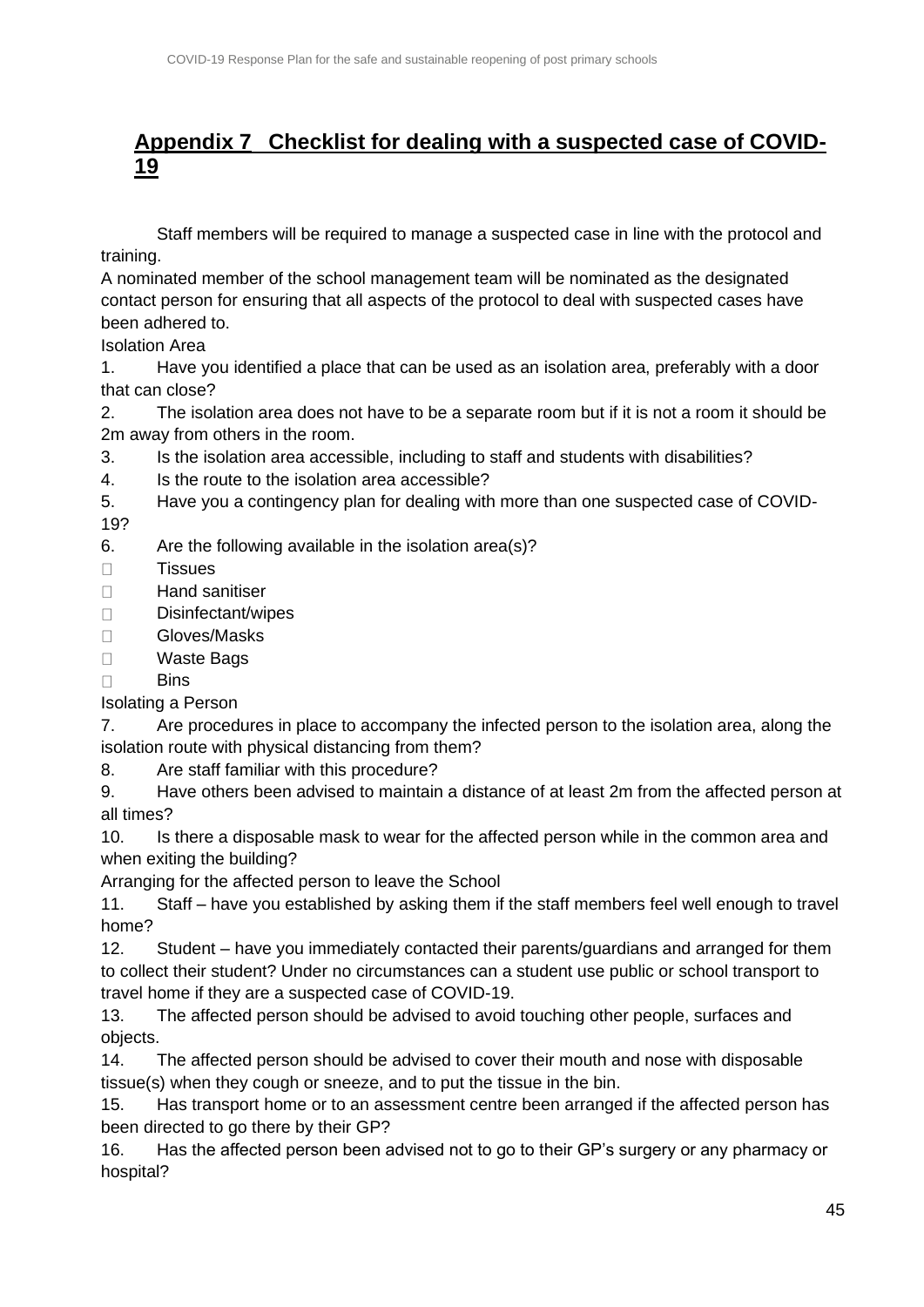# <span id="page-43-0"></span>**Appendix 7 Checklist for dealing with a suspected case of COVID-19**

Staff members will be required to manage a suspected case in line with the protocol and training.

A nominated member of the school management team will be nominated as the designated contact person for ensuring that all aspects of the protocol to deal with suspected cases have been adhered to.

Isolation Area

1. Have you identified a place that can be used as an isolation area, preferably with a door that can close?

2. The isolation area does not have to be a separate room but if it is not a room it should be 2m away from others in the room.

3. Is the isolation area accessible, including to staff and students with disabilities?

4. Is the route to the isolation area accessible?

5. Have you a contingency plan for dealing with more than one suspected case of COVID-19?

6. Are the following available in the isolation area(s)?

**Tissues**  $\Box$ 

 $\Box$ Hand sanitiser

- Disinfectant/wipes  $\Box$
- Gloves/Masks  $\Box$
- Waste Bags  $\Box$
- $\Box$ **Bins**

## Isolating a Person

7. Are procedures in place to accompany the infected person to the isolation area, along the isolation route with physical distancing from them?

8. Are staff familiar with this procedure?

9. Have others been advised to maintain a distance of at least 2m from the affected person at all times?

10. Is there a disposable mask to wear for the affected person while in the common area and when exiting the building?

Arranging for the affected person to leave the School

11. Staff – have you established by asking them if the staff members feel well enough to travel home?

12. Student – have you immediately contacted their parents/guardians and arranged for them to collect their student? Under no circumstances can a student use public or school transport to travel home if they are a suspected case of COVID-19.

13. The affected person should be advised to avoid touching other people, surfaces and objects.

14. The affected person should be advised to cover their mouth and nose with disposable tissue(s) when they cough or sneeze, and to put the tissue in the bin.

15. Has transport home or to an assessment centre been arranged if the affected person has been directed to go there by their GP?

16. Has the affected person been advised not to go to their GP's surgery or any pharmacy or hospital?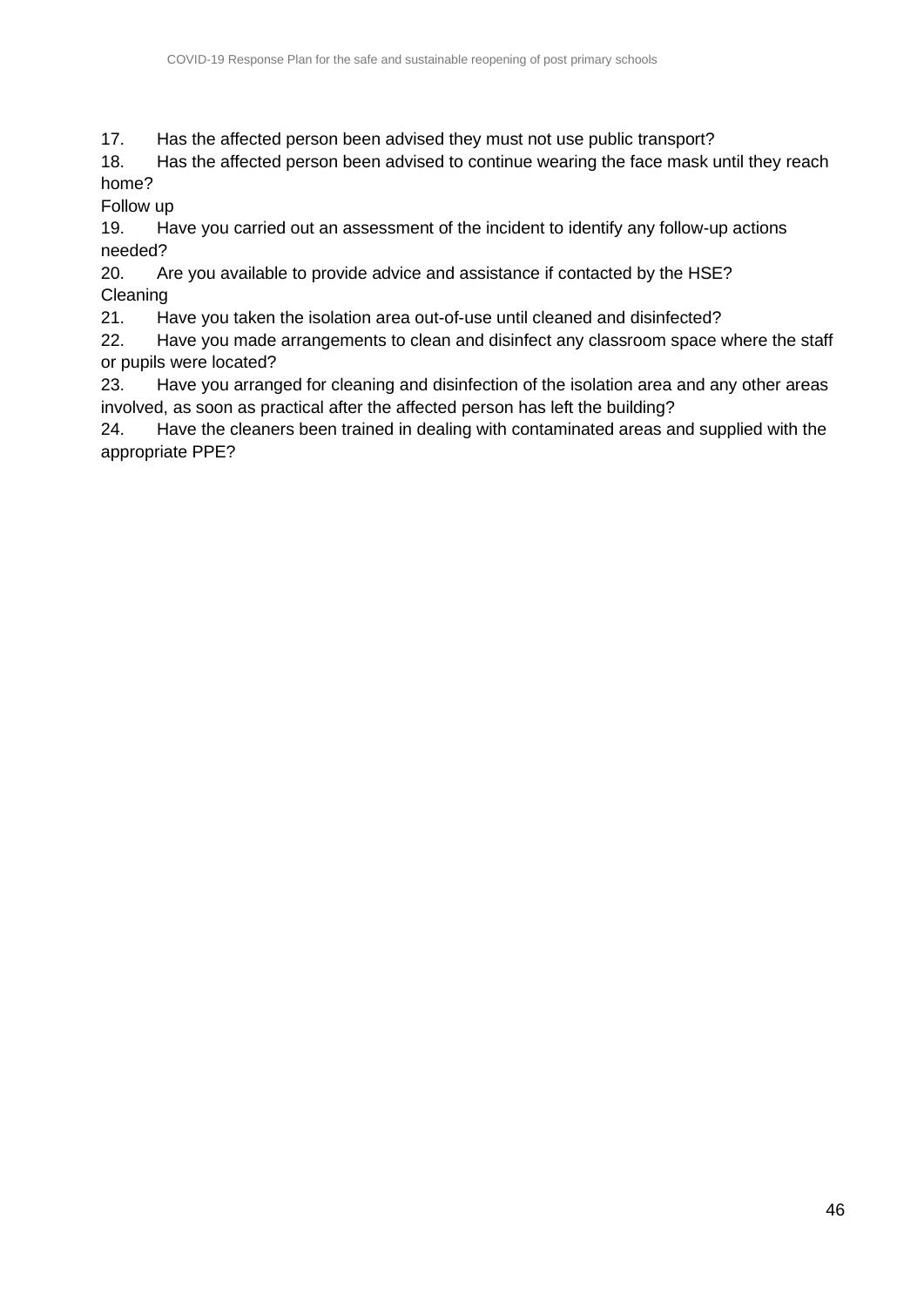17. Has the affected person been advised they must not use public transport?

18. Has the affected person been advised to continue wearing the face mask until they reach home?

Follow up

19. Have you carried out an assessment of the incident to identify any follow-up actions needed?

20. Are you available to provide advice and assistance if contacted by the HSE? Cleaning

21. Have you taken the isolation area out-of-use until cleaned and disinfected?

22. Have you made arrangements to clean and disinfect any classroom space where the staff or pupils were located?

23. Have you arranged for cleaning and disinfection of the isolation area and any other areas involved, as soon as practical after the affected person has left the building?

24. Have the cleaners been trained in dealing with contaminated areas and supplied with the appropriate PPE?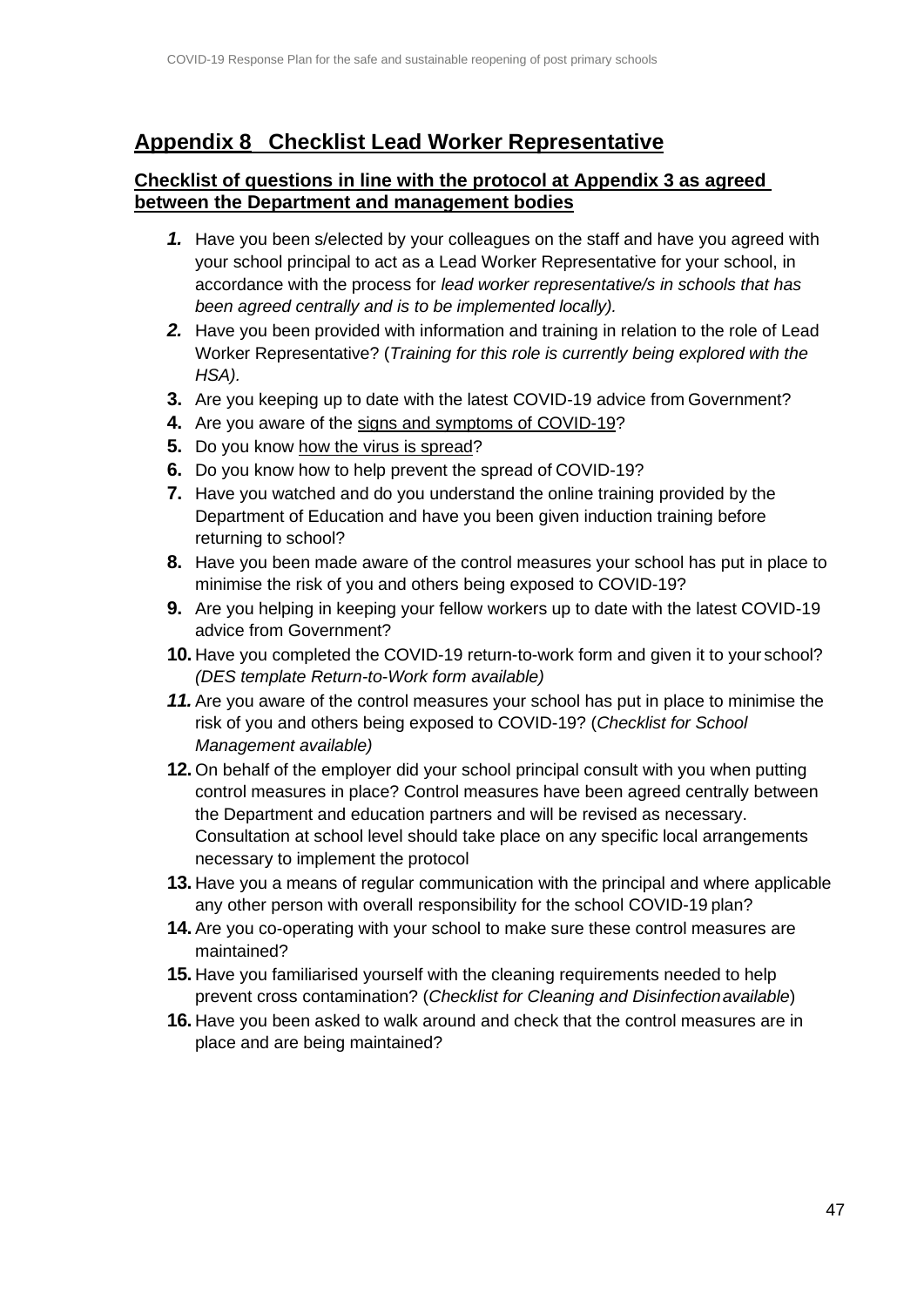# <span id="page-45-0"></span>**Appendix 8 Checklist Lead Worker Representative**

#### **Checklist of questions in line with the protocol at Appendix 3 as agreed between the Department and management bodies**

- *1.* Have you been s/elected by your colleagues on the staff and have you agreed with your school principal to act as a Lead Worker Representative for your school, in accordance with the process for *lead worker representative/s in schools that has been agreed centrally and is to be implemented locally).*
- *2.* Have you been provided with information and training in relation to the role of Lead Worker Representative? (*Training for this role is currently being explored with the HSA).*
- **3.** Are you keeping up to date with the latest COVID-19 advice from Government?
- **4.** Are you aware of the [signs and symptoms of](https://www2.hse.ie/conditions/coronavirus/symptoms.html) COVID-19?
- **5.** Do you know [how the virus is](https://www2.hse.ie/conditions/coronavirus/how-coronavirus-is-spread.html) spread?
- **6.** Do you know how to help prevent the spread of COVID-19?
- **7.** Have you watched and do you understand the online training provided by the Department of Education and have you been given induction training before returning to school?
- **8.** Have you been made aware of the control measures your school has put in place to minimise the risk of you and others being exposed to COVID-19?
- **9.** Are you helping in keeping your fellow workers up to date with the latest COVID-19 advice from Government?
- **10.** Have you completed the COVID-19 return-to-work form and given it to your school? *(DES template Return-to-Work form available)*
- *11.* Are you aware of the control measures your school has put in place to minimise the risk of you and others being exposed to COVID-19? (*Checklist for School Management available)*
- **12.** On behalf of the employer did your school principal consult with you when putting control measures in place? Control measures have been agreed centrally between the Department and education partners and will be revised as necessary. Consultation at school level should take place on any specific local arrangements necessary to implement the protocol
- **13.** Have you a means of regular communication with the principal and where applicable any other person with overall responsibility for the school COVID-19 plan?
- **14.** Are you co-operating with your school to make sure these control measures are maintained?
- **15.** Have you familiarised yourself with the cleaning requirements needed to help prevent cross contamination? (*Checklist for Cleaning and Disinfectionavailable*)
- **16.** Have you been asked to walk around and check that the control measures are in place and are being maintained?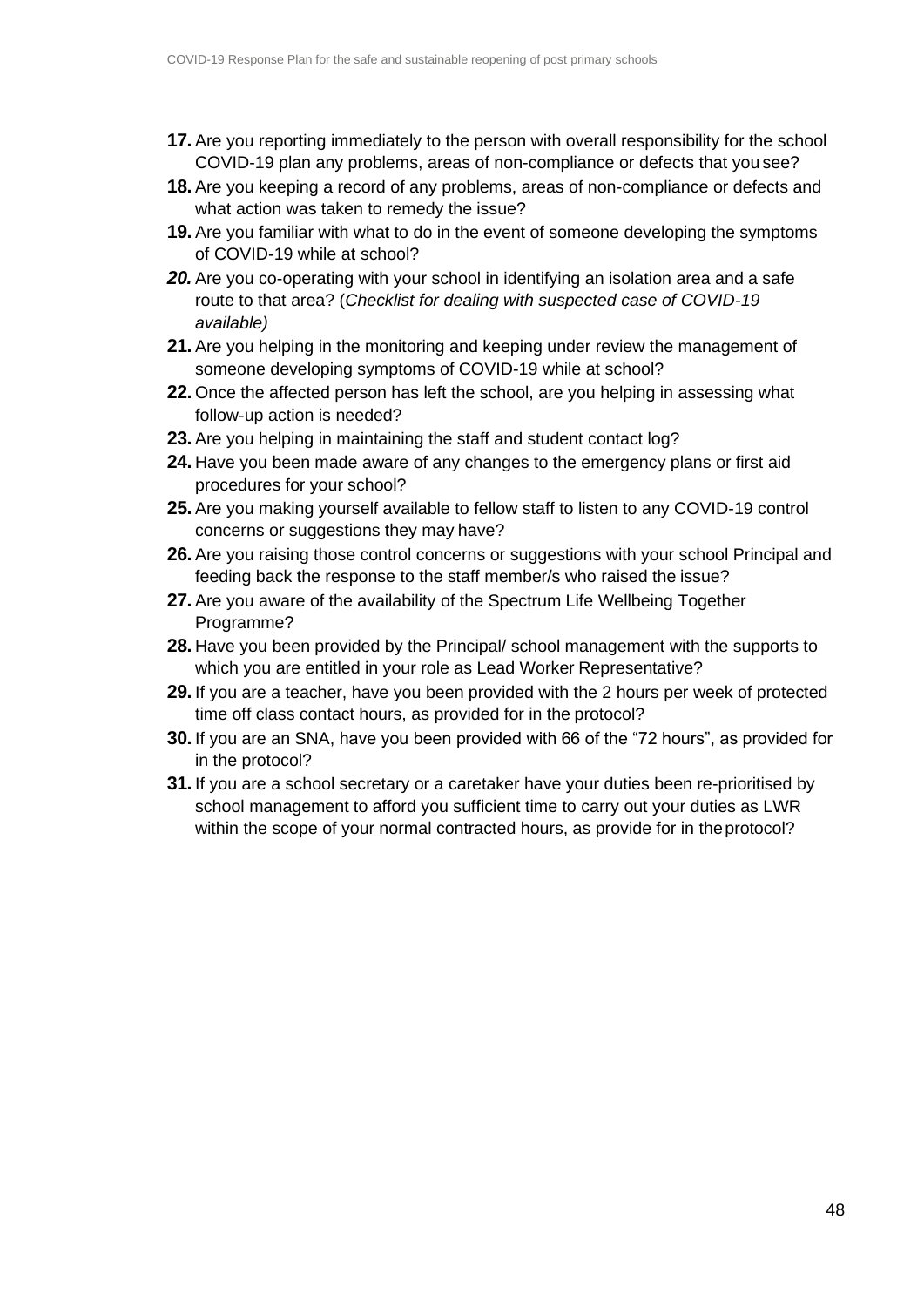- **17.** Are you reporting immediately to the person with overall responsibility for the school COVID-19 plan any problems, areas of non-compliance or defects that you see?
- **18.** Are you keeping a record of any problems, areas of non-compliance or defects and what action was taken to remedy the issue?
- **19.** Are you familiar with what to do in the event of someone developing the symptoms of COVID-19 while at school?
- **20.** Are you co-operating with your school in identifying an isolation area and a safe route to that area? (*Checklist for dealing with suspected case of COVID-19 available)*
- **21.** Are you helping in the monitoring and keeping under review the management of someone developing symptoms of COVID-19 while at school?
- **22.** Once the affected person has left the school, are you helping in assessing what follow-up action is needed?
- **23.** Are you helping in maintaining the staff and student contact log?
- **24.** Have you been made aware of any changes to the emergency plans or first aid procedures for your school?
- **25.** Are you making yourself available to fellow staff to listen to any COVID-19 control concerns or suggestions they may have?
- **26.** Are you raising those control concerns or suggestions with your school Principal and feeding back the response to the staff member/s who raised the issue?
- **27.** Are you aware of the availability of the Spectrum Life Wellbeing Together Programme?
- **28.** Have you been provided by the Principal/ school management with the supports to which you are entitled in your role as Lead Worker Representative?
- **29.** If you are a teacher, have you been provided with the 2 hours per week of protected time off class contact hours, as provided for in the protocol?
- **30.** If you are an SNA, have you been provided with 66 of the "72 hours", as provided for in the protocol?
- **31.** If you are a school secretary or a caretaker have your duties been re-prioritised by school management to afford you sufficient time to carry out your duties as LWR within the scope of your normal contracted hours, as provide for in theprotocol?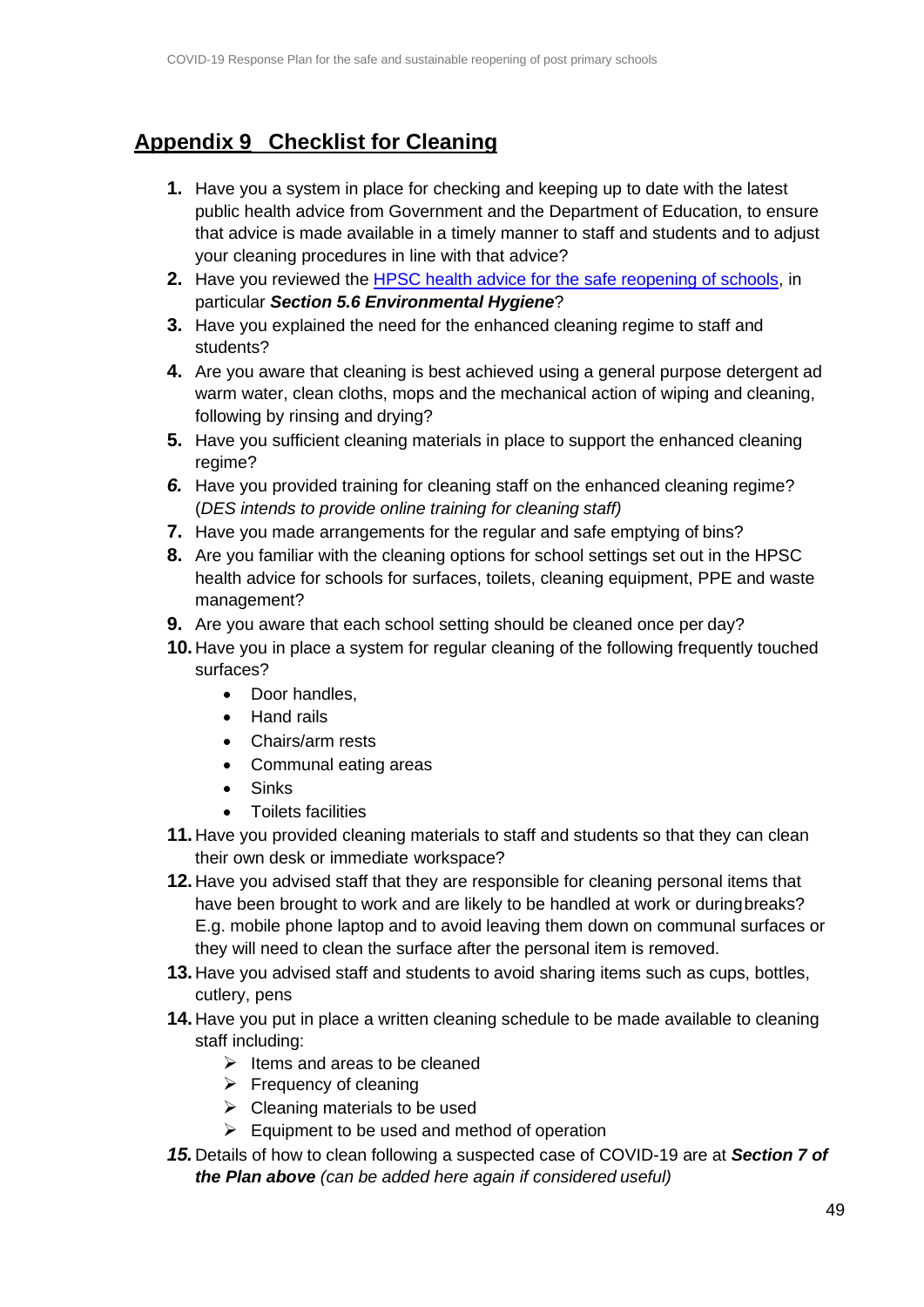# <span id="page-47-0"></span>**Appendix 9 Checklist for Cleaning**

- **1.** Have you a system in place for checking and keeping up to date with the latest public health advice from Government and the Department of Education, to ensure that advice is made available in a timely manner to staff and students and to adjust your cleaning procedures in line with that advice?
- **2.** Have you reviewed the [HPSC health advice for the safe reopening of schools,](https://static.rasset.ie/documents/news/2020/07/interim-recommendations-for-the-reopening-of-schools-and-educational-facilities.pdf) in particular *Section 5.6 Environmental Hygiene*?
- **3.** Have you explained the need for the enhanced cleaning regime to staff and students?
- **4.** Are you aware that cleaning is best achieved using a general purpose detergent ad warm water, clean cloths, mops and the mechanical action of wiping and cleaning, following by rinsing and drying?
- **5.** Have you sufficient cleaning materials in place to support the enhanced cleaning regime?
- **6.** Have you provided training for cleaning staff on the enhanced cleaning regime? (*DES intends to provide online training for cleaning staff)*
- **7.** Have you made arrangements for the regular and safe emptying of bins?
- **8.** Are you familiar with the cleaning options for school settings set out in the HPSC health advice for schools for surfaces, toilets, cleaning equipment, PPE and waste management?
- **9.** Are you aware that each school setting should be cleaned once per day?
- **10.** Have you in place a system for regular cleaning of the following frequently touched surfaces?
	- Door handles,
	- Hand rails
	- Chairs/arm rests
	- Communal eating areas
	- Sinks
	- Toilets facilities
- **11.** Have you provided cleaning materials to staff and students so that they can clean their own desk or immediate workspace?
- **12.** Have you advised staff that they are responsible for cleaning personal items that have been brought to work and are likely to be handled at work or duringbreaks? E.g. mobile phone laptop and to avoid leaving them down on communal surfaces or they will need to clean the surface after the personal item is removed.
- **13.** Have you advised staff and students to avoid sharing items such as cups, bottles, cutlery, pens
- **14.** Have you put in place a written cleaning schedule to be made available to cleaning staff including:
	- $\triangleright$  Items and areas to be cleaned
	- $\triangleright$  Frequency of cleaning
	- $\triangleright$  Cleaning materials to be used
	- $\triangleright$  Equipment to be used and method of operation
- *15.* Details of how to clean following a suspected case of COVID-19 are at *Section 7 of the Plan above (can be added here again if considered useful)*